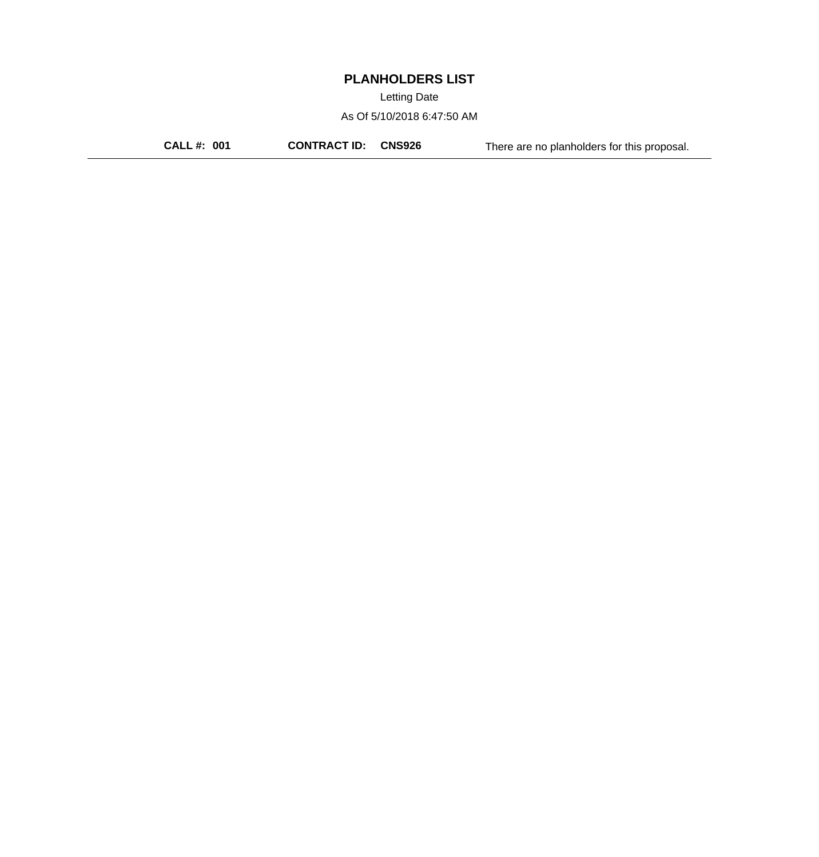Letting Date

As Of 5/10/2018 6:47:50 AM

**CALL #: 001 CONTRACT ID: CNS926** There are no planholders for this proposal.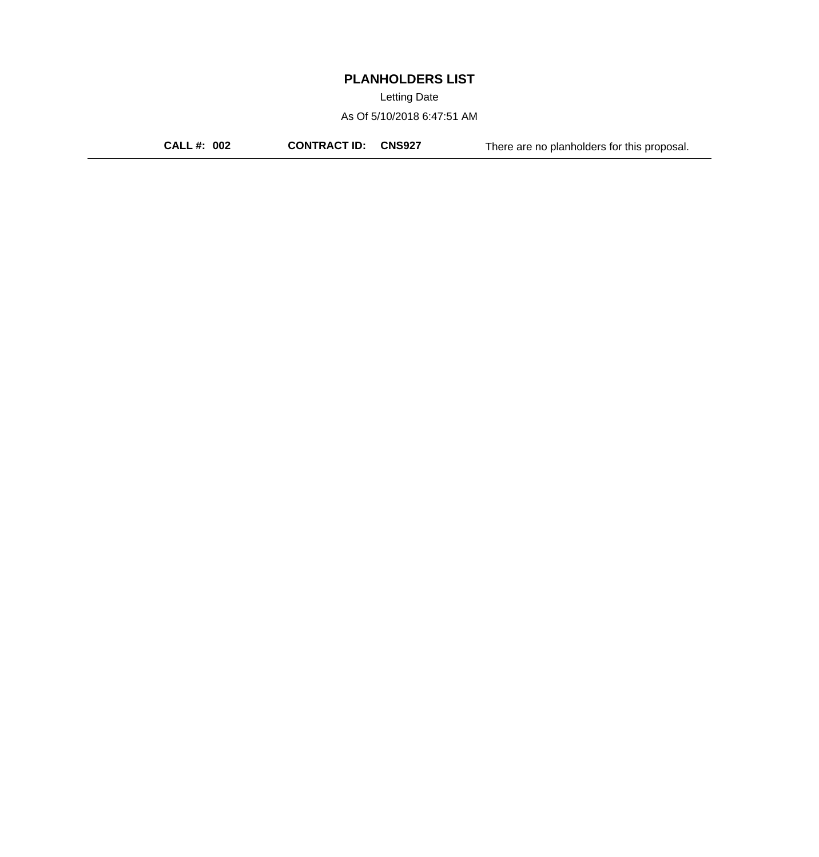Letting Date

As Of 5/10/2018 6:47:51 AM

**CALL #: 002 CONTRACT ID: CNS927** There are no planholders for this proposal.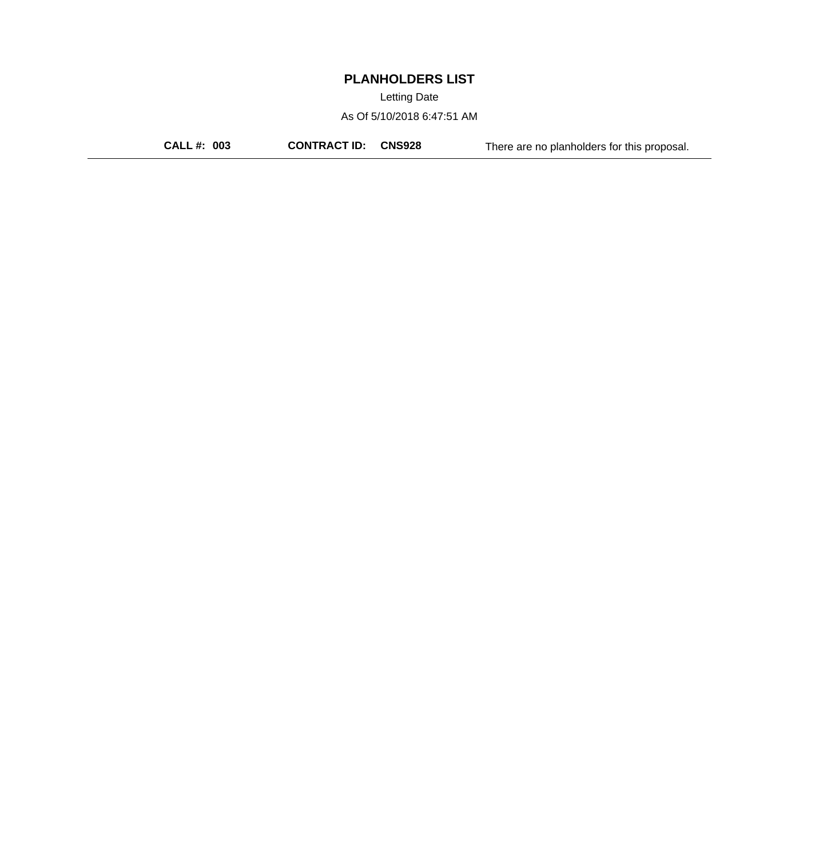Letting Date

As Of 5/10/2018 6:47:51 AM

**CALL #: 003 CONTRACT ID: CNS928** There are no planholders for this proposal.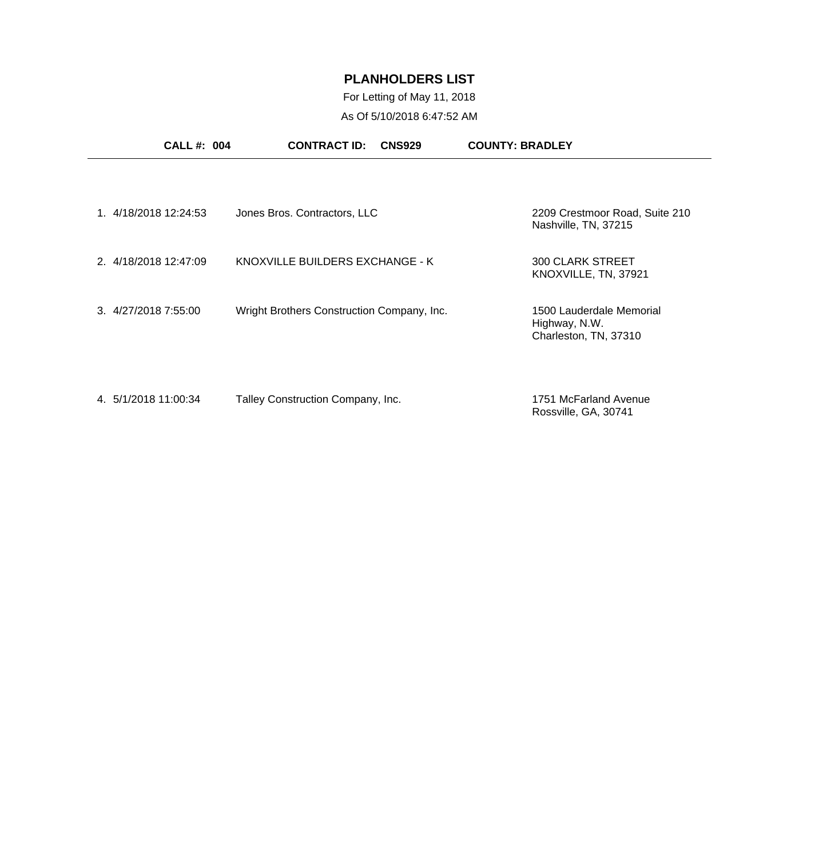For Letting of May 11, 2018 As Of 5/10/2018 6:47:52 AM

| <b>CALL#: 004</b>     | <b>CONTRACT ID:</b><br><b>CNS929</b>       | <b>COUNTY: BRADLEY</b>                                             |
|-----------------------|--------------------------------------------|--------------------------------------------------------------------|
| 1. 4/18/2018 12:24:53 | Jones Bros. Contractors, LLC               | 2209 Crestmoor Road, Suite 210<br>Nashville, TN, 37215             |
| 2. 4/18/2018 12:47:09 | KNOXVILLE BUILDERS EXCHANGE - K            | <b>300 CLARK STREET</b><br>KNOXVILLE, TN, 37921                    |
| 3.4/27/20187:55:00    | Wright Brothers Construction Company, Inc. | 1500 Lauderdale Memorial<br>Highway, N.W.<br>Charleston, TN, 37310 |
| 4. 5/1/2018 11:00:34  | Talley Construction Company, Inc.          | 1751 McFarland Avenue<br>Rossville, GA, 30741                      |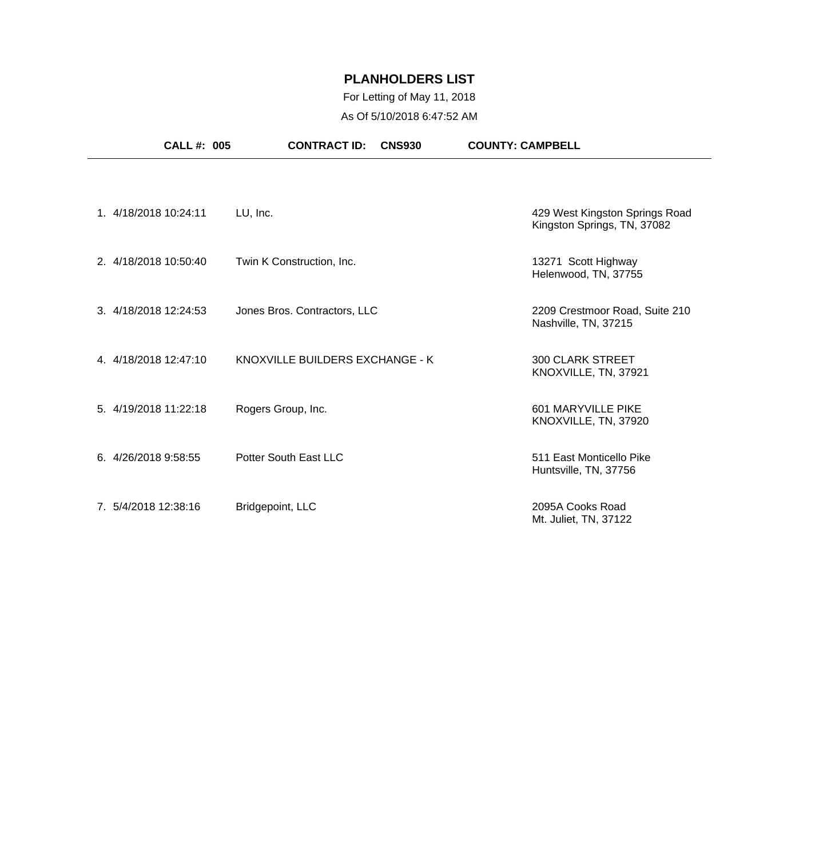## For Letting of May 11, 2018 As Of 5/10/2018 6:47:52 AM

|                       | <b>CALL #: 005</b> | <b>CONTRACT ID:</b><br><b>CNS930</b> | <b>COUNTY: CAMPBELL</b>                                       |
|-----------------------|--------------------|--------------------------------------|---------------------------------------------------------------|
|                       |                    |                                      |                                                               |
| 1. 4/18/2018 10:24:11 |                    | LU, Inc.                             | 429 West Kingston Springs Road<br>Kingston Springs, TN, 37082 |
| 2. 4/18/2018 10:50:40 |                    | Twin K Construction, Inc.            | 13271 Scott Highway<br>Helenwood, TN, 37755                   |
| 3. 4/18/2018 12:24:53 |                    | Jones Bros. Contractors, LLC         | 2209 Crestmoor Road, Suite 210<br>Nashville, TN, 37215        |
| 4. 4/18/2018 12:47:10 |                    | KNOXVILLE BUILDERS EXCHANGE - K      | <b>300 CLARK STREET</b><br>KNOXVILLE, TN, 37921               |
| 5. 4/19/2018 11:22:18 |                    | Rogers Group, Inc.                   | 601 MARYVILLE PIKE<br>KNOXVILLE, TN, 37920                    |
| 6. 4/26/2018 9:58:55  |                    | Potter South East LLC                | 511 East Monticello Pike<br>Huntsville, TN, 37756             |
| 7. 5/4/2018 12:38:16  |                    | Bridgepoint, LLC                     | 2095A Cooks Road<br>Mt. Juliet, TN, 37122                     |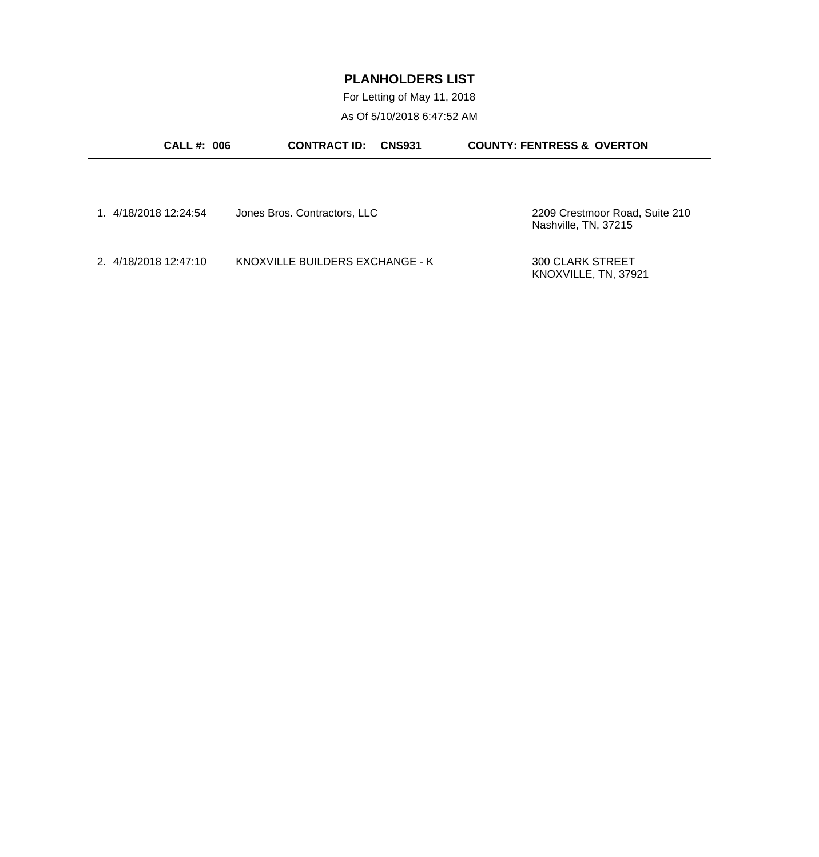For Letting of May 11, 2018 As Of 5/10/2018 6:47:52 AM

| <b>CALL#: 006</b>     | <b>CONTRACT ID:</b><br><b>CNS931</b> | <b>COUNTY: FENTRESS &amp; OVERTON</b>                  |
|-----------------------|--------------------------------------|--------------------------------------------------------|
|                       |                                      |                                                        |
| 1. 4/18/2018 12:24:54 | Jones Bros. Contractors, LLC         | 2209 Crestmoor Road, Suite 210<br>Nashville, TN, 37215 |
| 2. 4/18/2018 12:47:10 | KNOXVILLE BUILDERS EXCHANGE - K      | <b>300 CLARK STREET</b><br>KNOXVILLE, TN, 37921        |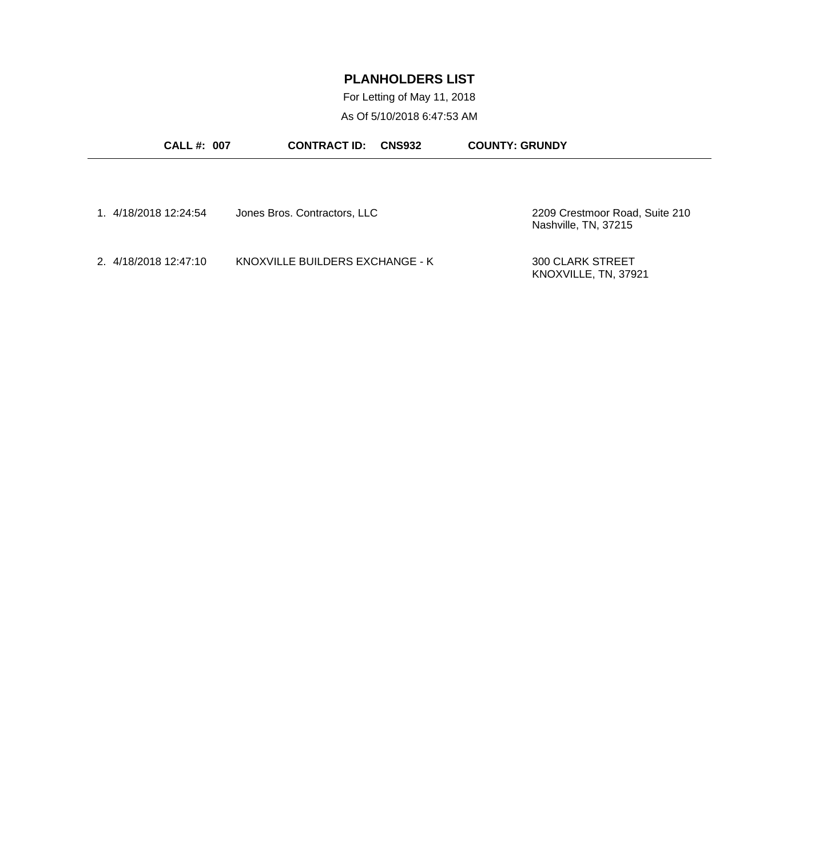For Letting of May 11, 2018 As Of 5/10/2018 6:47:53 AM

| <b>CALL #: 007</b>    | <b>CONTRACT ID:</b><br><b>CNS932</b> | <b>COUNTY: GRUNDY</b>                                  |
|-----------------------|--------------------------------------|--------------------------------------------------------|
|                       |                                      |                                                        |
| 1. 4/18/2018 12:24:54 | Jones Bros. Contractors, LLC         | 2209 Crestmoor Road, Suite 210<br>Nashville, TN, 37215 |
| 2. 4/18/2018 12:47:10 | KNOXVILLE BUILDERS EXCHANGE - K      | <b>300 CLARK STREET</b><br>KNOXVILLE, TN, 37921        |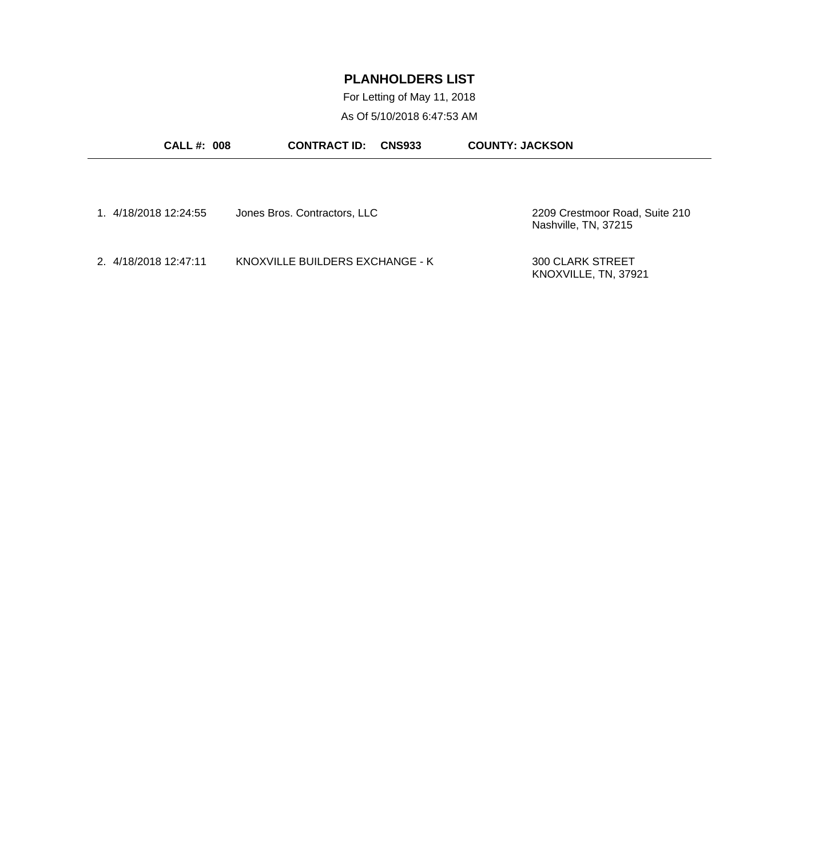For Letting of May 11, 2018 As Of 5/10/2018 6:47:53 AM

| <b>CALL #: 008</b>    | <b>CONTRACT ID:</b><br><b>CNS933</b> | <b>COUNTY: JACKSON</b>                                 |
|-----------------------|--------------------------------------|--------------------------------------------------------|
|                       |                                      |                                                        |
| 1. 4/18/2018 12:24:55 | Jones Bros. Contractors, LLC         | 2209 Crestmoor Road, Suite 210<br>Nashville, TN, 37215 |
| 2. 4/18/2018 12:47:11 | KNOXVILLE BUILDERS EXCHANGE - K      | <b>300 CLARK STREET</b><br>KNOXVILLE, TN, 37921        |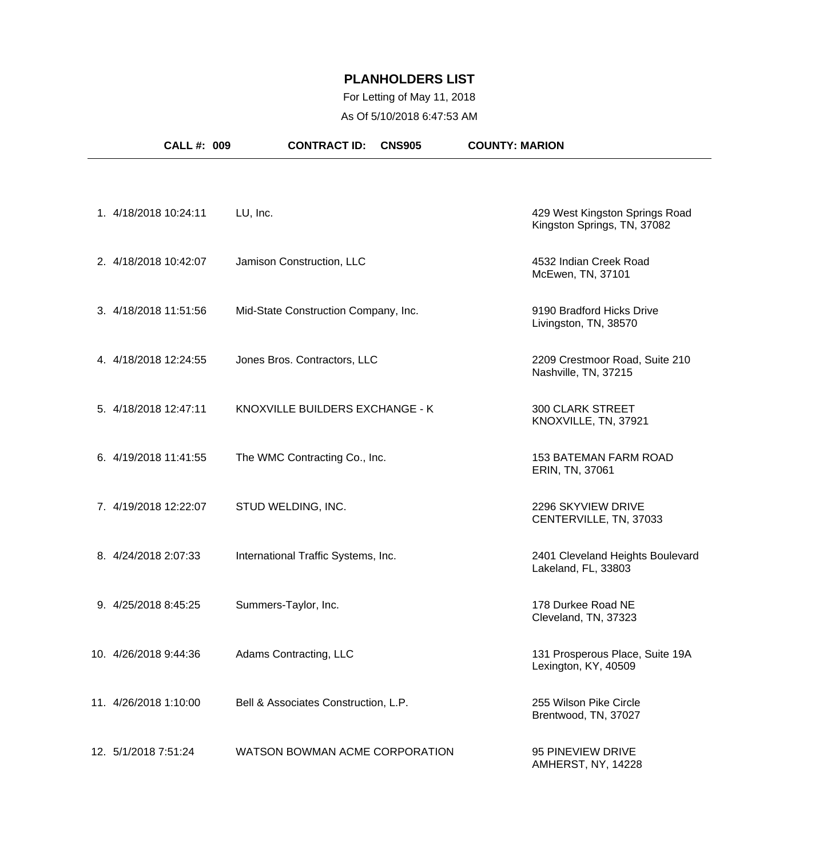## For Letting of May 11, 2018 As Of 5/10/2018 6:47:53 AM

| <b>CALL#: 009</b>     | <b>CONTRACT ID:</b>                  | <b>CNS905</b> | <b>COUNTY: MARION</b>                                         |  |
|-----------------------|--------------------------------------|---------------|---------------------------------------------------------------|--|
|                       |                                      |               |                                                               |  |
| 1. 4/18/2018 10:24:11 | LU, Inc.                             |               | 429 West Kingston Springs Road<br>Kingston Springs, TN, 37082 |  |
| 2. 4/18/2018 10:42:07 | Jamison Construction, LLC            |               | 4532 Indian Creek Road<br>McEwen, TN, 37101                   |  |
| 3. 4/18/2018 11:51:56 | Mid-State Construction Company, Inc. |               | 9190 Bradford Hicks Drive<br>Livingston, TN, 38570            |  |
| 4. 4/18/2018 12:24:55 | Jones Bros. Contractors, LLC         |               | 2209 Crestmoor Road, Suite 210<br>Nashville, TN, 37215        |  |
| 5. 4/18/2018 12:47:11 | KNOXVILLE BUILDERS EXCHANGE - K      |               | <b>300 CLARK STREET</b><br>KNOXVILLE, TN, 37921               |  |
| 6. 4/19/2018 11:41:55 | The WMC Contracting Co., Inc.        |               | <b>153 BATEMAN FARM ROAD</b><br>ERIN, TN, 37061               |  |
| 7. 4/19/2018 12:22:07 | STUD WELDING, INC.                   |               | 2296 SKYVIEW DRIVE<br>CENTERVILLE, TN, 37033                  |  |
| 8. 4/24/2018 2:07:33  | International Traffic Systems, Inc.  |               | 2401 Cleveland Heights Boulevard<br>Lakeland, FL, 33803       |  |
| 9. 4/25/2018 8:45:25  | Summers-Taylor, Inc.                 |               | 178 Durkee Road NE<br>Cleveland, TN, 37323                    |  |
| 10. 4/26/2018 9:44:36 | Adams Contracting, LLC               |               | 131 Prosperous Place, Suite 19A<br>Lexington, KY, 40509       |  |
| 11. 4/26/2018 1:10:00 | Bell & Associates Construction, L.P. |               | 255 Wilson Pike Circle<br>Brentwood, TN, 37027                |  |
| 12. 5/1/2018 7:51:24  | WATSON BOWMAN ACME CORPORATION       |               | 95 PINEVIEW DRIVE<br>AMHERST, NY, 14228                       |  |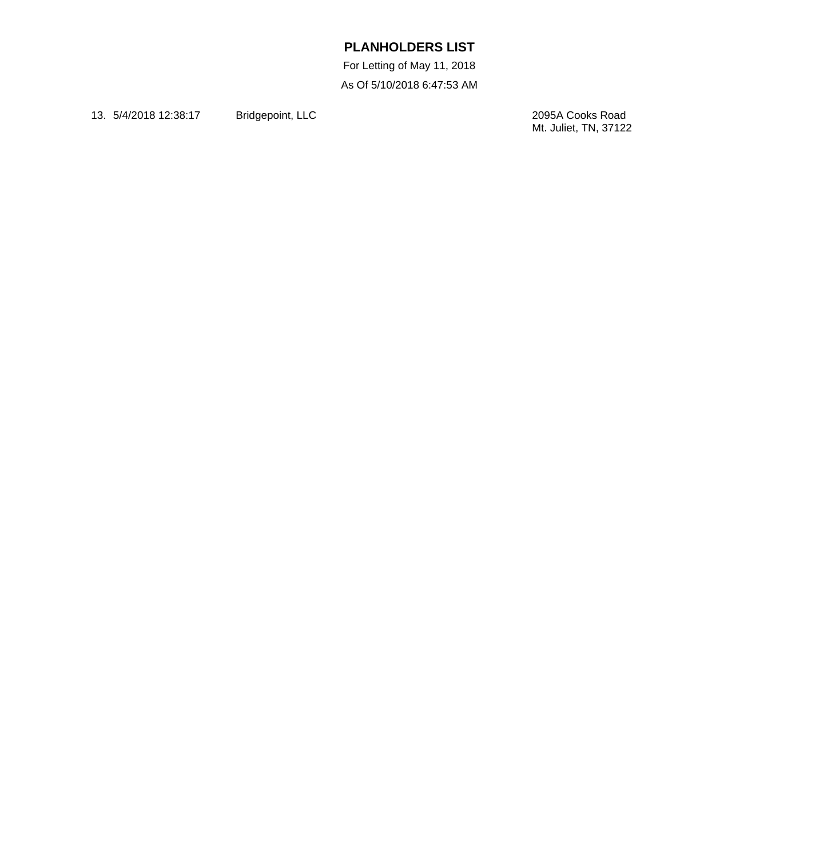For Letting of May 11, 2018 As Of 5/10/2018 6:47:53 AM

13. 5/4/2018 12:38:17 Bridgepoint, LLC

2095A Cooks Road<br>Mt. Juliet, TN, 37122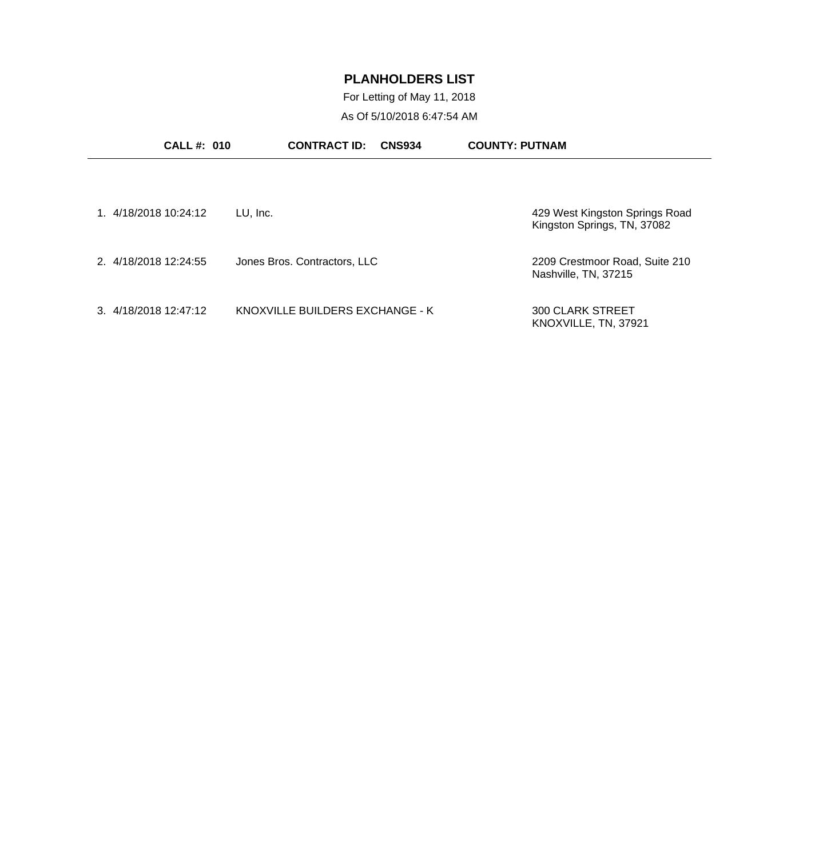For Letting of May 11, 2018 As Of 5/10/2018 6:47:54 AM

| <b>CALL#: 010</b>     | <b>CONTRACT ID:</b><br><b>CNS934</b> | <b>COUNTY: PUTNAM</b>                                         |
|-----------------------|--------------------------------------|---------------------------------------------------------------|
| 1. 4/18/2018 10:24:12 | LU, Inc.                             | 429 West Kingston Springs Road<br>Kingston Springs, TN, 37082 |
| 2. 4/18/2018 12:24:55 | Jones Bros. Contractors, LLC         | 2209 Crestmoor Road, Suite 210<br>Nashville, TN, 37215        |
| 3. 4/18/2018 12:47:12 | KNOXVILLE BUILDERS EXCHANGE - K      | <b>300 CLARK STREET</b><br>KNOXVILLE, TN, 37921               |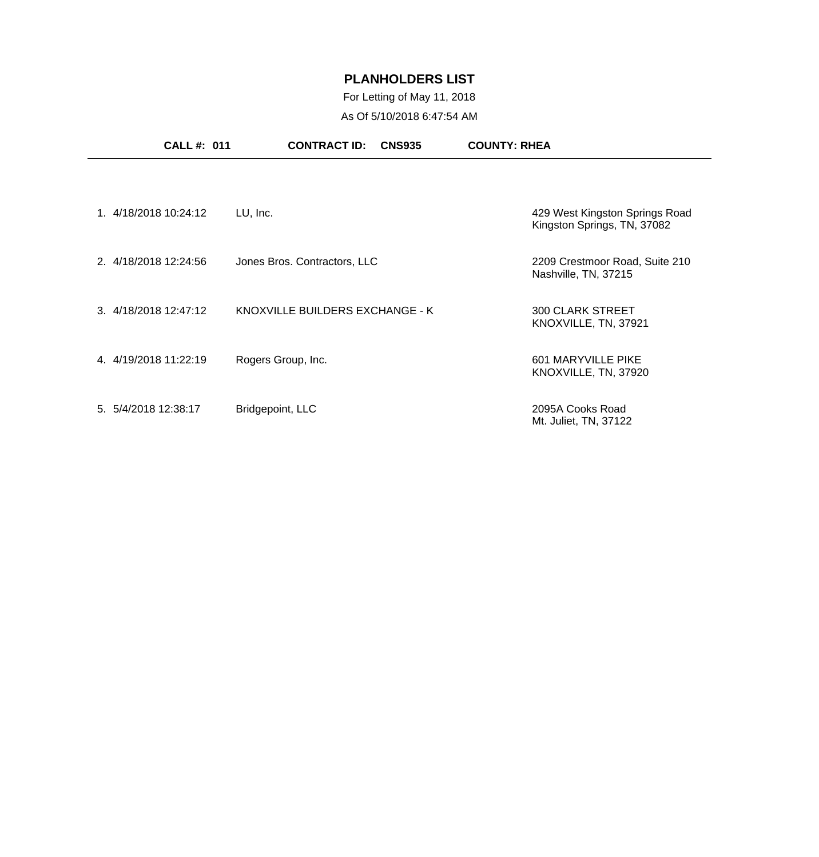## For Letting of May 11, 2018 As Of 5/10/2018 6:47:54 AM

|                       | <b>CALL #: 011</b> | <b>CONTRACT ID:</b><br><b>CNS935</b> | <b>COUNTY: RHEA</b> |                                                               |
|-----------------------|--------------------|--------------------------------------|---------------------|---------------------------------------------------------------|
|                       |                    |                                      |                     |                                                               |
| 1. 4/18/2018 10:24:12 |                    | LU, Inc.                             |                     | 429 West Kingston Springs Road<br>Kingston Springs, TN, 37082 |
| 2. 4/18/2018 12:24:56 |                    | Jones Bros. Contractors, LLC         |                     | 2209 Crestmoor Road, Suite 210<br>Nashville, TN, 37215        |
| 3. 4/18/2018 12:47:12 |                    | KNOXVILLE BUILDERS EXCHANGE - K      |                     | <b>300 CLARK STREET</b><br>KNOXVILLE, TN, 37921               |
| 4. 4/19/2018 11:22:19 |                    | Rogers Group, Inc.                   |                     | 601 MARYVILLE PIKE<br>KNOXVILLE, TN, 37920                    |
| 5. 5/4/2018 12:38:17  |                    | Bridgepoint, LLC                     |                     | 2095A Cooks Road<br>Mt. Juliet, TN, 37122                     |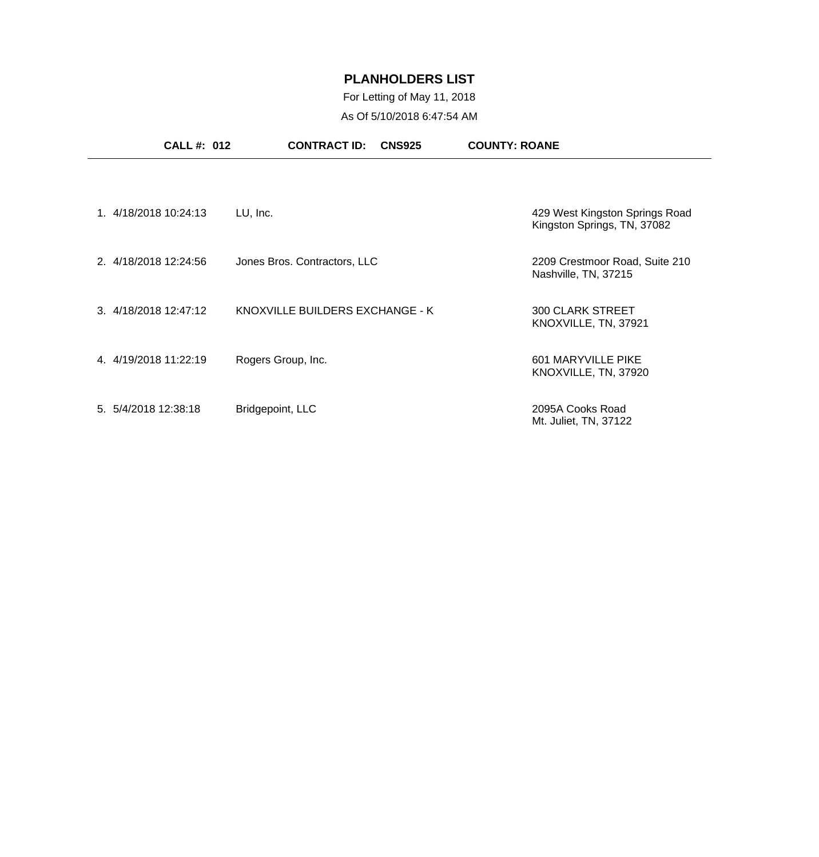## For Letting of May 11, 2018 As Of 5/10/2018 6:47:54 AM

|                      | <b>CALL #: 012</b>    | <b>CONTRACT ID:</b><br><b>CNS925</b> | <b>COUNTY: ROANE</b>                                          |
|----------------------|-----------------------|--------------------------------------|---------------------------------------------------------------|
|                      |                       |                                      |                                                               |
|                      | 1. 4/18/2018 10:24:13 | LU, Inc.                             | 429 West Kingston Springs Road<br>Kingston Springs, TN, 37082 |
|                      | 2. 4/18/2018 12:24:56 | Jones Bros. Contractors, LLC         | 2209 Crestmoor Road, Suite 210<br>Nashville, TN, 37215        |
|                      | 3. 4/18/2018 12:47:12 | KNOXVILLE BUILDERS EXCHANGE - K      | <b>300 CLARK STREET</b><br>KNOXVILLE, TN, 37921               |
|                      | 4. 4/19/2018 11:22:19 | Rogers Group, Inc.                   | 601 MARYVILLE PIKE<br>KNOXVILLE, TN, 37920                    |
| 5. 5/4/2018 12:38:18 |                       | Bridgepoint, LLC                     | 2095A Cooks Road<br>Mt. Juliet, TN, 37122                     |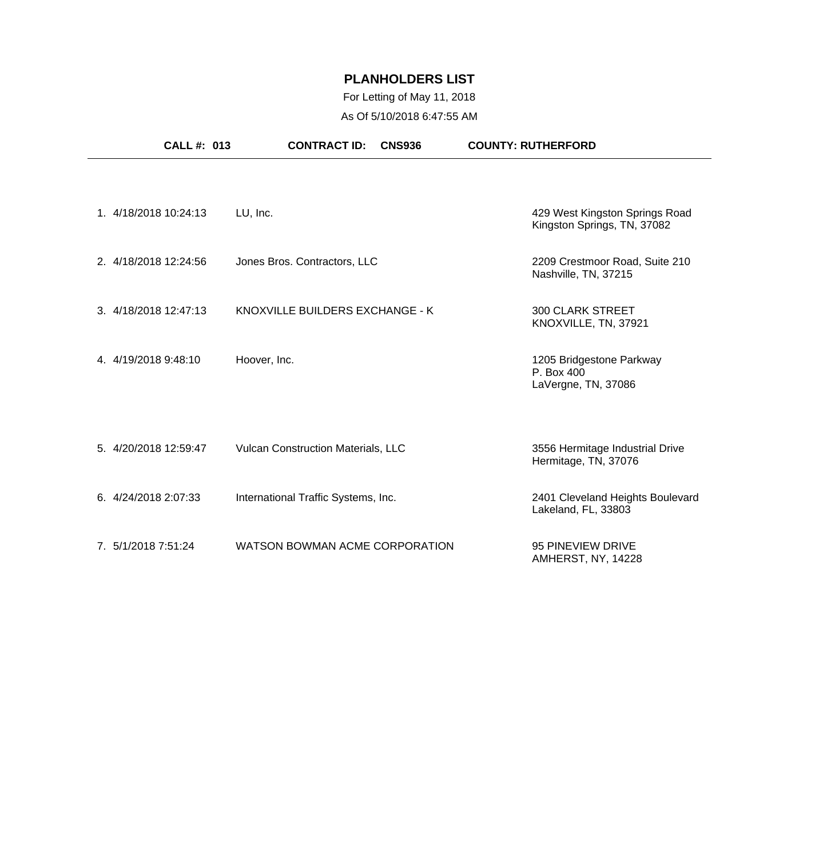## For Letting of May 11, 2018 As Of 5/10/2018 6:47:55 AM

| <b>CALL #: 013</b>    | <b>CONTRACT ID:</b><br><b>CNS936</b> | <b>COUNTY: RUTHERFORD</b>                                     |
|-----------------------|--------------------------------------|---------------------------------------------------------------|
| 1. 4/18/2018 10:24:13 | LU, Inc.                             | 429 West Kingston Springs Road<br>Kingston Springs, TN, 37082 |
| 2. 4/18/2018 12:24:56 | Jones Bros. Contractors, LLC         | 2209 Crestmoor Road, Suite 210<br>Nashville, TN, 37215        |
| 3. 4/18/2018 12:47:13 | KNOXVILLE BUILDERS EXCHANGE - K      | <b>300 CLARK STREET</b><br>KNOXVILLE, TN, 37921               |
| 4. 4/19/2018 9:48:10  | Hoover, Inc.                         | 1205 Bridgestone Parkway<br>P. Box 400<br>LaVergne, TN, 37086 |
| 5. 4/20/2018 12:59:47 | Vulcan Construction Materials, LLC   | 3556 Hermitage Industrial Drive<br>Hermitage, TN, 37076       |
| 6. 4/24/2018 2:07:33  | International Traffic Systems, Inc.  | 2401 Cleveland Heights Boulevard<br>Lakeland, FL, 33803       |
| 7. 5/1/2018 7:51:24   | WATSON BOWMAN ACME CORPORATION       | 95 PINEVIEW DRIVE<br>AMHERST, NY, 14228                       |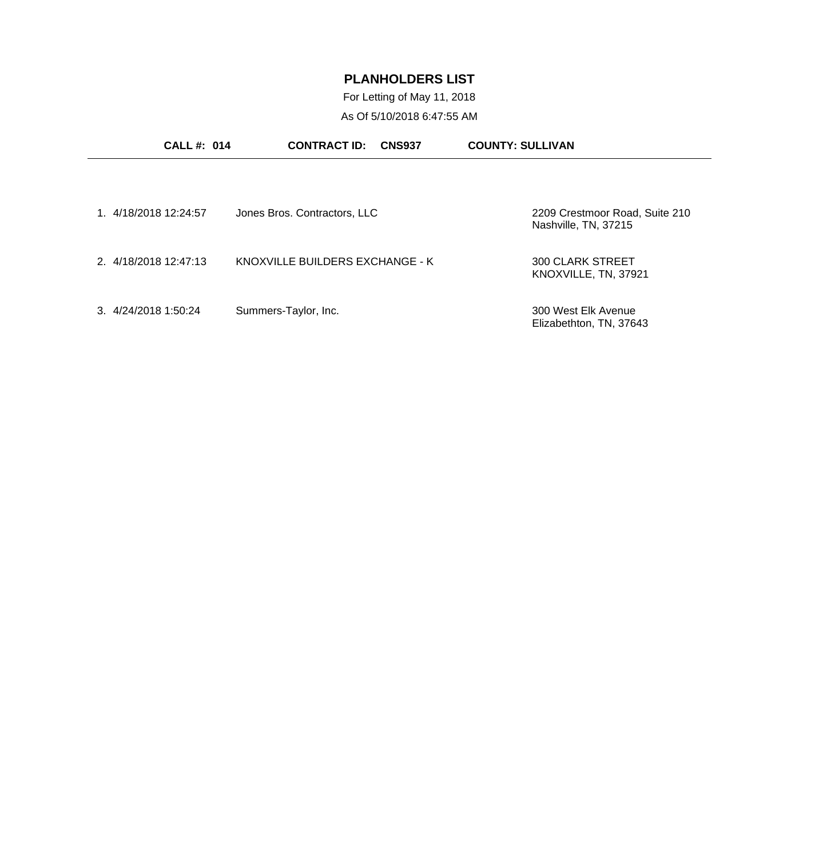For Letting of May 11, 2018 As Of 5/10/2018 6:47:55 AM

| <b>CALL#: 014</b>     | <b>CONTRACT ID:</b><br><b>CNS937</b> | <b>COUNTY: SULLIVAN</b>                                |
|-----------------------|--------------------------------------|--------------------------------------------------------|
|                       |                                      |                                                        |
| 1. 4/18/2018 12:24:57 | Jones Bros. Contractors, LLC         | 2209 Crestmoor Road, Suite 210<br>Nashville, TN, 37215 |
| 2. 4/18/2018 12:47:13 | KNOXVILLE BUILDERS EXCHANGE - K      | 300 CLARK STREET<br>KNOXVILLE, TN, 37921               |
| 3.4/24/20181:50:24    | Summers-Taylor, Inc.                 | 300 West Elk Avenue<br>Elizabethton, TN, 37643         |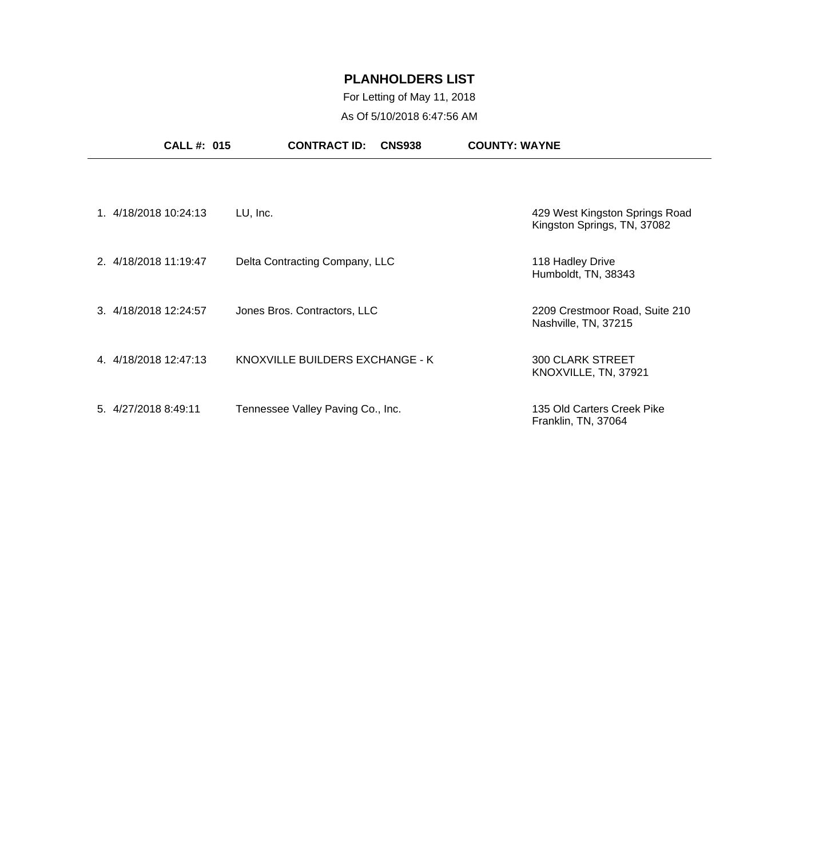## For Letting of May 11, 2018 As Of 5/10/2018 6:47:56 AM

| <b>CALL#: 015</b>     | <b>CONTRACT ID:</b><br><b>CNS938</b> | <b>COUNTY: WAYNE</b>                                          |
|-----------------------|--------------------------------------|---------------------------------------------------------------|
|                       |                                      |                                                               |
| 1. 4/18/2018 10:24:13 | LU, Inc.                             | 429 West Kingston Springs Road<br>Kingston Springs, TN, 37082 |
| 2. 4/18/2018 11:19:47 | Delta Contracting Company, LLC       | 118 Hadley Drive<br>Humboldt, TN, 38343                       |
| 3. 4/18/2018 12:24:57 | Jones Bros. Contractors, LLC         | 2209 Crestmoor Road, Suite 210<br>Nashville, TN, 37215        |
| 4. 4/18/2018 12:47:13 | KNOXVILLE BUILDERS EXCHANGE - K      | <b>300 CLARK STREET</b><br>KNOXVILLE, TN, 37921               |
| 5. 4/27/2018 8:49:11  | Tennessee Valley Paving Co., Inc.    | 135 Old Carters Creek Pike<br>Franklin, TN, 37064             |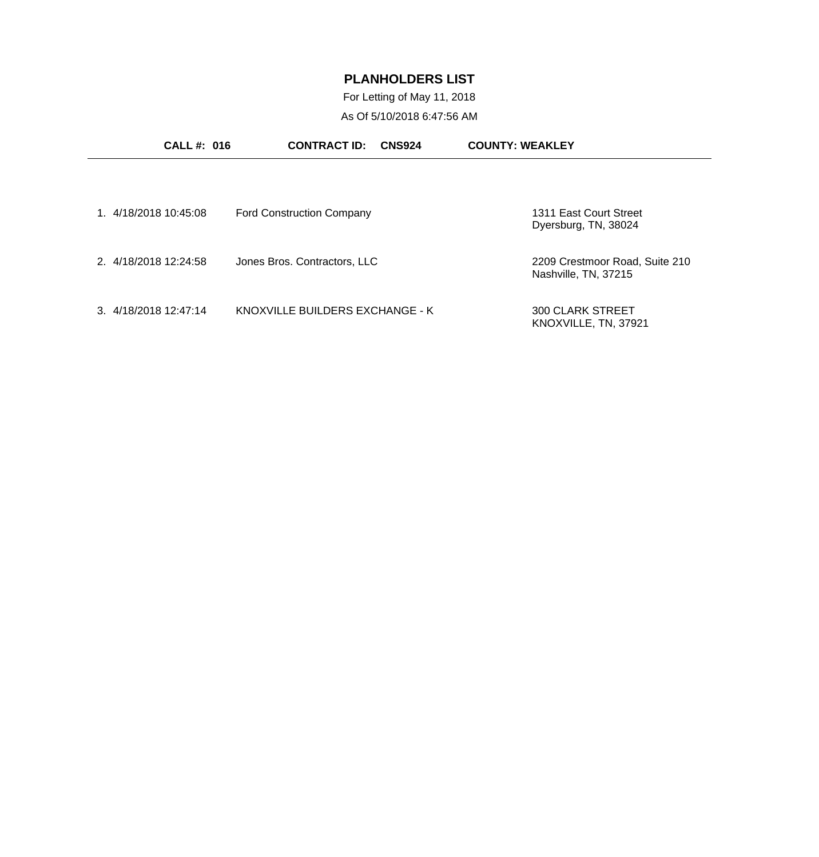For Letting of May 11, 2018 As Of 5/10/2018 6:47:56 AM

| CALL #: 016           | <b>CONTRACT ID:</b>              | <b>CNS924</b> | <b>COUNTY: WEAKLEY</b>                                 |  |
|-----------------------|----------------------------------|---------------|--------------------------------------------------------|--|
|                       |                                  |               |                                                        |  |
| 1. 4/18/2018 10:45:08 | <b>Ford Construction Company</b> |               | 1311 East Court Street<br>Dyersburg, TN, 38024         |  |
| 2. 4/18/2018 12:24:58 | Jones Bros. Contractors, LLC     |               | 2209 Crestmoor Road, Suite 210<br>Nashville, TN, 37215 |  |
| 3. 4/18/2018 12:47:14 | KNOXVILLE BUILDERS EXCHANGE - K  |               | <b>300 CLARK STREET</b><br>KNOXVILLE, TN, 37921        |  |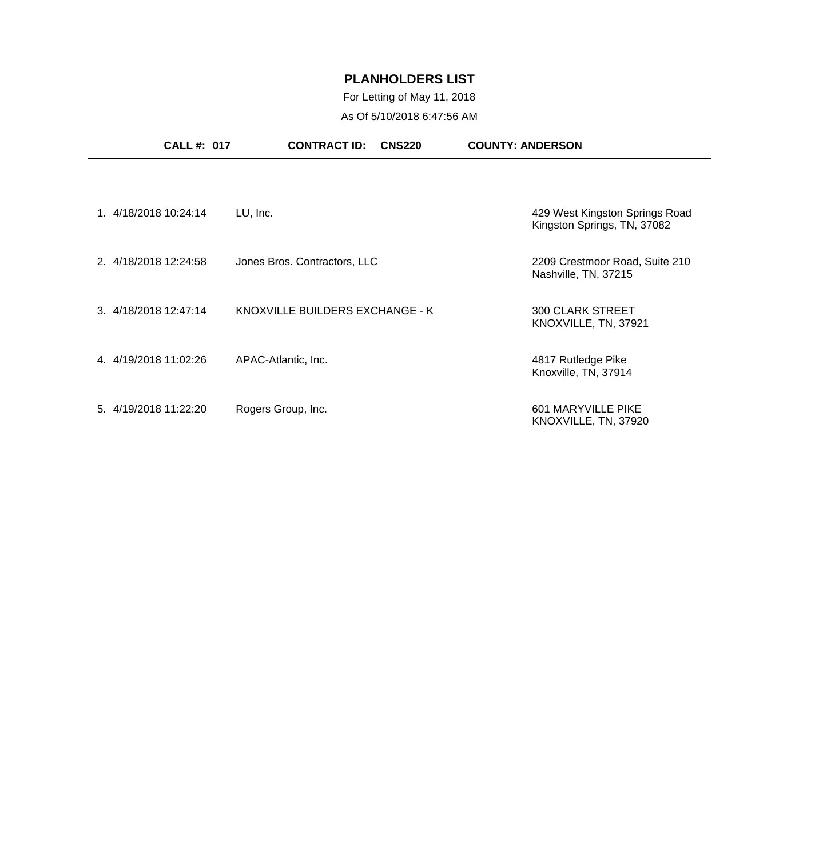## For Letting of May 11, 2018 As Of 5/10/2018 6:47:56 AM

|                       | <b>CALL #: 017</b> | <b>CONTRACT ID:</b>             | <b>CNS220</b> | <b>COUNTY: ANDERSON</b>                                       |
|-----------------------|--------------------|---------------------------------|---------------|---------------------------------------------------------------|
|                       |                    |                                 |               |                                                               |
| 1. 4/18/2018 10:24:14 | LU, Inc.           |                                 |               | 429 West Kingston Springs Road<br>Kingston Springs, TN, 37082 |
| 2. 4/18/2018 12:24:58 |                    | Jones Bros. Contractors, LLC    |               | 2209 Crestmoor Road, Suite 210<br>Nashville, TN, 37215        |
| 3. 4/18/2018 12:47:14 |                    | KNOXVILLE BUILDERS EXCHANGE - K |               | <b>300 CLARK STREET</b><br>KNOXVILLE, TN, 37921               |
| 4. 4/19/2018 11:02:26 |                    | APAC-Atlantic, Inc.             |               | 4817 Rutledge Pike<br>Knoxville, TN, 37914                    |
| 5. 4/19/2018 11:22:20 |                    | Rogers Group, Inc.              |               | 601 MARYVILLE PIKE<br>KNOXVILLE, TN, 37920                    |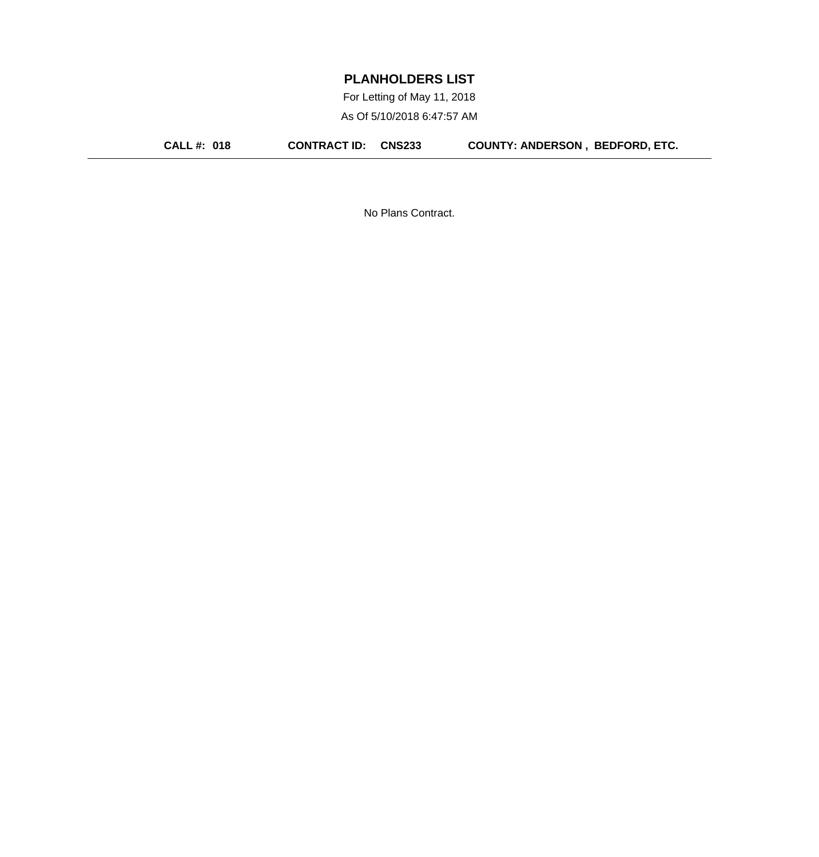For Letting of May 11, 2018 As Of 5/10/2018 6:47:57 AM

**CALL #: 018 CONTRACT ID: CNS233 COUNTY: ANDERSON , BEDFORD, ETC.**

No Plans Contract.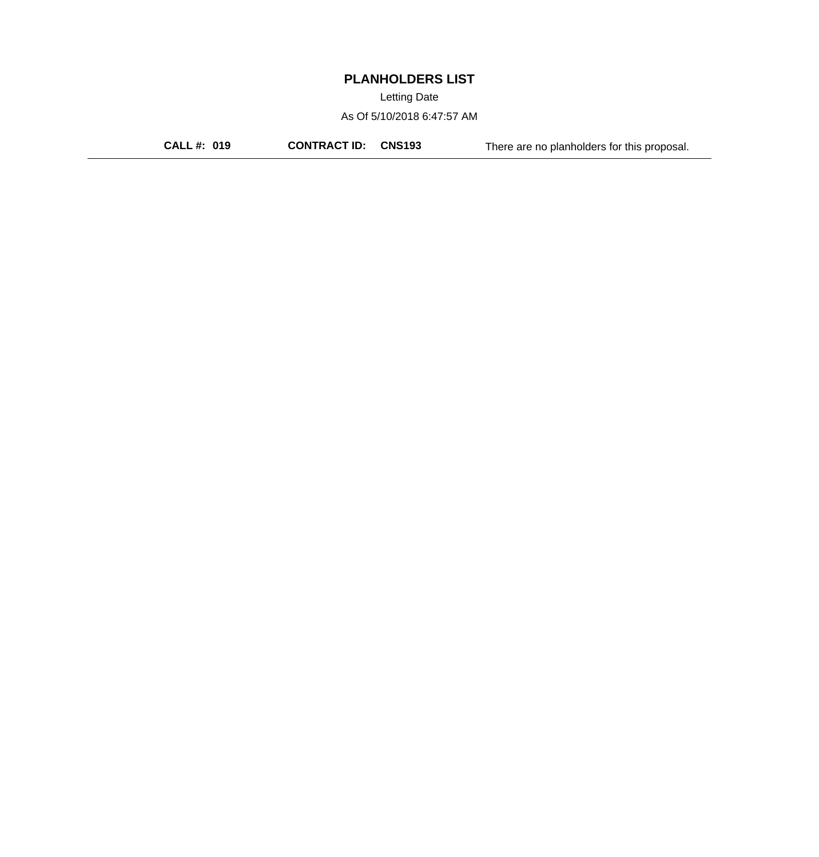Letting Date

As Of 5/10/2018 6:47:57 AM

**CALL #: 019 CONTRACT ID: CNS193** There are no planholders for this proposal.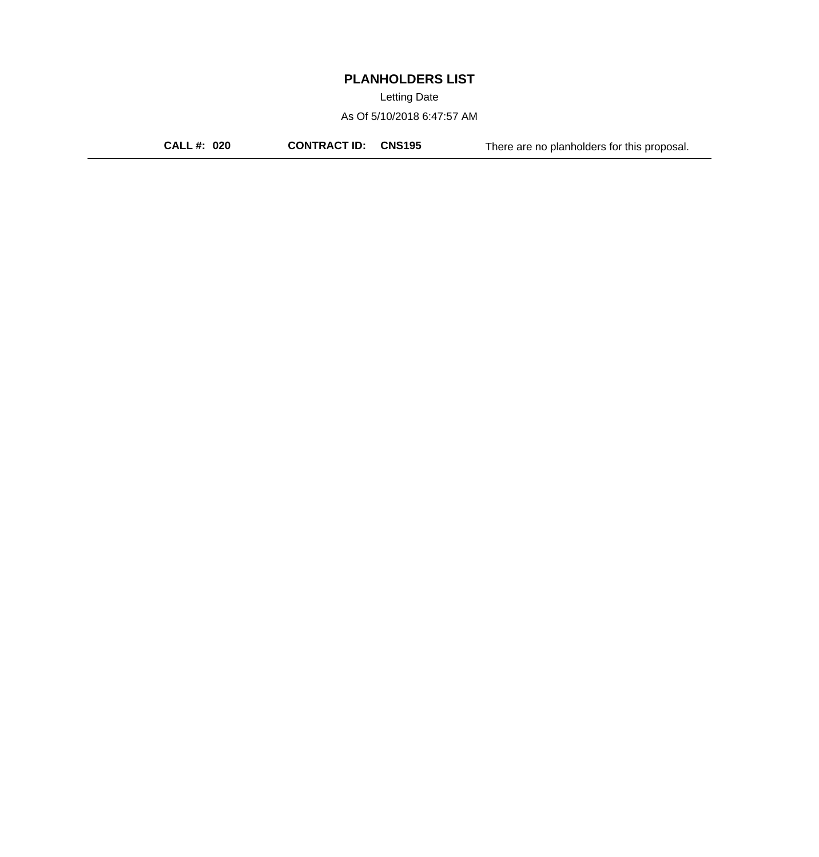Letting Date

As Of 5/10/2018 6:47:57 AM

**CALL #: 020 CONTRACT ID: CNS195** There are no planholders for this proposal.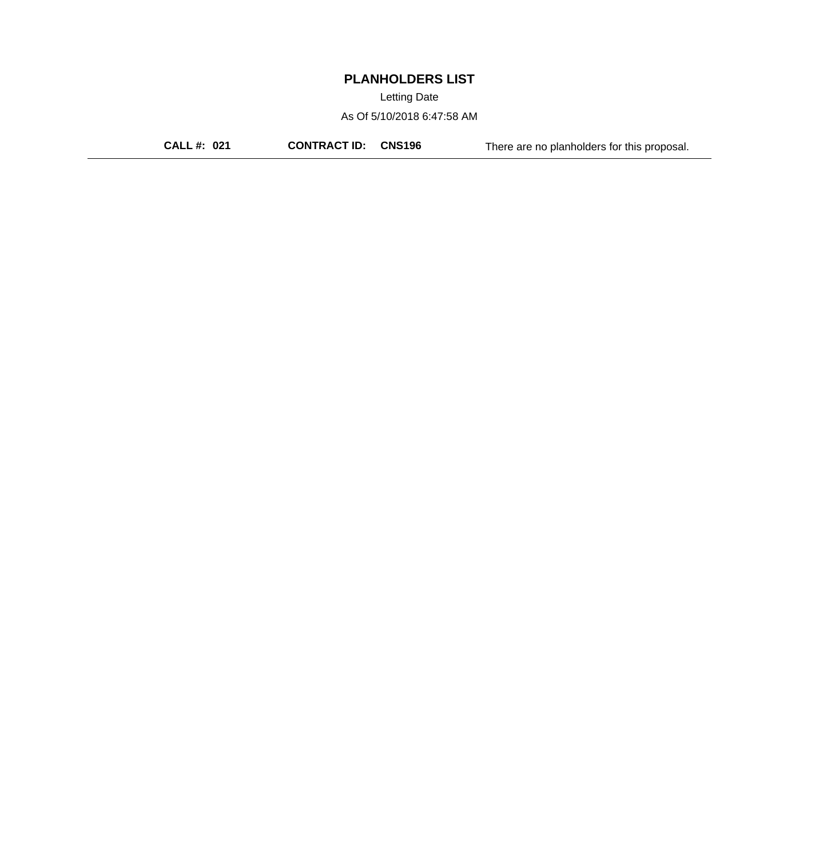Letting Date

As Of 5/10/2018 6:47:58 AM

**CALL #: 021 CONTRACT ID: CNS196** There are no planholders for this proposal.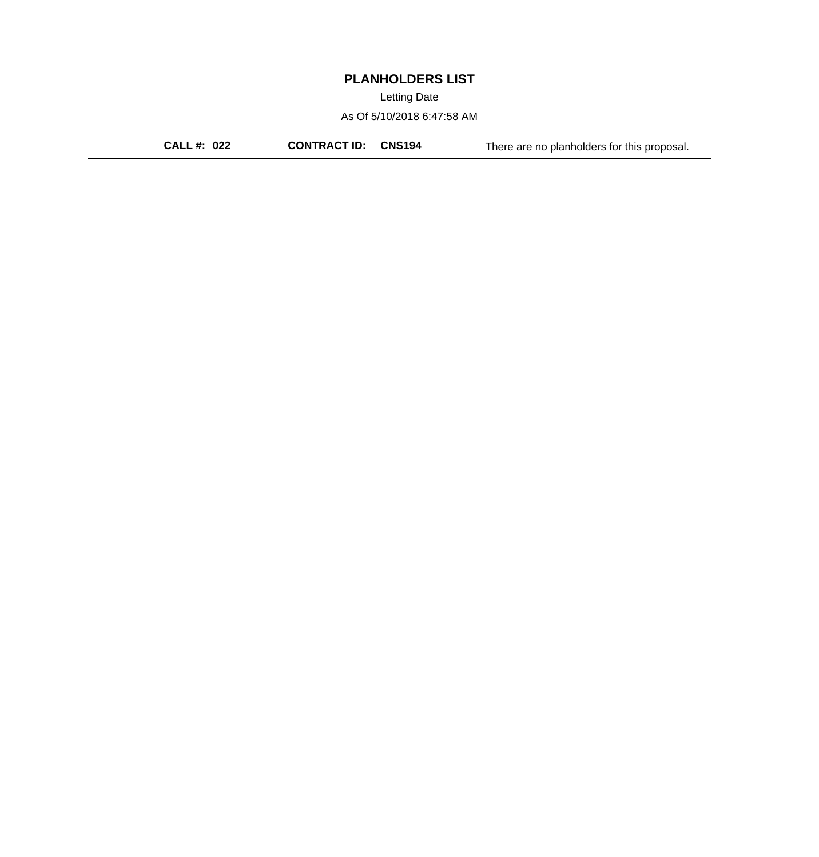Letting Date

As Of 5/10/2018 6:47:58 AM

**CALL #: 022 CONTRACT ID: CNS194** There are no planholders for this proposal.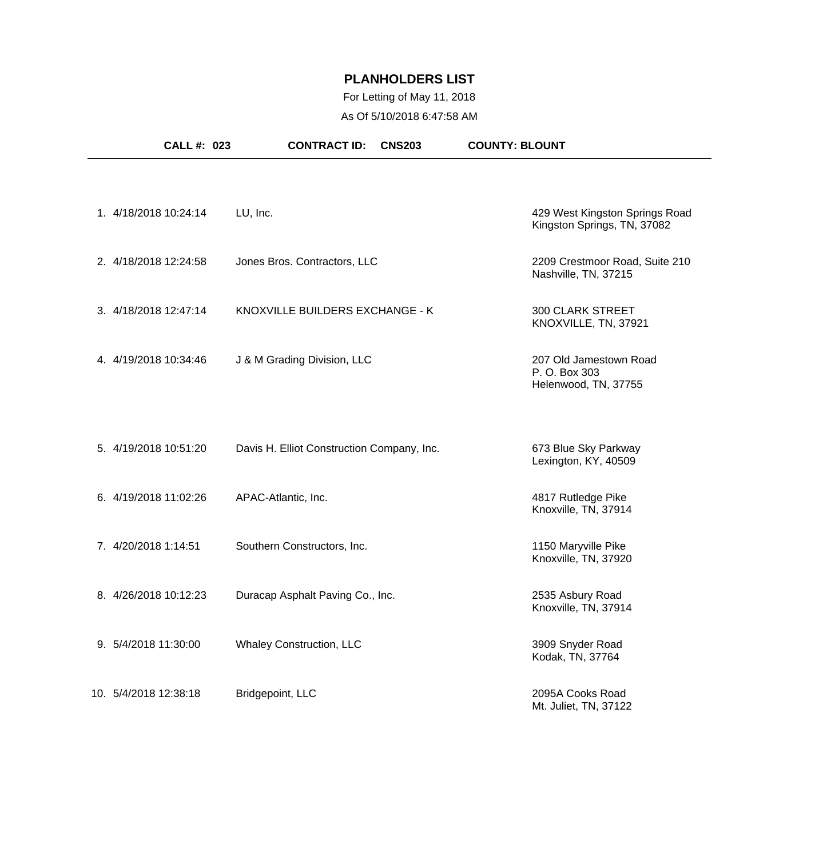## For Letting of May 11, 2018 As Of 5/10/2018 6:47:58 AM

| <b>CALL #: 023</b>    | <b>CONTRACT ID:</b>                        | <b>COUNTY: BLOUNT</b><br><b>CNS203</b>                          |
|-----------------------|--------------------------------------------|-----------------------------------------------------------------|
|                       |                                            |                                                                 |
| 1. 4/18/2018 10:24:14 | LU, Inc.                                   | 429 West Kingston Springs Road<br>Kingston Springs, TN, 37082   |
| 2. 4/18/2018 12:24:58 | Jones Bros. Contractors, LLC               | 2209 Crestmoor Road, Suite 210<br>Nashville, TN, 37215          |
| 3. 4/18/2018 12:47:14 | KNOXVILLE BUILDERS EXCHANGE - K            | <b>300 CLARK STREET</b><br>KNOXVILLE, TN, 37921                 |
| 4. 4/19/2018 10:34:46 | J & M Grading Division, LLC                | 207 Old Jamestown Road<br>P. O. Box 303<br>Helenwood, TN, 37755 |
| 5. 4/19/2018 10:51:20 | Davis H. Elliot Construction Company, Inc. | 673 Blue Sky Parkway<br>Lexington, KY, 40509                    |
| 6. 4/19/2018 11:02:26 | APAC-Atlantic, Inc.                        | 4817 Rutledge Pike<br>Knoxville, TN, 37914                      |
| 7. 4/20/2018 1:14:51  | Southern Constructors, Inc.                | 1150 Maryville Pike<br>Knoxville, TN, 37920                     |
| 8. 4/26/2018 10:12:23 | Duracap Asphalt Paving Co., Inc.           | 2535 Asbury Road<br>Knoxville, TN, 37914                        |
| 9. 5/4/2018 11:30:00  | <b>Whaley Construction, LLC</b>            | 3909 Snyder Road<br>Kodak, TN, 37764                            |
| 10. 5/4/2018 12:38:18 | Bridgepoint, LLC                           | 2095A Cooks Road<br>Mt. Juliet, TN, 37122                       |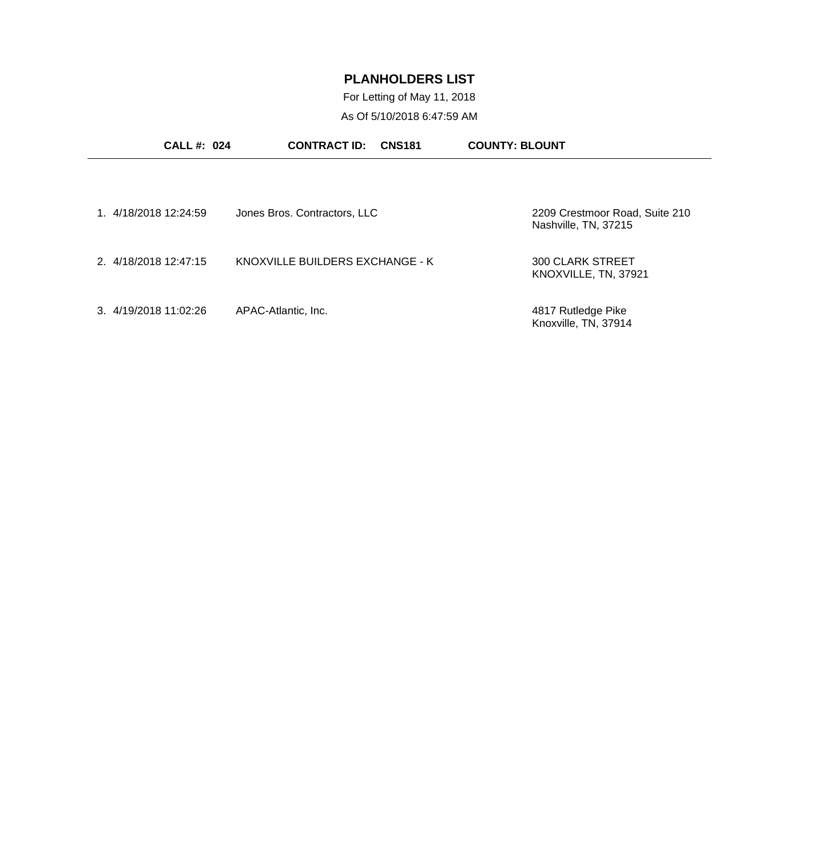For Letting of May 11, 2018 As Of 5/10/2018 6:47:59 AM

| <b>CALL #: 024</b>    | <b>CONTRACT ID:</b><br><b>CNS181</b> | <b>COUNTY: BLOUNT</b>                                  |
|-----------------------|--------------------------------------|--------------------------------------------------------|
|                       |                                      |                                                        |
| 1 4/18/2018 12:24:59  | Jones Bros. Contractors, LLC         | 2209 Crestmoor Road, Suite 210<br>Nashville, TN, 37215 |
| 2. 4/18/2018 12:47:15 | KNOXVILLE BUILDERS EXCHANGE - K      | <b>300 CLARK STREET</b><br>KNOXVILLE, TN, 37921        |
| 3. 4/19/2018 11:02:26 | APAC-Atlantic, Inc.                  | 4817 Rutledge Pike<br>Knoxville, TN, 37914             |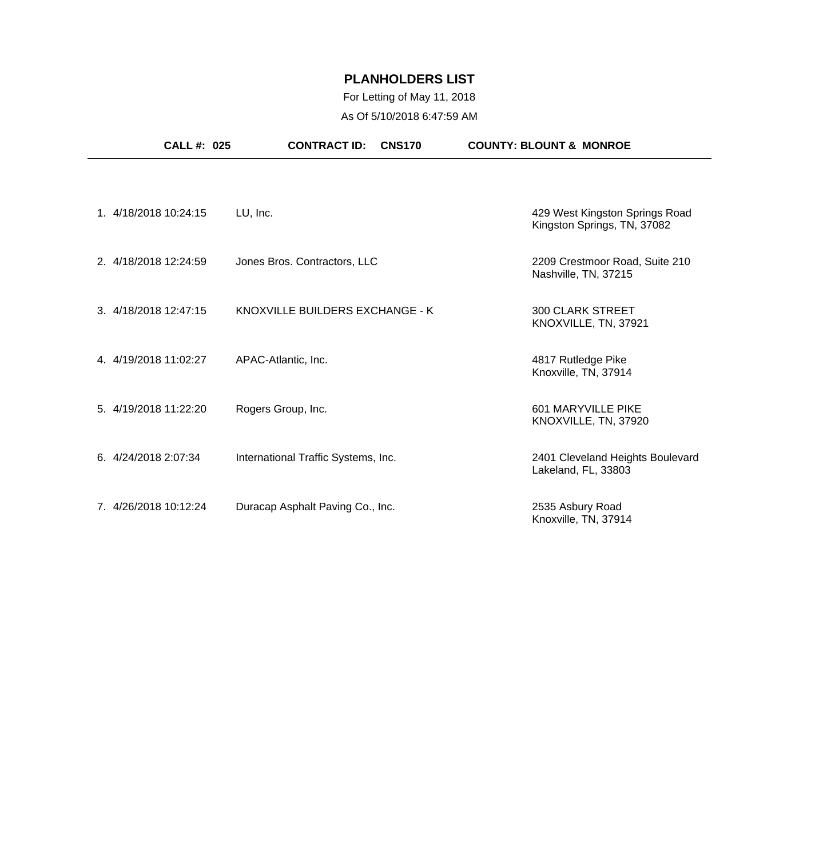## For Letting of May 11, 2018 As Of 5/10/2018 6:47:59 AM

| <b>CALL #: 025</b>    | <b>CONTRACT ID:</b><br><b>CNS170</b> | <b>COUNTY: BLOUNT &amp; MONROE</b>                            |
|-----------------------|--------------------------------------|---------------------------------------------------------------|
| 1. 4/18/2018 10:24:15 | LU, Inc.                             | 429 West Kingston Springs Road<br>Kingston Springs, TN, 37082 |
| 2. 4/18/2018 12:24:59 | Jones Bros. Contractors, LLC         | 2209 Crestmoor Road, Suite 210<br>Nashville, TN, 37215        |
| 3. 4/18/2018 12:47:15 | KNOXVILLE BUILDERS EXCHANGE - K      | <b>300 CLARK STREET</b><br>KNOXVILLE, TN, 37921               |
| 4. 4/19/2018 11:02:27 | APAC-Atlantic, Inc.                  | 4817 Rutledge Pike<br>Knoxville, TN, 37914                    |
| 5. 4/19/2018 11:22:20 | Rogers Group, Inc.                   | 601 MARYVILLE PIKE<br>KNOXVILLE, TN, 37920                    |
| 6. 4/24/2018 2:07:34  | International Traffic Systems, Inc.  | 2401 Cleveland Heights Boulevard<br>Lakeland, FL, 33803       |
| 7. 4/26/2018 10:12:24 | Duracap Asphalt Paving Co., Inc.     | 2535 Asbury Road<br>Knoxville, TN, 37914                      |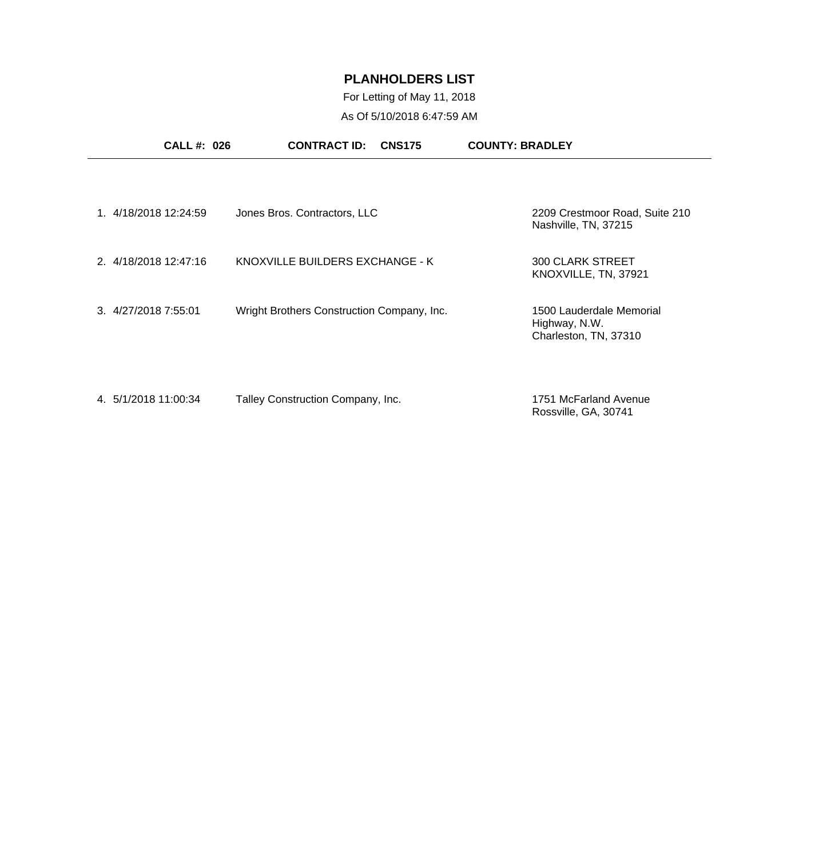## For Letting of May 11, 2018 As Of 5/10/2018 6:47:59 AM

|                       | <b>CALL #: 026</b> | <b>CONTRACT ID:</b>                        | <b>CNS175</b> | <b>COUNTY: BRADLEY</b>                                             |  |
|-----------------------|--------------------|--------------------------------------------|---------------|--------------------------------------------------------------------|--|
|                       |                    |                                            |               |                                                                    |  |
| 1. 4/18/2018 12:24:59 |                    | Jones Bros. Contractors, LLC               |               | 2209 Crestmoor Road, Suite 210<br>Nashville, TN, 37215             |  |
| 2. 4/18/2018 12:47:16 |                    | KNOXVILLE BUILDERS EXCHANGE - K            |               | <b>300 CLARK STREET</b><br>KNOXVILLE, TN, 37921                    |  |
| 3. 4/27/2018 7:55:01  |                    | Wright Brothers Construction Company, Inc. |               | 1500 Lauderdale Memorial<br>Highway, N.W.<br>Charleston, TN, 37310 |  |
| 4. 5/1/2018 11:00:34  |                    | Talley Construction Company, Inc.          |               | 1751 McFarland Avenue<br>Rossville, GA, 30741                      |  |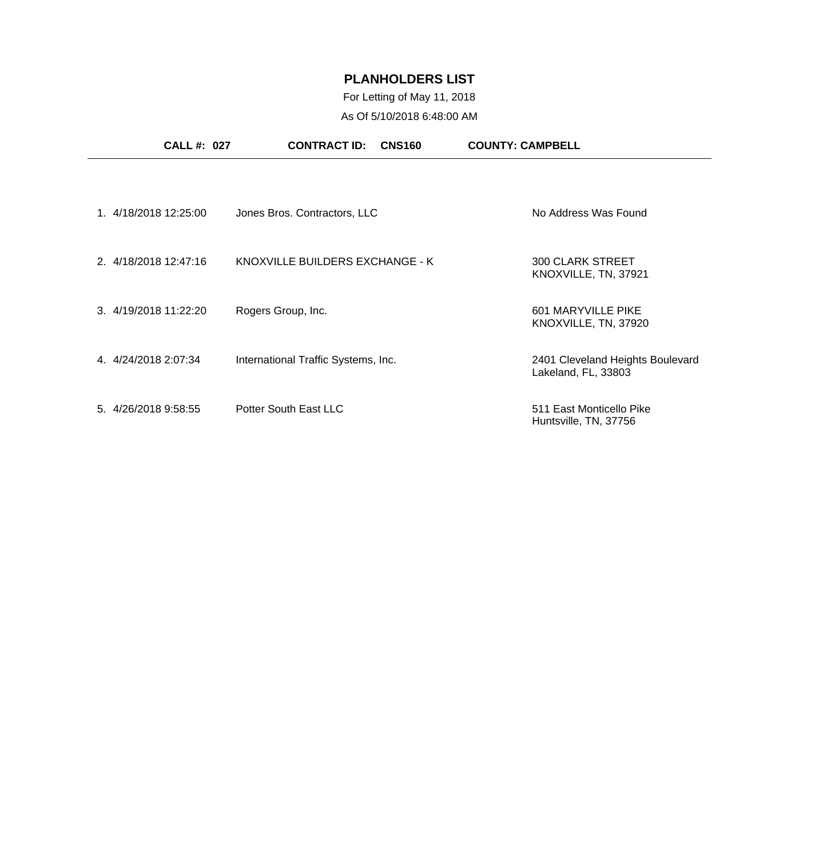## For Letting of May 11, 2018 As Of 5/10/2018 6:48:00 AM

| CALL #: 027           | <b>CONTRACT ID:</b><br><b>CNS160</b> | <b>COUNTY: CAMPBELL</b>                                 |
|-----------------------|--------------------------------------|---------------------------------------------------------|
|                       |                                      |                                                         |
| 1. 4/18/2018 12:25:00 | Jones Bros. Contractors, LLC         | No Address Was Found                                    |
| 2. 4/18/2018 12:47:16 | KNOXVILLE BUILDERS EXCHANGE - K      | <b>300 CLARK STREET</b><br>KNOXVILLE, TN, 37921         |
| 3. 4/19/2018 11:22:20 | Rogers Group, Inc.                   | 601 MARYVILLE PIKE<br>KNOXVILLE, TN, 37920              |
| 4.4/24/2018 2:07:34   | International Traffic Systems, Inc.  | 2401 Cleveland Heights Boulevard<br>Lakeland, FL, 33803 |
| 5. 4/26/2018 9:58:55  | Potter South East LLC                | 511 East Monticello Pike<br>Huntsville, TN, 37756       |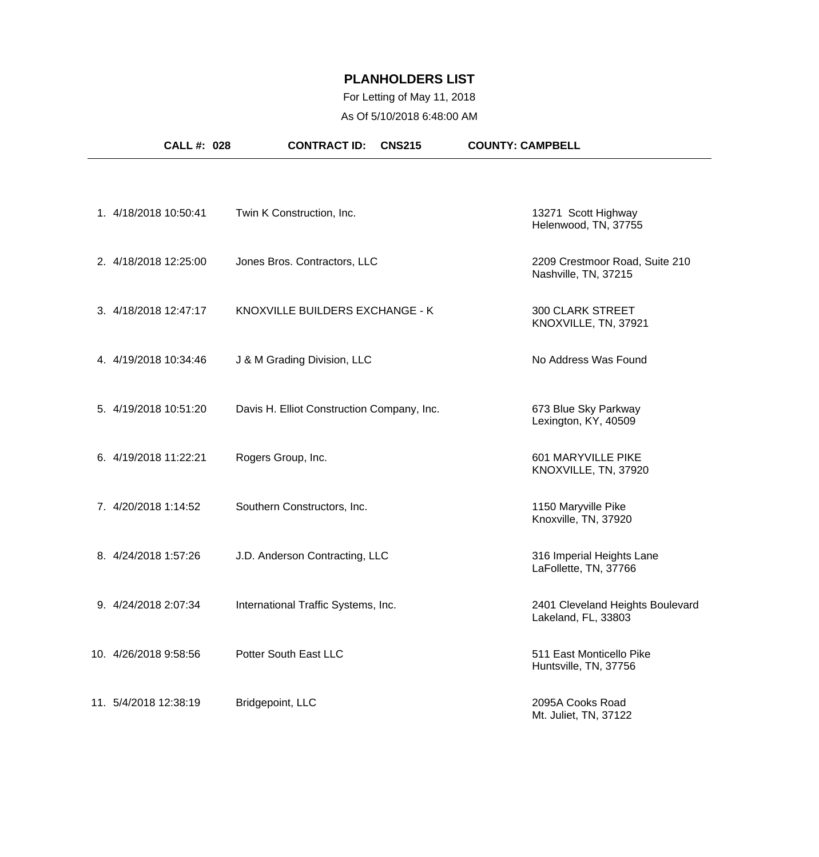## For Letting of May 11, 2018 As Of 5/10/2018 6:48:00 AM

| <b>CALL #: 028</b>    | <b>CONTRACT ID:</b><br><b>CNS215</b>       | <b>COUNTY: CAMPBELL</b>                                 |
|-----------------------|--------------------------------------------|---------------------------------------------------------|
|                       |                                            |                                                         |
| 1. 4/18/2018 10:50:41 | Twin K Construction, Inc.                  | 13271 Scott Highway<br>Helenwood, TN, 37755             |
| 2. 4/18/2018 12:25:00 | Jones Bros. Contractors, LLC               | 2209 Crestmoor Road, Suite 210<br>Nashville, TN, 37215  |
| 3. 4/18/2018 12:47:17 | KNOXVILLE BUILDERS EXCHANGE - K            | <b>300 CLARK STREET</b><br>KNOXVILLE, TN, 37921         |
| 4. 4/19/2018 10:34:46 | J & M Grading Division, LLC                | No Address Was Found                                    |
| 5. 4/19/2018 10:51:20 | Davis H. Elliot Construction Company, Inc. | 673 Blue Sky Parkway<br>Lexington, KY, 40509            |
| 6. 4/19/2018 11:22:21 | Rogers Group, Inc.                         | 601 MARYVILLE PIKE<br>KNOXVILLE, TN, 37920              |
| 7. 4/20/2018 1:14:52  | Southern Constructors, Inc.                | 1150 Maryville Pike<br>Knoxville, TN, 37920             |
| 8. 4/24/2018 1:57:26  | J.D. Anderson Contracting, LLC             | 316 Imperial Heights Lane<br>LaFollette, TN, 37766      |
| 9. 4/24/2018 2:07:34  | International Traffic Systems, Inc.        | 2401 Cleveland Heights Boulevard<br>Lakeland, FL, 33803 |
| 10. 4/26/2018 9:58:56 | Potter South East LLC                      | 511 East Monticello Pike<br>Huntsville, TN, 37756       |
| 11. 5/4/2018 12:38:19 | Bridgepoint, LLC                           | 2095A Cooks Road<br>Mt. Juliet, TN, 37122               |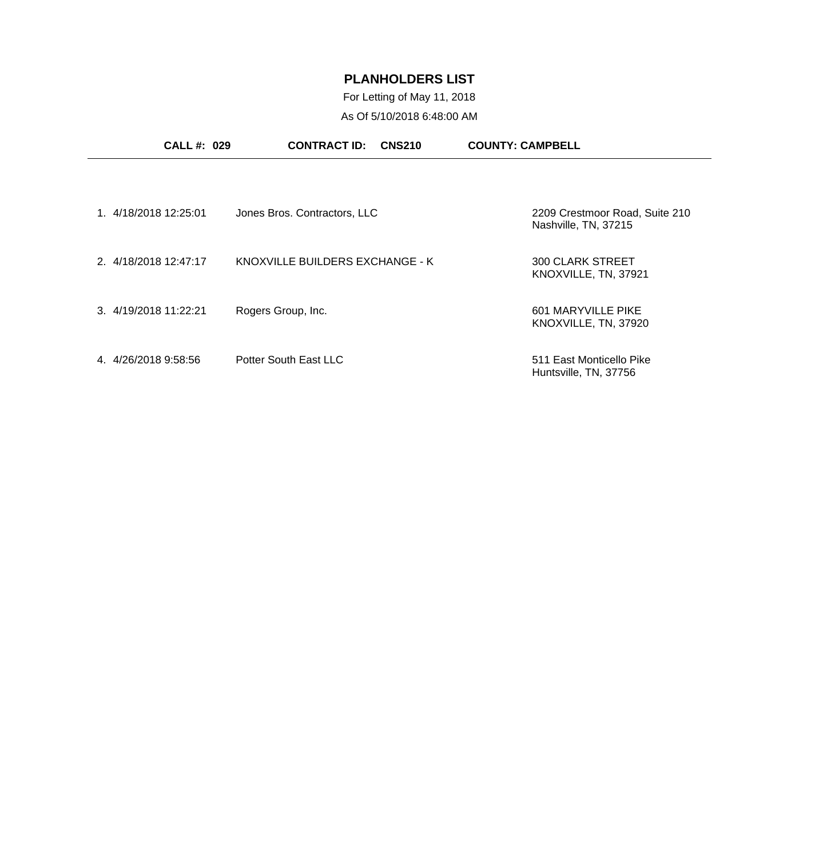For Letting of May 11, 2018 As Of 5/10/2018 6:48:00 AM

| <b>CALL#: 029</b>     | <b>CONTRACT ID:</b><br><b>CNS210</b> | <b>COUNTY: CAMPBELL</b>                                |
|-----------------------|--------------------------------------|--------------------------------------------------------|
|                       |                                      |                                                        |
| 1. 4/18/2018 12:25:01 | Jones Bros. Contractors, LLC         | 2209 Crestmoor Road, Suite 210<br>Nashville, TN, 37215 |
| 2. 4/18/2018 12:47:17 | KNOXVILLE BUILDERS EXCHANGE - K      | 300 CLARK STREET<br>KNOXVILLE, TN, 37921               |
| 3. 4/19/2018 11:22:21 | Rogers Group, Inc.                   | 601 MARYVILLE PIKE<br>KNOXVILLE, TN, 37920             |
| 4.4/26/2018 9:58:56   | Potter South East LLC                | 511 East Monticello Pike<br>Huntsville, TN, 37756      |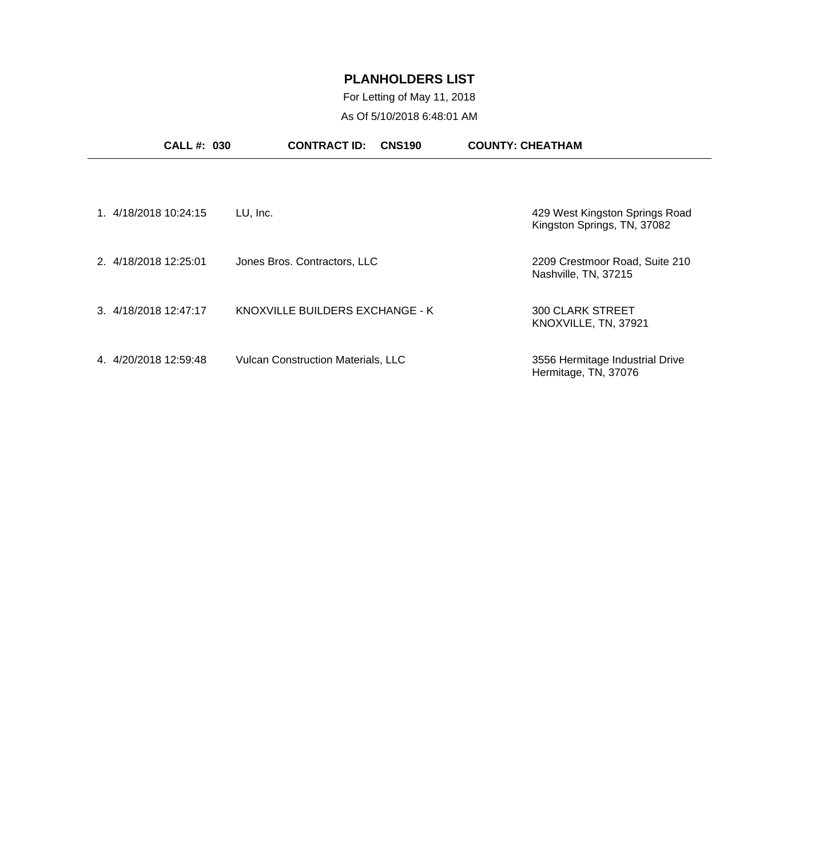## For Letting of May 11, 2018 As Of 5/10/2018 6:48:01 AM

| <b>CALL #: 030</b>    | <b>CONTRACT ID:</b><br><b>CNS190</b>      | <b>COUNTY: CHEATHAM</b>                                       |
|-----------------------|-------------------------------------------|---------------------------------------------------------------|
|                       |                                           |                                                               |
| 1. 4/18/2018 10:24:15 | LU, Inc.                                  | 429 West Kingston Springs Road<br>Kingston Springs, TN, 37082 |
| 2. 4/18/2018 12:25:01 | Jones Bros. Contractors, LLC              | 2209 Crestmoor Road, Suite 210<br>Nashville, TN, 37215        |
| 3. 4/18/2018 12:47:17 | KNOXVILLE BUILDERS EXCHANGE - K           | <b>300 CLARK STREET</b><br>KNOXVILLE, TN, 37921               |
| 4. 4/20/2018 12:59:48 | <b>Vulcan Construction Materials, LLC</b> | 3556 Hermitage Industrial Drive<br>Hermitage, TN, 37076       |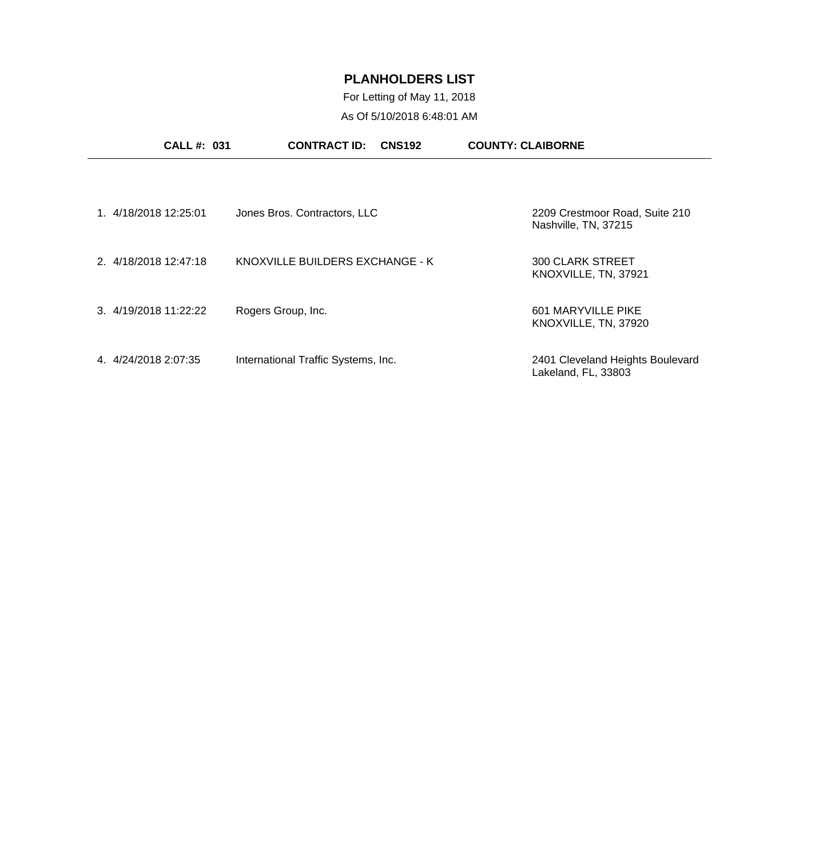For Letting of May 11, 2018 As Of 5/10/2018 6:48:01 AM

| <b>CALL #: 031</b>    | <b>CONTRACT ID:</b><br><b>CNS192</b> | <b>COUNTY: CLAIBORNE</b>                                |
|-----------------------|--------------------------------------|---------------------------------------------------------|
|                       |                                      |                                                         |
| 1. 4/18/2018 12:25:01 | Jones Bros. Contractors, LLC         | 2209 Crestmoor Road, Suite 210<br>Nashville, TN, 37215  |
| 2. 4/18/2018 12:47:18 | KNOXVILLE BUILDERS EXCHANGE - K      | 300 CLARK STREET<br>KNOXVILLE, TN, 37921                |
| 3. 4/19/2018 11:22:22 | Rogers Group, Inc.                   | 601 MARYVILLE PIKE<br>KNOXVILLE, TN, 37920              |
| 4. 4/24/2018 2:07:35  | International Traffic Systems, Inc.  | 2401 Cleveland Heights Boulevard<br>Lakeland, FL, 33803 |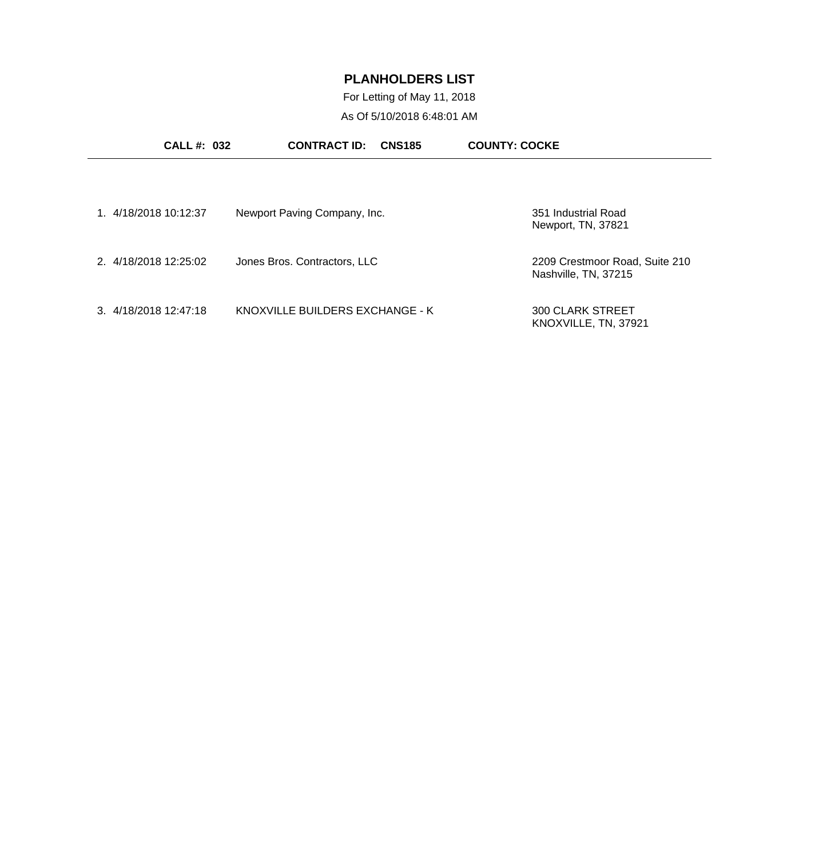For Letting of May 11, 2018 As Of 5/10/2018 6:48:01 AM

| <b>CALL #: 032</b>    | <b>CONTRACT ID:</b><br><b>CNS185</b> | <b>COUNTY: COCKE</b>                                   |
|-----------------------|--------------------------------------|--------------------------------------------------------|
| 1. 4/18/2018 10:12:37 | Newport Paving Company, Inc.         | 351 Industrial Road<br>Newport, TN, 37821              |
| 2. 4/18/2018 12:25:02 | Jones Bros. Contractors, LLC         | 2209 Crestmoor Road, Suite 210<br>Nashville, TN, 37215 |
| 3 4/18/2018 12:47:18  | KNOXVILLE BUILDERS EXCHANGE - K      | 300 CLARK STREET<br>KNOXVILLE, TN, 37921               |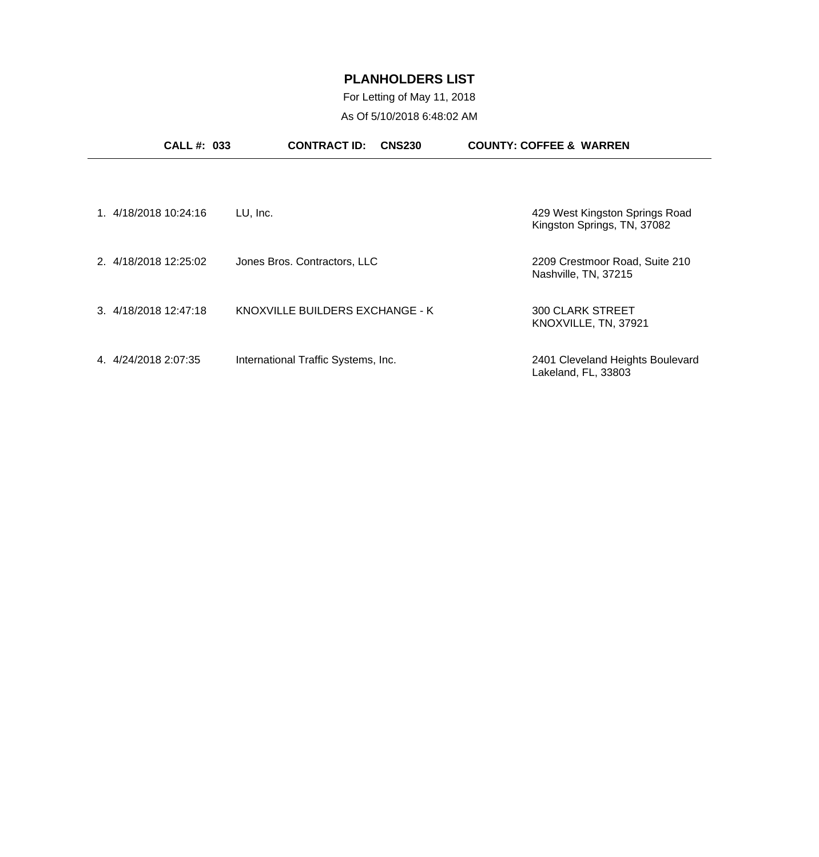## For Letting of May 11, 2018 As Of 5/10/2018 6:48:02 AM

| <b>CALL #: 033</b>    | <b>CONTRACT ID:</b><br><b>CNS230</b> | <b>COUNTY: COFFEE &amp; WARREN</b>                            |
|-----------------------|--------------------------------------|---------------------------------------------------------------|
|                       |                                      |                                                               |
| 1. 4/18/2018 10:24:16 | LU, Inc.                             | 429 West Kingston Springs Road<br>Kingston Springs, TN, 37082 |
| 2. 4/18/2018 12:25:02 | Jones Bros. Contractors, LLC         | 2209 Crestmoor Road, Suite 210<br>Nashville, TN, 37215        |
| 3. 4/18/2018 12:47:18 | KNOXVILLE BUILDERS EXCHANGE - K      | <b>300 CLARK STREET</b><br>KNOXVILLE, TN, 37921               |
| 4.4/24/2018 2:07:35   | International Traffic Systems, Inc.  | 2401 Cleveland Heights Boulevard<br>Lakeland, FL, 33803       |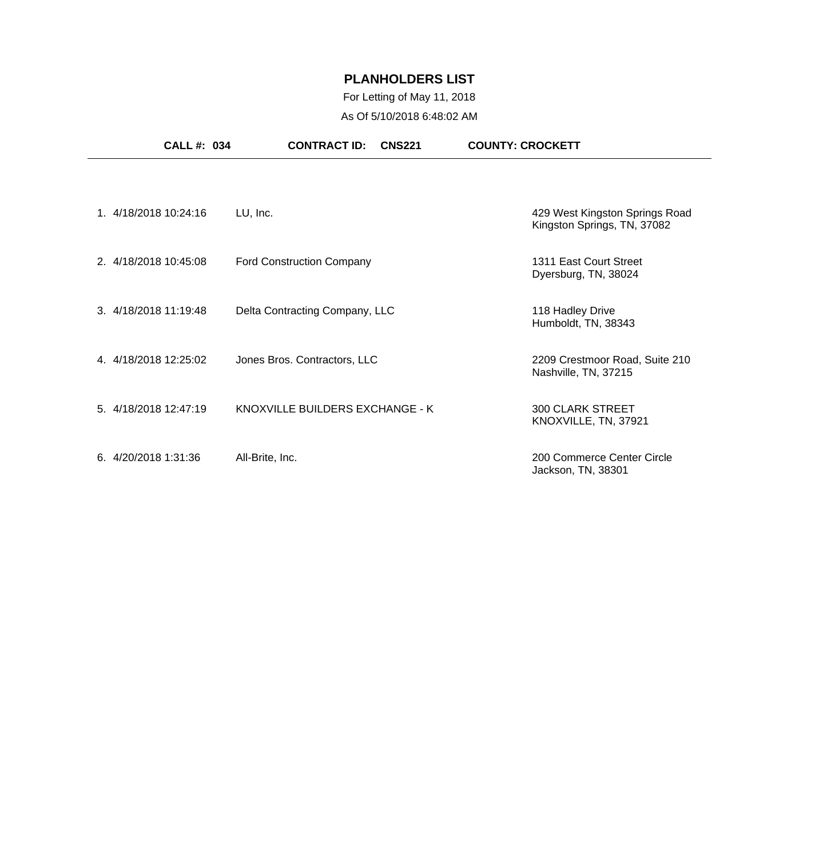## For Letting of May 11, 2018 As Of 5/10/2018 6:48:02 AM

| <b>CALL #: 034</b>    | <b>CONTRACT ID:</b><br><b>CNS221</b> | <b>COUNTY: CROCKETT</b>                                       |
|-----------------------|--------------------------------------|---------------------------------------------------------------|
|                       |                                      |                                                               |
| 1. 4/18/2018 10:24:16 | LU, Inc.                             | 429 West Kingston Springs Road<br>Kingston Springs, TN, 37082 |
| 2. 4/18/2018 10:45:08 | <b>Ford Construction Company</b>     | 1311 East Court Street<br>Dyersburg, TN, 38024                |
| 3. 4/18/2018 11:19:48 | Delta Contracting Company, LLC       | 118 Hadley Drive<br>Humboldt, TN, 38343                       |
| 4. 4/18/2018 12:25:02 | Jones Bros. Contractors, LLC         | 2209 Crestmoor Road, Suite 210<br>Nashville, TN, 37215        |
| 5. 4/18/2018 12:47:19 | KNOXVILLE BUILDERS EXCHANGE - K      | <b>300 CLARK STREET</b><br>KNOXVILLE, TN, 37921               |
| 6.4/20/20181:31:36    | All-Brite, Inc.                      | 200 Commerce Center Circle<br>Jackson, TN, 38301              |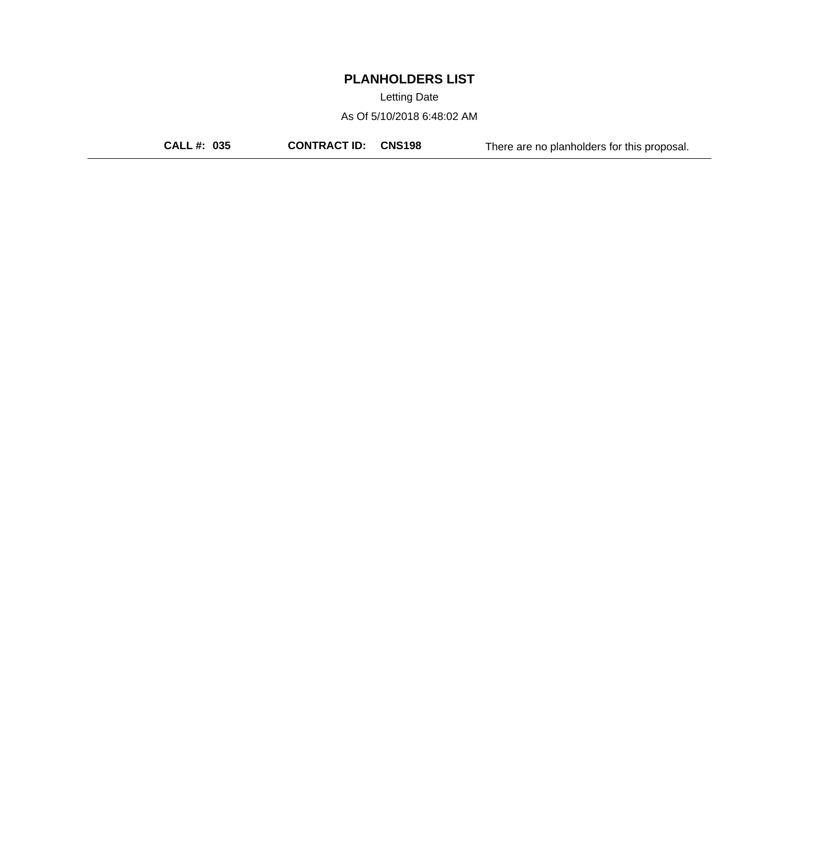Letting Date

As Of 5/10/2018 6:48:02 AM

**CALL #: 035 CONTRACT ID: CNS198** There are no planholders for this proposal.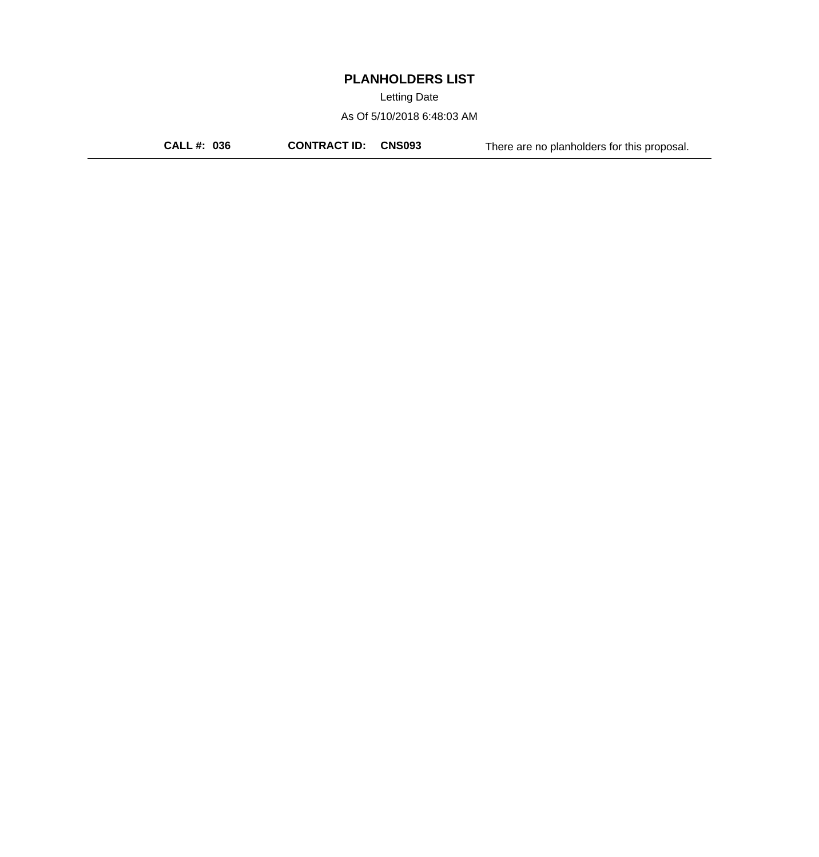Letting Date

As Of 5/10/2018 6:48:03 AM

**CALL #: 036 CONTRACT ID: CNS093** There are no planholders for this proposal.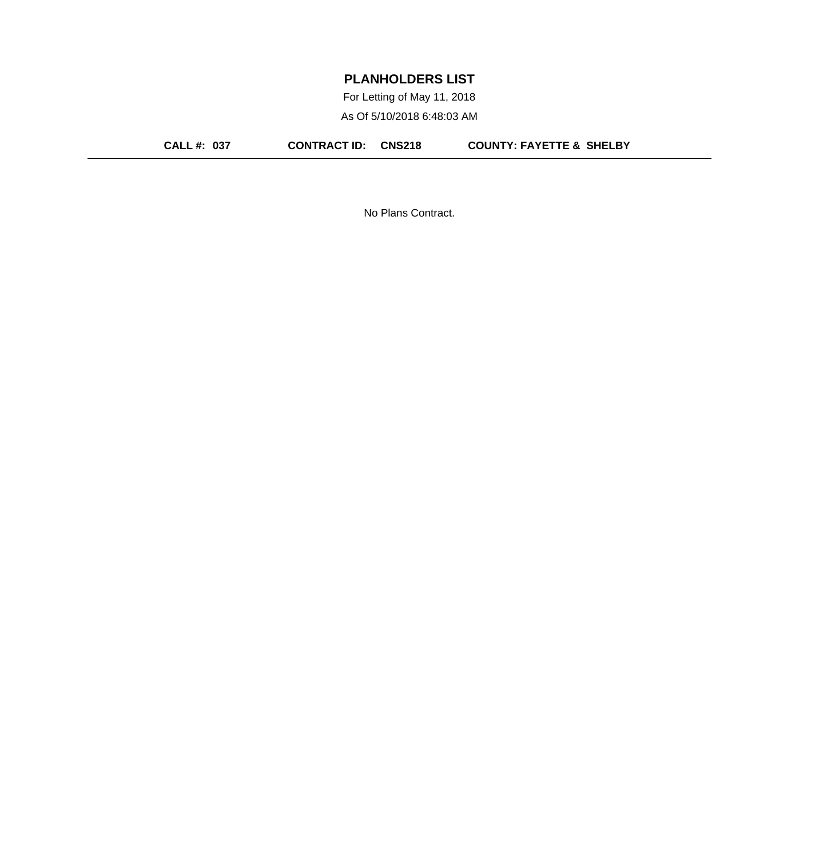For Letting of May 11, 2018 As Of 5/10/2018 6:48:03 AM

**CALL #: 037 CONTRACT ID: CNS218 COUNTY: FAYETTE & SHELBY**

No Plans Contract.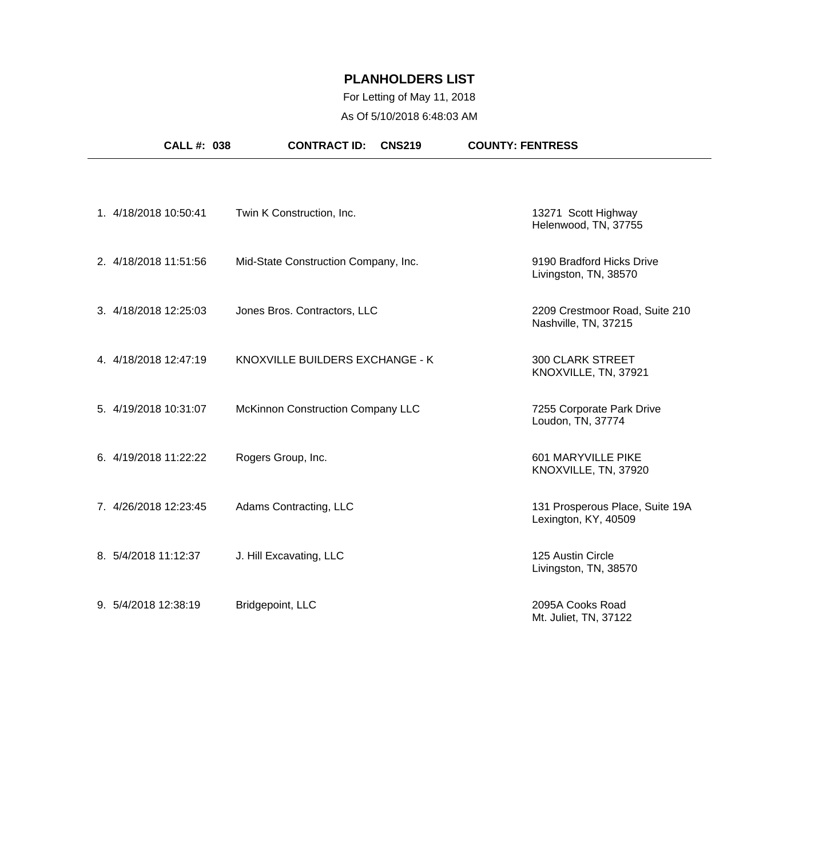## For Letting of May 11, 2018 As Of 5/10/2018 6:48:03 AM

|                      | <b>CALL #: 038</b>    | <b>CONTRACT ID:</b><br><b>CNS219</b> | <b>COUNTY: FENTRESS</b>                                 |
|----------------------|-----------------------|--------------------------------------|---------------------------------------------------------|
|                      |                       |                                      |                                                         |
|                      | 1. 4/18/2018 10:50:41 | Twin K Construction, Inc.            | 13271 Scott Highway<br>Helenwood, TN, 37755             |
|                      | 2. 4/18/2018 11:51:56 | Mid-State Construction Company, Inc. | 9190 Bradford Hicks Drive<br>Livingston, TN, 38570      |
|                      | 3. 4/18/2018 12:25:03 | Jones Bros. Contractors, LLC         | 2209 Crestmoor Road, Suite 210<br>Nashville, TN, 37215  |
|                      | 4. 4/18/2018 12:47:19 | KNOXVILLE BUILDERS EXCHANGE - K      | <b>300 CLARK STREET</b><br>KNOXVILLE, TN, 37921         |
|                      | 5. 4/19/2018 10:31:07 | McKinnon Construction Company LLC    | 7255 Corporate Park Drive<br>Loudon, TN, 37774          |
|                      | 6. 4/19/2018 11:22:22 | Rogers Group, Inc.                   | 601 MARYVILLE PIKE<br>KNOXVILLE, TN, 37920              |
|                      | 7. 4/26/2018 12:23:45 | Adams Contracting, LLC               | 131 Prosperous Place, Suite 19A<br>Lexington, KY, 40509 |
| 8. 5/4/2018 11:12:37 |                       | J. Hill Excavating, LLC              | 125 Austin Circle<br>Livingston, TN, 38570              |
| 9. 5/4/2018 12:38:19 |                       | Bridgepoint, LLC                     | 2095A Cooks Road<br>Mt. Juliet, TN, 37122               |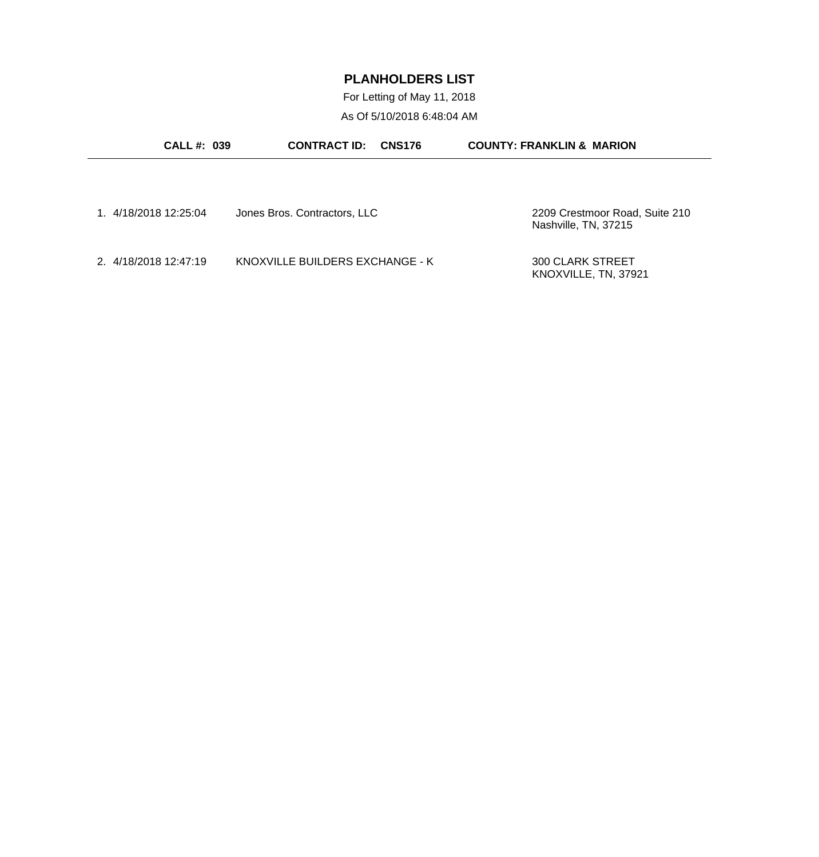For Letting of May 11, 2018 As Of 5/10/2018 6:48:04 AM

| <b>CALL #: 039</b>    | <b>CONTRACT ID:</b><br><b>CNS176</b> | <b>COUNTY: FRANKLIN &amp; MARION</b>                   |
|-----------------------|--------------------------------------|--------------------------------------------------------|
|                       |                                      |                                                        |
| 1. 4/18/2018 12:25:04 | Jones Bros. Contractors, LLC         | 2209 Crestmoor Road, Suite 210<br>Nashville, TN, 37215 |
| 2. 4/18/2018 12:47:19 | KNOXVILLE BUILDERS EXCHANGE - K      | <b>300 CLARK STREET</b><br>KNOXVILLE, TN, 37921        |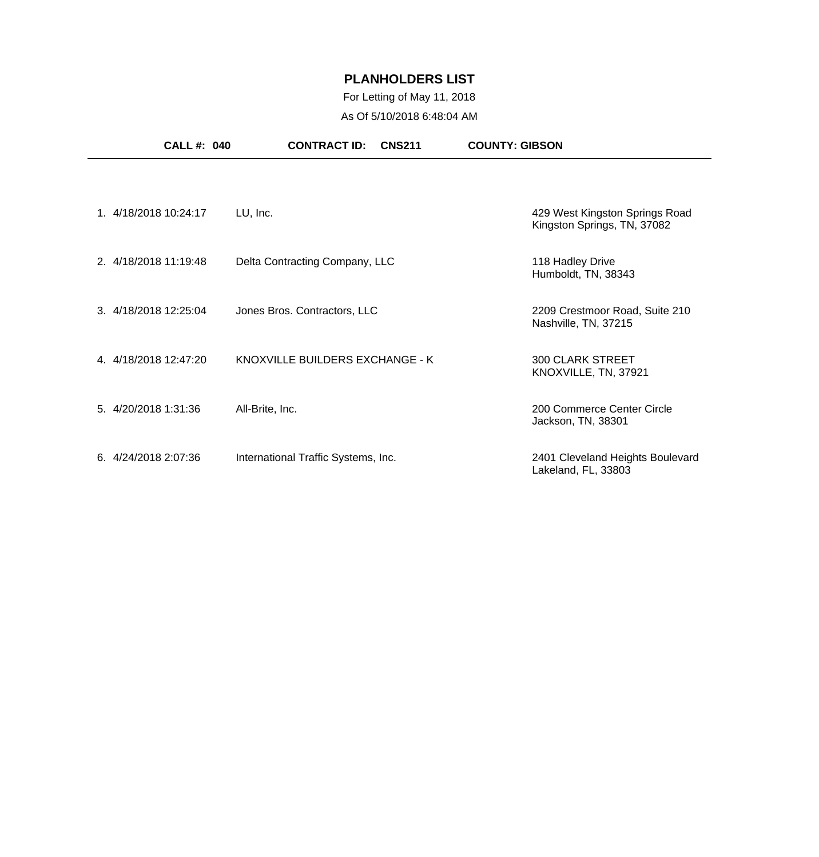## For Letting of May 11, 2018 As Of 5/10/2018 6:48:04 AM

| <b>CALL #: 040</b>    | <b>CONTRACT ID:</b><br><b>CNS211</b> | <b>COUNTY: GIBSON</b>                                         |
|-----------------------|--------------------------------------|---------------------------------------------------------------|
|                       |                                      |                                                               |
| 1. 4/18/2018 10:24:17 | LU, Inc.                             | 429 West Kingston Springs Road<br>Kingston Springs, TN, 37082 |
| 2. 4/18/2018 11:19:48 | Delta Contracting Company, LLC       | 118 Hadley Drive<br>Humboldt, TN, 38343                       |
| 3. 4/18/2018 12:25:04 | Jones Bros. Contractors, LLC         | 2209 Crestmoor Road, Suite 210<br>Nashville, TN, 37215        |
| 4. 4/18/2018 12:47:20 | KNOXVILLE BUILDERS EXCHANGE - K      | <b>300 CLARK STREET</b><br>KNOXVILLE, TN, 37921               |
| 5. 4/20/2018 1:31:36  | All-Brite, Inc.                      | 200 Commerce Center Circle<br>Jackson, TN, 38301              |
| 6.4/24/20182:07:36    | International Traffic Systems, Inc.  | 2401 Cleveland Heights Boulevard<br>Lakeland, FL, 33803       |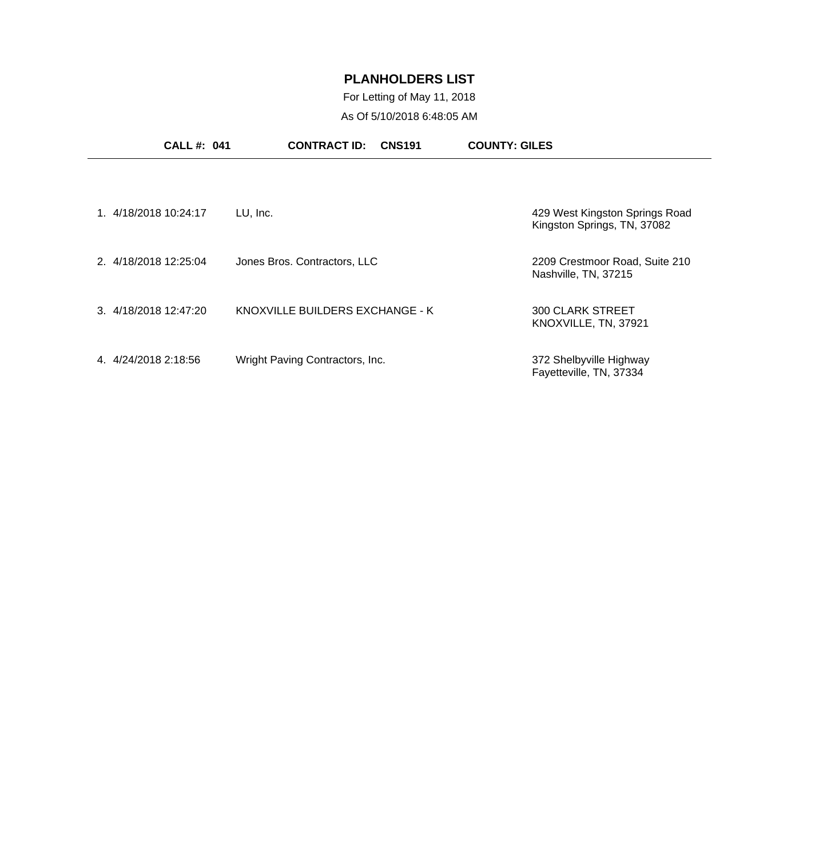## For Letting of May 11, 2018 As Of 5/10/2018 6:48:05 AM

| <b>CALL #: 041</b>    | <b>CONTRACT ID:</b><br><b>CNS191</b> | <b>COUNTY: GILES</b>                                          |
|-----------------------|--------------------------------------|---------------------------------------------------------------|
| 1. 4/18/2018 10:24:17 | LU, Inc.                             | 429 West Kingston Springs Road<br>Kingston Springs, TN, 37082 |
| 2. 4/18/2018 12:25:04 | Jones Bros. Contractors, LLC         | 2209 Crestmoor Road, Suite 210<br>Nashville, TN, 37215        |
| 3. 4/18/2018 12:47:20 | KNOXVILLE BUILDERS EXCHANGE - K      | 300 CLARK STREET<br>KNOXVILLE, TN, 37921                      |
| 4. 4/24/2018 2:18:56  | Wright Paving Contractors, Inc.      | 372 Shelbyville Highway<br>Fayetteville, TN, 37334            |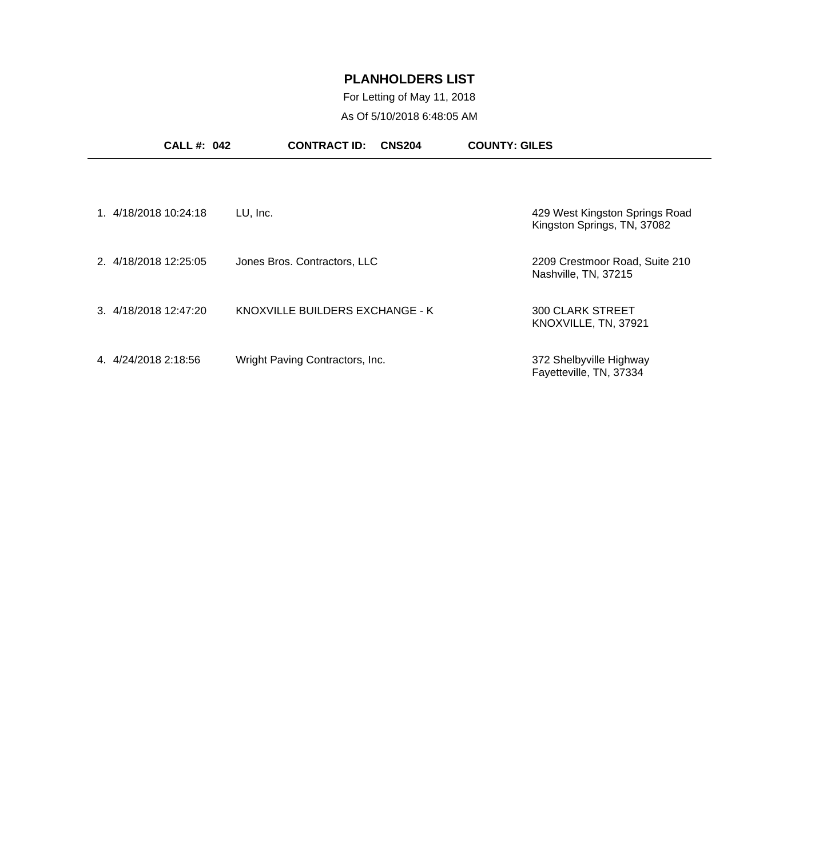## For Letting of May 11, 2018 As Of 5/10/2018 6:48:05 AM

|                       | <b>CALL #: 042</b> | <b>CONTRACT ID:</b>             | <b>CNS204</b> | <b>COUNTY: GILES</b>                                          |  |
|-----------------------|--------------------|---------------------------------|---------------|---------------------------------------------------------------|--|
|                       |                    |                                 |               |                                                               |  |
| 1. 4/18/2018 10:24:18 | LU, Inc.           |                                 |               | 429 West Kingston Springs Road<br>Kingston Springs, TN, 37082 |  |
| 2. 4/18/2018 12:25:05 |                    | Jones Bros. Contractors, LLC    |               | 2209 Crestmoor Road, Suite 210<br>Nashville, TN, 37215        |  |
| 3. 4/18/2018 12:47:20 |                    | KNOXVILLE BUILDERS EXCHANGE - K |               | <b>300 CLARK STREET</b><br>KNOXVILLE, TN, 37921               |  |
| 4. 4/24/2018 2:18:56  |                    | Wright Paving Contractors, Inc. |               | 372 Shelbyville Highway<br>Fayetteville, TN, 37334            |  |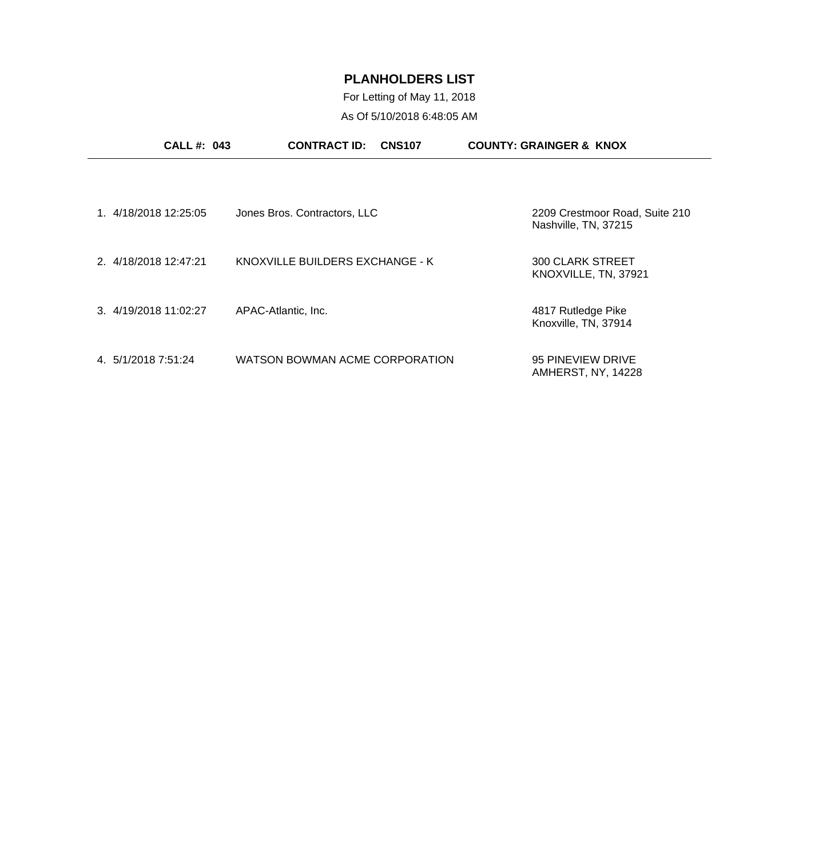For Letting of May 11, 2018 As Of 5/10/2018 6:48:05 AM

| <b>CALL #: 043</b>    | <b>CONTRACT ID:</b>             | <b>CNS107</b> | <b>COUNTY: GRAINGER &amp; KNOX</b>                     |  |
|-----------------------|---------------------------------|---------------|--------------------------------------------------------|--|
|                       |                                 |               |                                                        |  |
| 1. 4/18/2018 12:25:05 | Jones Bros. Contractors, LLC    |               | 2209 Crestmoor Road, Suite 210<br>Nashville, TN, 37215 |  |
| 2. 4/18/2018 12:47:21 | KNOXVILLE BUILDERS EXCHANGE - K |               | <b>300 CLARK STREET</b><br>KNOXVILLE, TN, 37921        |  |
| 3. 4/19/2018 11:02:27 | APAC-Atlantic, Inc.             |               | 4817 Rutledge Pike<br>Knoxville, TN, 37914             |  |
| 4. 5/1/2018 7:51:24   | WATSON BOWMAN ACME CORPORATION  |               | 95 PINEVIEW DRIVE<br>AMHERST, NY, 14228                |  |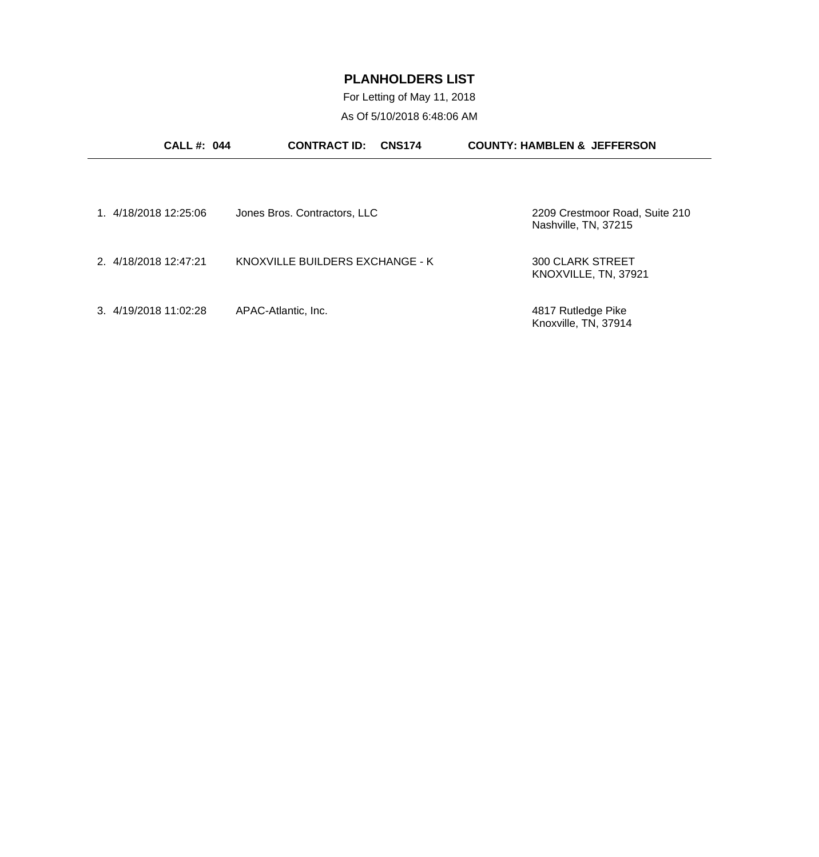For Letting of May 11, 2018 As Of 5/10/2018 6:48:06 AM

| <b>CALL#: 044</b>     | <b>CONTRACT ID:</b><br><b>CNS174</b> | <b>COUNTY: HAMBLEN &amp; JEFFERSON</b>                 |
|-----------------------|--------------------------------------|--------------------------------------------------------|
|                       |                                      |                                                        |
| 1. 4/18/2018 12:25:06 | Jones Bros. Contractors, LLC         | 2209 Crestmoor Road, Suite 210<br>Nashville, TN, 37215 |
| 2. 4/18/2018 12:47:21 | KNOXVILLE BUILDERS EXCHANGE - K      | <b>300 CLARK STREET</b><br>KNOXVILLE, TN, 37921        |
| 3. 4/19/2018 11:02:28 | APAC-Atlantic, Inc.                  | 4817 Rutledge Pike<br>Knoxville, TN, 37914             |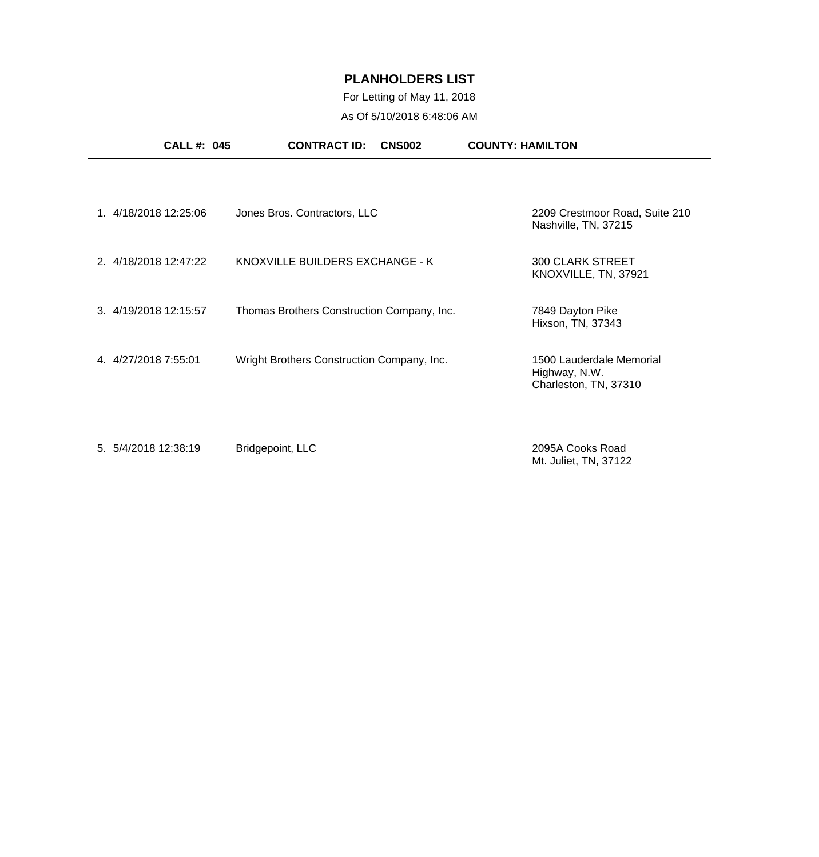For Letting of May 11, 2018 As Of 5/10/2018 6:48:06 AM

| <b>CALL #: 045</b>    | <b>CONTRACT ID:</b><br><b>CNS002</b>       | <b>COUNTY: HAMILTON</b>                                            |
|-----------------------|--------------------------------------------|--------------------------------------------------------------------|
| 1. 4/18/2018 12:25:06 | Jones Bros. Contractors, LLC               | 2209 Crestmoor Road, Suite 210<br>Nashville, TN, 37215             |
| 2. 4/18/2018 12:47:22 | KNOXVILLE BUILDERS EXCHANGE - K            | <b>300 CLARK STREET</b><br>KNOXVILLE, TN, 37921                    |
| 3. 4/19/2018 12:15:57 | Thomas Brothers Construction Company, Inc. | 7849 Dayton Pike<br>Hixson, TN, 37343                              |
| 4. 4/27/2018 7:55:01  | Wright Brothers Construction Company, Inc. | 1500 Lauderdale Memorial<br>Highway, N.W.<br>Charleston, TN, 37310 |
| 5. 5/4/2018 12:38:19  | Bridgepoint, LLC                           | 2095A Cooks Road<br>Mt. Juliet, TN, 37122                          |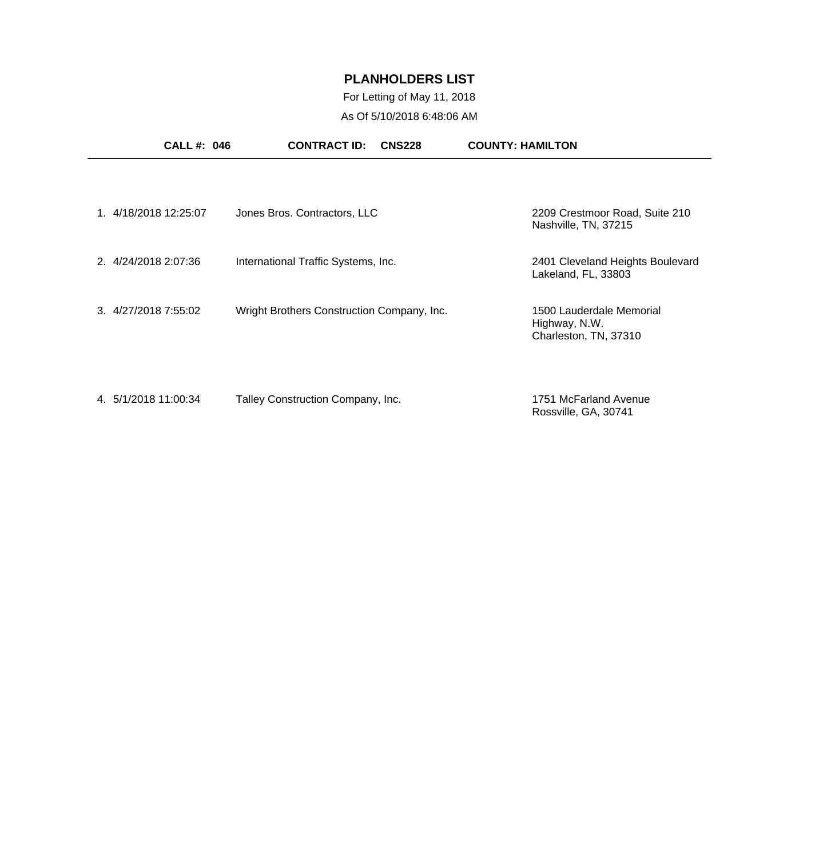## For Letting of May 11, 2018 As Of 5/10/2018 6:48:06 AM

|                      | <b>CALL #: 046</b> | <b>CONTRACT ID:</b>                        | <b>CNS228</b> | <b>COUNTY: HAMILTON</b>                                            |
|----------------------|--------------------|--------------------------------------------|---------------|--------------------------------------------------------------------|
|                      |                    |                                            |               |                                                                    |
| 1.4/18/2018 12:25:07 |                    | Jones Bros. Contractors, LLC               |               | 2209 Crestmoor Road, Suite 210<br>Nashville, TN, 37215             |
| 2. 4/24/2018 2:07:36 |                    | International Traffic Systems, Inc.        |               | 2401 Cleveland Heights Boulevard<br>Lakeland, FL, 33803            |
| 3. 4/27/2018 7:55:02 |                    | Wright Brothers Construction Company, Inc. |               | 1500 Lauderdale Memorial<br>Highway, N.W.<br>Charleston, TN, 37310 |
| 4. 5/1/2018 11:00:34 |                    | Talley Construction Company, Inc.          |               | 1751 McFarland Avenue<br>Rossville, GA, 30741                      |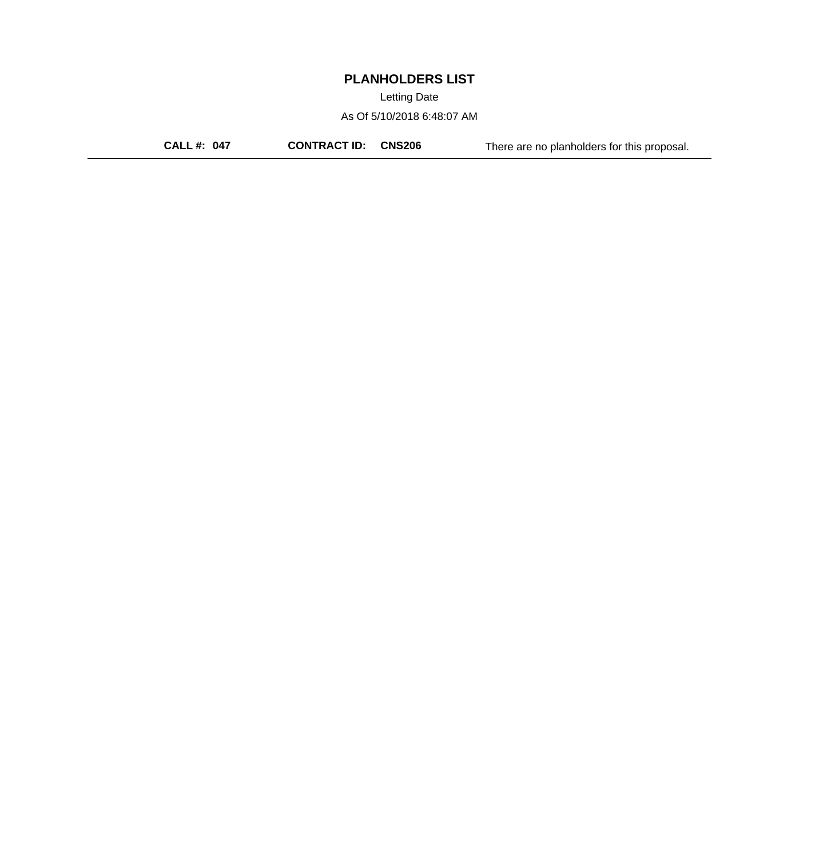Letting Date

As Of 5/10/2018 6:48:07 AM

**CALL #: 047 CONTRACT ID: CNS206** There are no planholders for this proposal.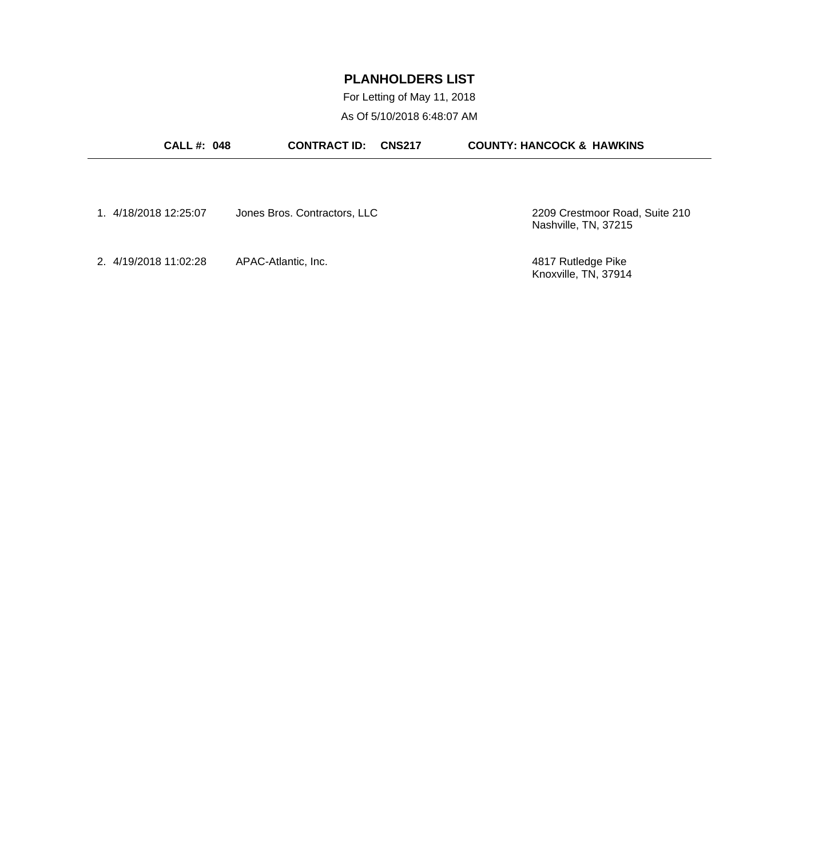For Letting of May 11, 2018 As Of 5/10/2018 6:48:07 AM

| <b>CALL #: 048</b>    | <b>CONTRACT ID:</b>          | <b>CNS217</b> | <b>COUNTY: HANCOCK &amp; HAWKINS</b>       |
|-----------------------|------------------------------|---------------|--------------------------------------------|
| 1. 4/18/2018 12:25:07 | Jones Bros. Contractors, LLC |               | 2209 Crestmoor Road, Suite 210             |
|                       |                              |               | Nashville, TN, 37215                       |
| 2. 4/19/2018 11:02:28 | APAC-Atlantic, Inc.          |               | 4817 Rutledge Pike<br>Knoxville, TN, 37914 |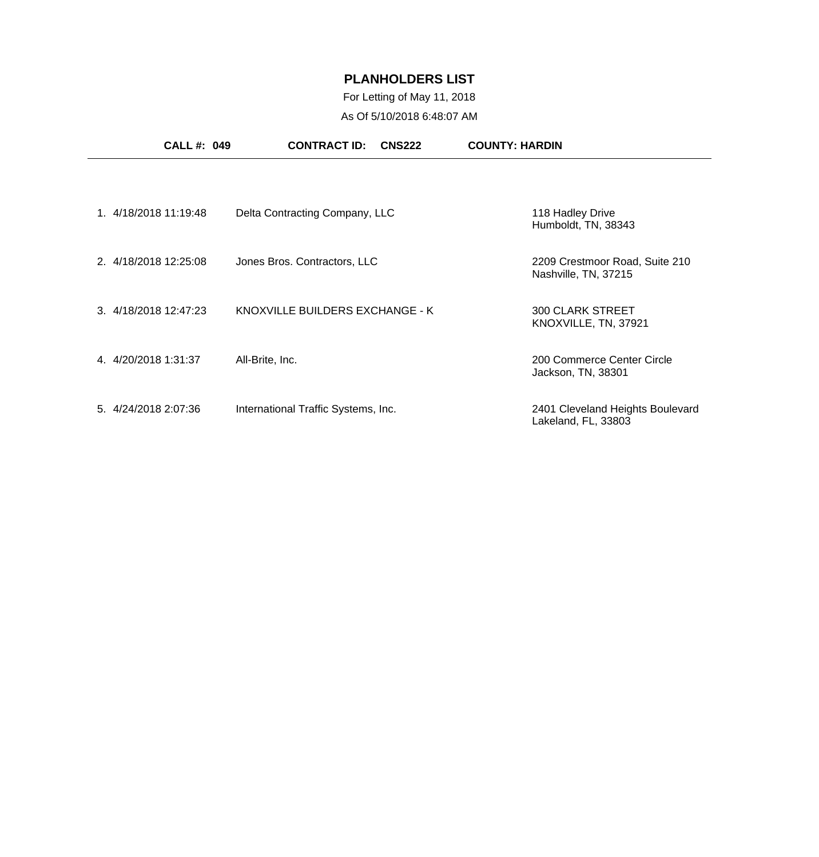## For Letting of May 11, 2018 As Of 5/10/2018 6:48:07 AM

|                       | <b>CALL#: 049</b>     | <b>CONTRACT ID:</b><br><b>CNS222</b> | <b>COUNTY: HARDIN</b>                                   |
|-----------------------|-----------------------|--------------------------------------|---------------------------------------------------------|
|                       |                       |                                      |                                                         |
|                       | 1. 4/18/2018 11:19:48 | Delta Contracting Company, LLC       | 118 Hadley Drive<br>Humboldt, TN, 38343                 |
| 2. 4/18/2018 12:25:08 |                       | Jones Bros. Contractors, LLC         | 2209 Crestmoor Road, Suite 210<br>Nashville, TN, 37215  |
| 3. 4/18/2018 12:47:23 |                       | KNOXVILLE BUILDERS EXCHANGE - K      | <b>300 CLARK STREET</b><br>KNOXVILLE, TN, 37921         |
| 4. 4/20/2018 1:31:37  |                       | All-Brite, Inc.                      | 200 Commerce Center Circle<br>Jackson, TN, 38301        |
| 5. 4/24/2018 2:07:36  |                       | International Traffic Systems, Inc.  | 2401 Cleveland Heights Boulevard<br>Lakeland, FL, 33803 |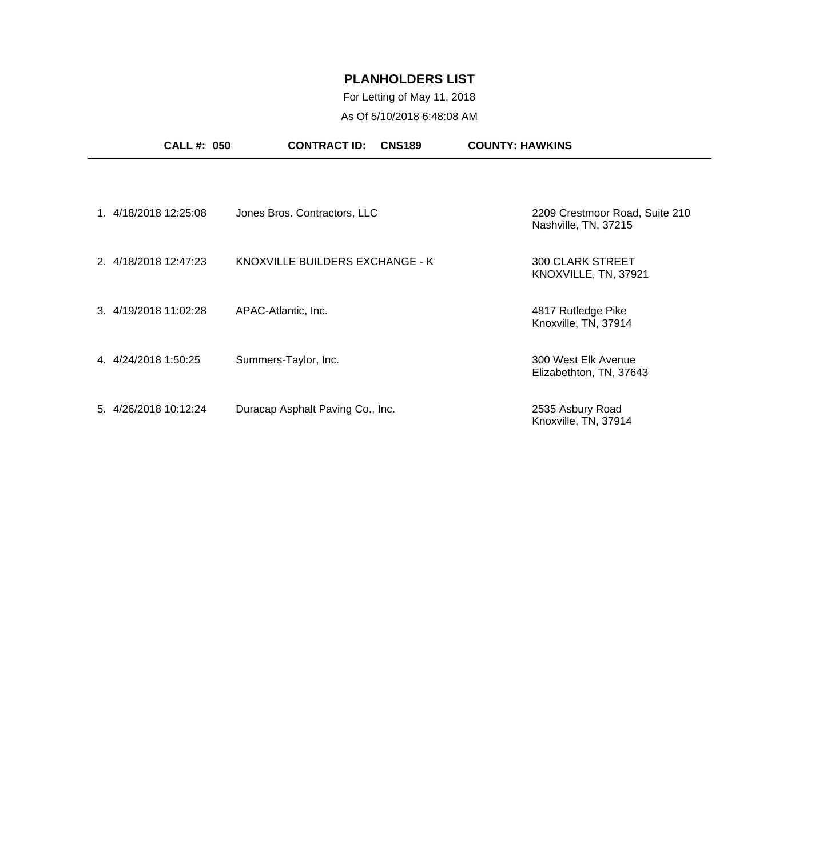## For Letting of May 11, 2018 As Of 5/10/2018 6:48:08 AM

| <b>CALL #: 050</b>    | <b>CONTRACT ID:</b><br><b>CNS189</b> | <b>COUNTY: HAWKINS</b>                                 |
|-----------------------|--------------------------------------|--------------------------------------------------------|
|                       |                                      |                                                        |
| 1. 4/18/2018 12:25:08 | Jones Bros. Contractors, LLC         | 2209 Crestmoor Road, Suite 210<br>Nashville, TN, 37215 |
| 2. 4/18/2018 12:47:23 | KNOXVILLE BUILDERS EXCHANGE - K      | <b>300 CLARK STREET</b><br>KNOXVILLE, TN, 37921        |
| 3. 4/19/2018 11:02:28 | APAC-Atlantic, Inc.                  | 4817 Rutledge Pike<br>Knoxville, TN, 37914             |
| 4. 4/24/2018 1:50:25  | Summers-Taylor, Inc.                 | 300 West Elk Avenue<br>Elizabethton, TN, 37643         |
| 5. 4/26/2018 10:12:24 | Duracap Asphalt Paving Co., Inc.     | 2535 Asbury Road<br>Knoxville, TN, 37914               |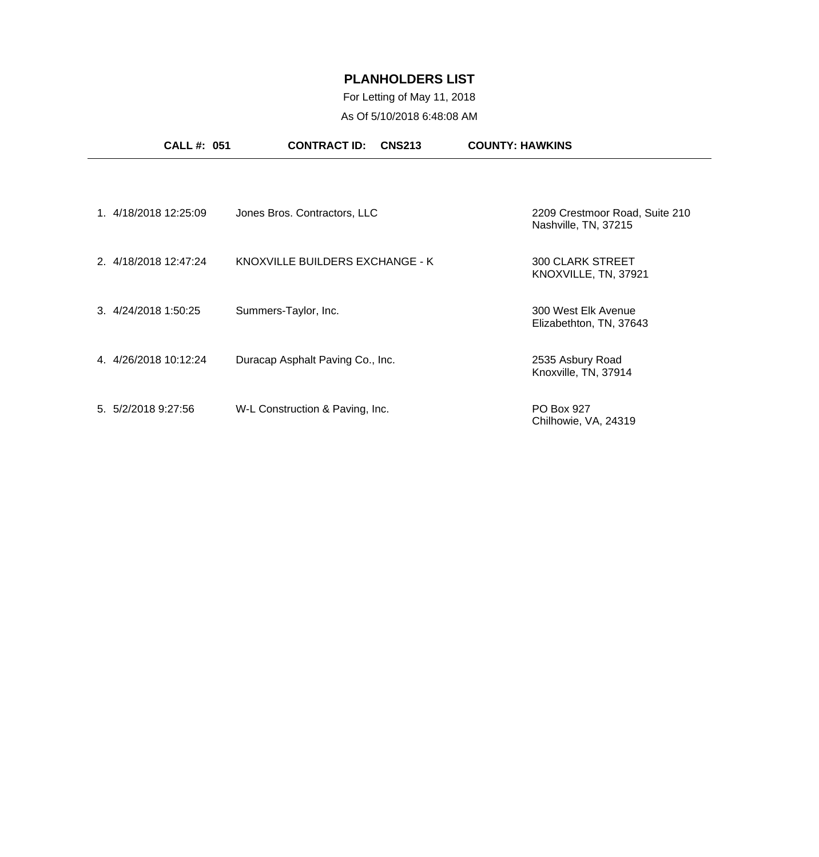## For Letting of May 11, 2018 As Of 5/10/2018 6:48:08 AM

|                     | <b>CALL #: 051</b>    | <b>CONTRACT ID:</b><br><b>CNS213</b> | <b>COUNTY: HAWKINS</b>                                 |
|---------------------|-----------------------|--------------------------------------|--------------------------------------------------------|
|                     |                       |                                      |                                                        |
|                     | 1. 4/18/2018 12:25:09 | Jones Bros. Contractors, LLC         | 2209 Crestmoor Road, Suite 210<br>Nashville, TN, 37215 |
|                     | 2. 4/18/2018 12:47:24 | KNOXVILLE BUILDERS EXCHANGE - K      | <b>300 CLARK STREET</b><br>KNOXVILLE, TN, 37921        |
|                     | 3. 4/24/2018 1:50:25  | Summers-Taylor, Inc.                 | 300 West Elk Avenue<br>Elizabethton, TN, 37643         |
|                     | 4. 4/26/2018 10:12:24 | Duracap Asphalt Paving Co., Inc.     | 2535 Asbury Road<br>Knoxville, TN, 37914               |
| 5. 5/2/2018 9:27:56 |                       | W-L Construction & Paving, Inc.      | PO Box 927<br>Chilhowie, VA, 24319                     |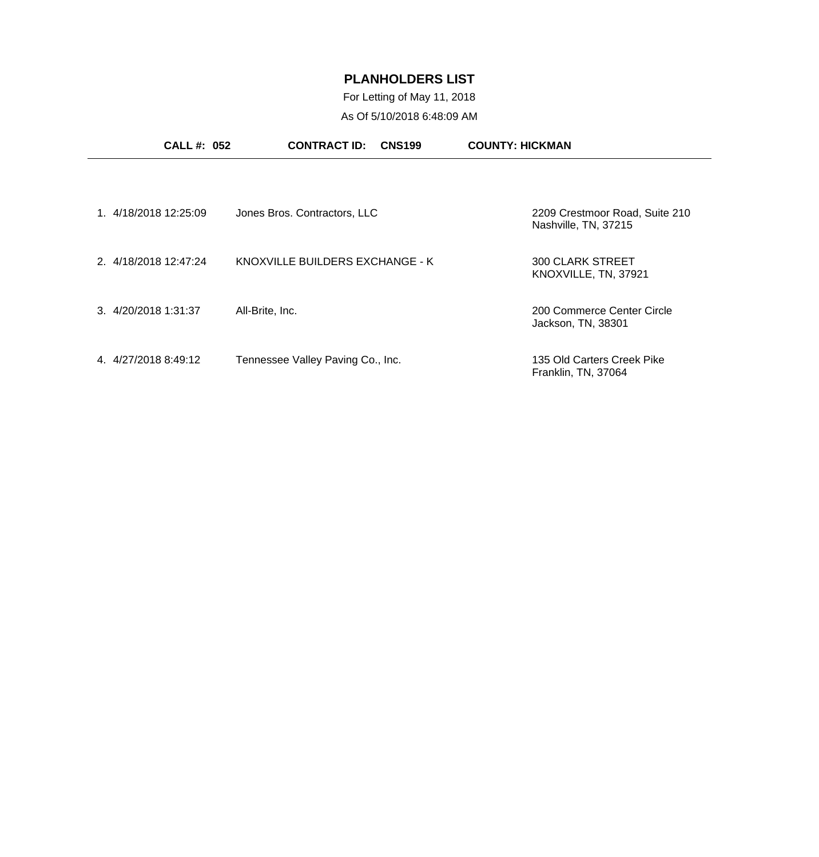For Letting of May 11, 2018 As Of 5/10/2018 6:48:09 AM

|                        | <b>CALL #: 052</b> | <b>CONTRACT ID:</b>               | <b>CNS199</b> | <b>COUNTY: HICKMAN</b>                                 |
|------------------------|--------------------|-----------------------------------|---------------|--------------------------------------------------------|
| 1. 4/18/2018 12:25:09  |                    | Jones Bros. Contractors, LLC      |               | 2209 Crestmoor Road, Suite 210<br>Nashville, TN, 37215 |
| 2. 4/18/2018 12:47:24  |                    | KNOXVILLE BUILDERS EXCHANGE - K   |               | 300 CLARK STREET<br>KNOXVILLE, TN, 37921               |
| 3.4/20/20181:31:37     |                    | All-Brite, Inc.                   |               | 200 Commerce Center Circle<br>Jackson, TN, 38301       |
| 4/27/2018 8:49:12<br>4 |                    | Tennessee Valley Paving Co., Inc. |               | 135 Old Carters Creek Pike<br>Franklin, TN, 37064      |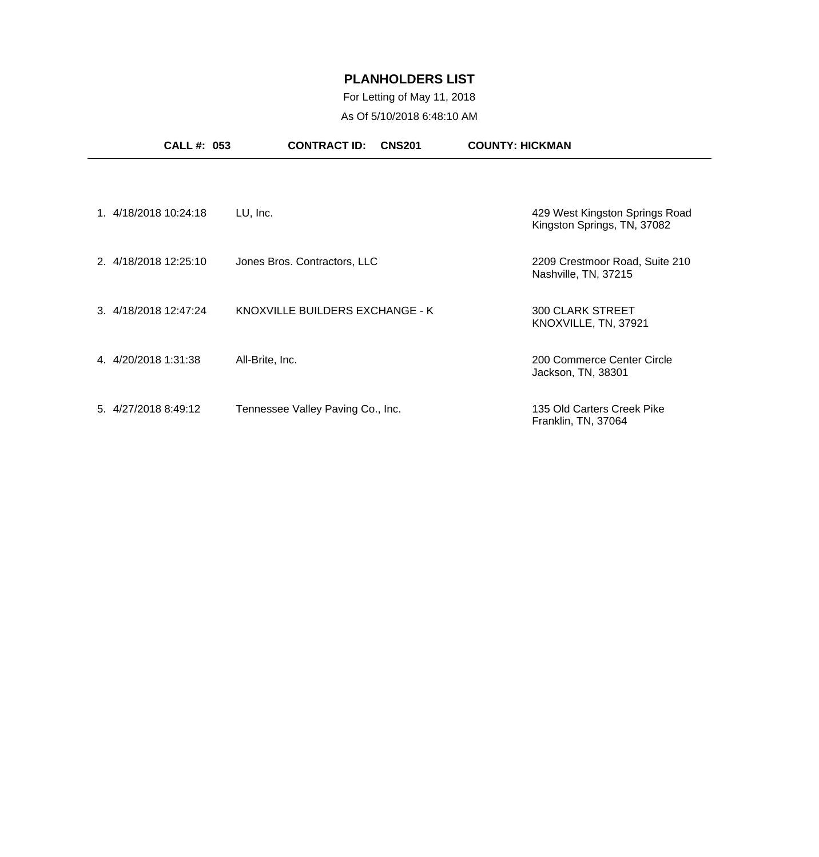## For Letting of May 11, 2018 As Of 5/10/2018 6:48:10 AM

| <b>CALL #: 053</b>    | <b>CONTRACT ID:</b><br><b>CNS201</b> | <b>COUNTY: HICKMAN</b>                                        |
|-----------------------|--------------------------------------|---------------------------------------------------------------|
|                       |                                      |                                                               |
| 1. 4/18/2018 10:24:18 | LU, Inc.                             | 429 West Kingston Springs Road<br>Kingston Springs, TN, 37082 |
| 2. 4/18/2018 12:25:10 | Jones Bros. Contractors, LLC         | 2209 Crestmoor Road, Suite 210<br>Nashville, TN, 37215        |
| 3. 4/18/2018 12:47:24 | KNOXVILLE BUILDERS EXCHANGE - K      | <b>300 CLARK STREET</b><br>KNOXVILLE, TN, 37921               |
| 4. 4/20/2018 1:31:38  | All-Brite, Inc.                      | 200 Commerce Center Circle<br>Jackson, TN, 38301              |
| 5. 4/27/2018 8:49:12  | Tennessee Valley Paving Co., Inc.    | 135 Old Carters Creek Pike<br>Franklin, TN, 37064             |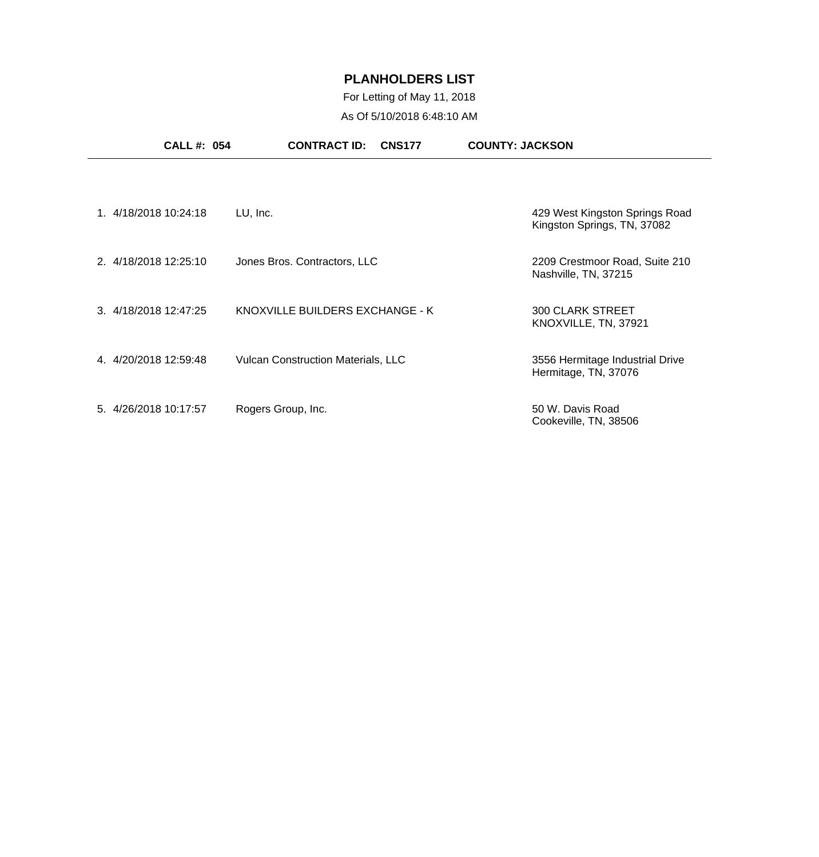## For Letting of May 11, 2018 As Of 5/10/2018 6:48:10 AM

| <b>CALL #: 054</b>    | <b>CONTRACT ID:</b><br><b>CNS177</b>      | <b>COUNTY: JACKSON</b>                                        |
|-----------------------|-------------------------------------------|---------------------------------------------------------------|
|                       |                                           |                                                               |
| 1. 4/18/2018 10:24:18 | LU, Inc.                                  | 429 West Kingston Springs Road<br>Kingston Springs, TN, 37082 |
| 2. 4/18/2018 12:25:10 | Jones Bros. Contractors, LLC              | 2209 Crestmoor Road, Suite 210<br>Nashville, TN, 37215        |
| 3. 4/18/2018 12:47:25 | KNOXVILLE BUILDERS EXCHANGE - K           | <b>300 CLARK STREET</b><br>KNOXVILLE, TN, 37921               |
| 4. 4/20/2018 12:59:48 | <b>Vulcan Construction Materials, LLC</b> | 3556 Hermitage Industrial Drive<br>Hermitage, TN, 37076       |
| 5. 4/26/2018 10:17:57 | Rogers Group, Inc.                        | 50 W. Davis Road<br>Cookeville, TN, 38506                     |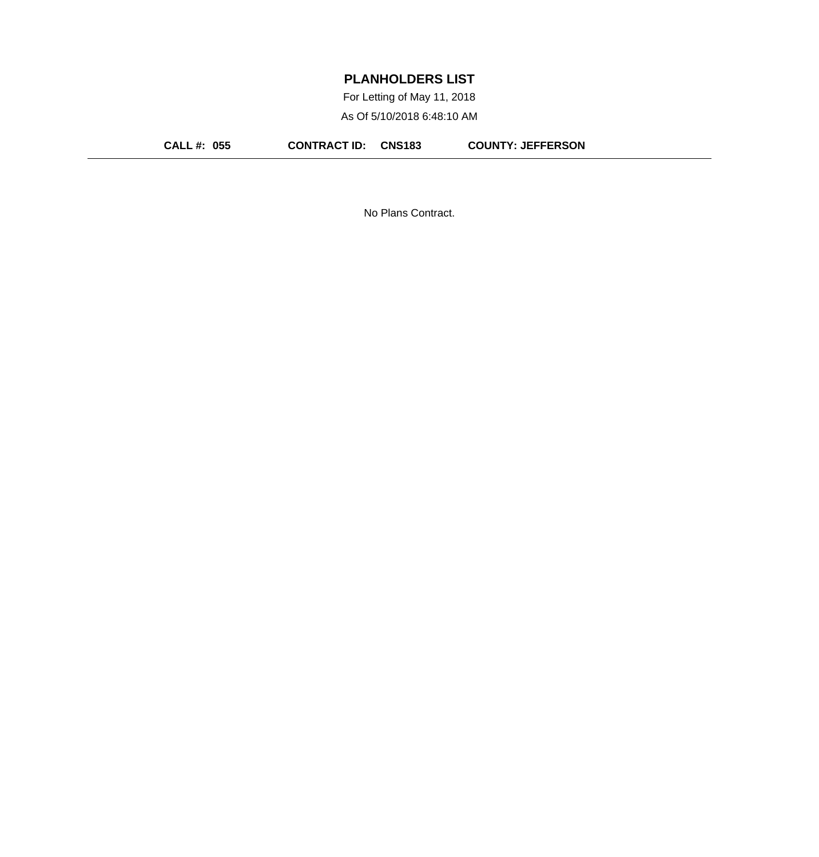For Letting of May 11, 2018 As Of 5/10/2018 6:48:10 AM

**CALL #: 055 CONTRACT ID: CNS183 COUNTY: JEFFERSON**

No Plans Contract.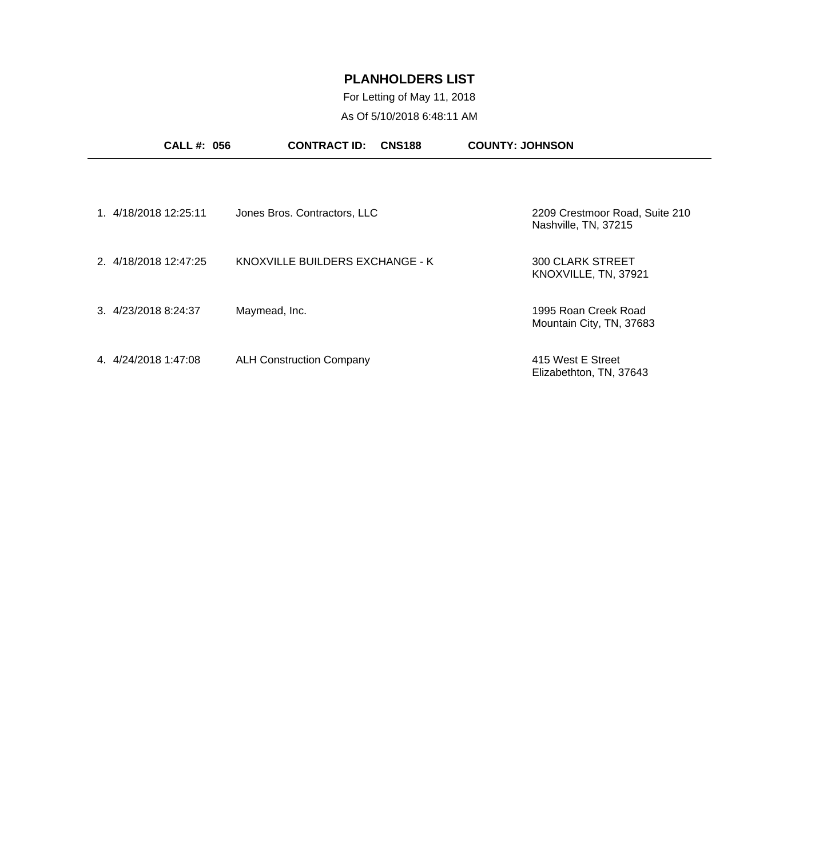For Letting of May 11, 2018 As Of 5/10/2018 6:48:11 AM

|                       | <b>CALL #: 056</b> | <b>CONTRACT ID:</b>             | <b>CNS188</b> | <b>COUNTY: JOHNSON</b>                                 |
|-----------------------|--------------------|---------------------------------|---------------|--------------------------------------------------------|
|                       |                    |                                 |               |                                                        |
| 1. 4/18/2018 12:25:11 |                    | Jones Bros. Contractors, LLC    |               | 2209 Crestmoor Road, Suite 210<br>Nashville, TN, 37215 |
| 2. 4/18/2018 12:47:25 |                    | KNOXVILLE BUILDERS EXCHANGE - K |               | <b>300 CLARK STREET</b><br>KNOXVILLE, TN, 37921        |
| 3. 4/23/2018 8:24:37  |                    | Maymead, Inc.                   |               | 1995 Roan Creek Road<br>Mountain City, TN, 37683       |
| 4. 4/24/2018 1:47:08  |                    | <b>ALH Construction Company</b> |               | 415 West E Street<br>Elizabethton, TN, 37643           |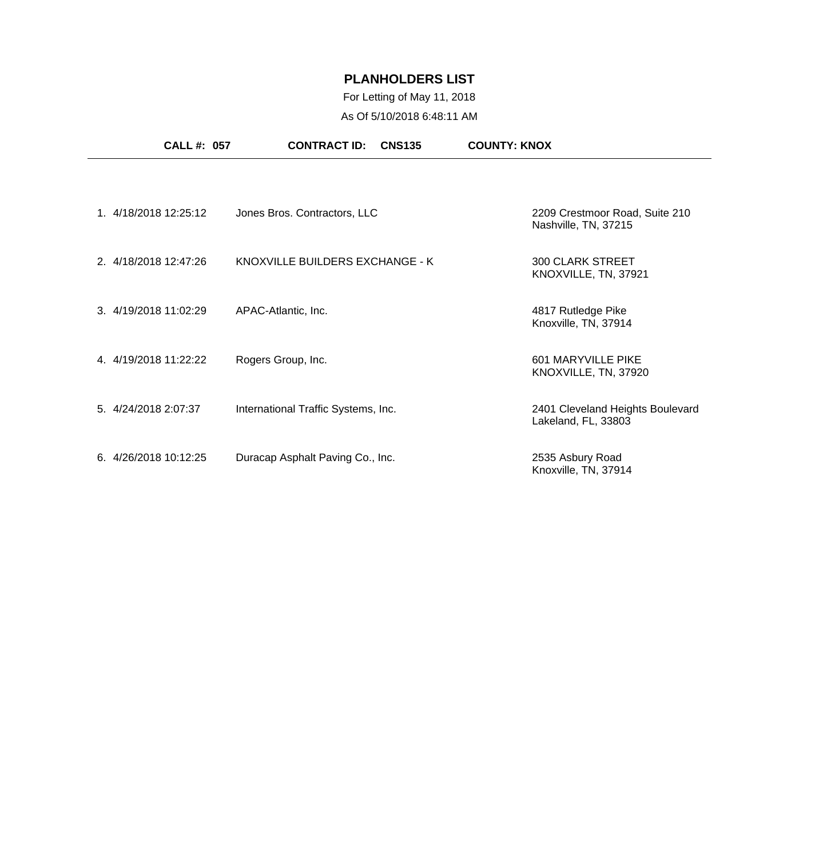## For Letting of May 11, 2018 As Of 5/10/2018 6:48:11 AM

| <b>CALL #: 057</b>    | <b>CONTRACT ID:</b>                 | <b>CNS135</b> | <b>COUNTY: KNOX</b>                                     |
|-----------------------|-------------------------------------|---------------|---------------------------------------------------------|
|                       |                                     |               |                                                         |
| 1. 4/18/2018 12:25:12 | Jones Bros. Contractors, LLC        |               | 2209 Crestmoor Road, Suite 210<br>Nashville, TN, 37215  |
| 2. 4/18/2018 12:47:26 | KNOXVILLE BUILDERS EXCHANGE - K     |               | <b>300 CLARK STREET</b><br>KNOXVILLE, TN, 37921         |
| 3. 4/19/2018 11:02:29 | APAC-Atlantic, Inc.                 |               | 4817 Rutledge Pike<br>Knoxville, TN, 37914              |
| 4. 4/19/2018 11:22:22 | Rogers Group, Inc.                  |               | 601 MARYVILLE PIKE<br>KNOXVILLE, TN, 37920              |
| 5. 4/24/2018 2:07:37  | International Traffic Systems, Inc. |               | 2401 Cleveland Heights Boulevard<br>Lakeland, FL, 33803 |
| 6. 4/26/2018 10:12:25 | Duracap Asphalt Paving Co., Inc.    |               | 2535 Asbury Road<br>Knoxville, TN, 37914                |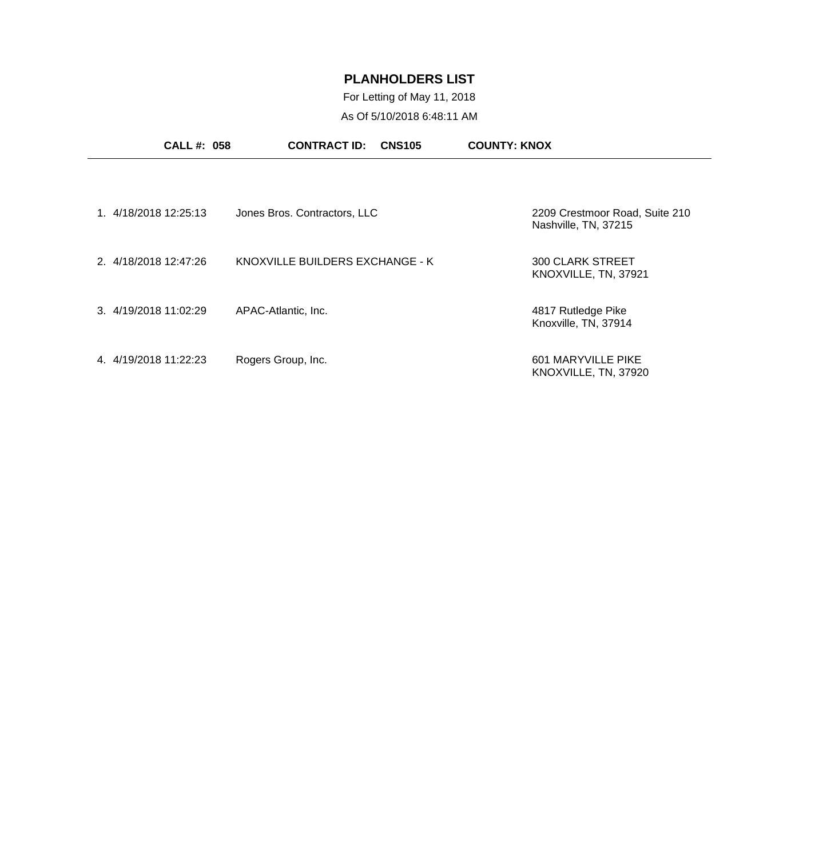For Letting of May 11, 2018 As Of 5/10/2018 6:48:11 AM

| <b>CALL #: 058</b>       | <b>CONTRACT ID:</b><br><b>CNS105</b> | <b>COUNTY: KNOX</b>                                    |
|--------------------------|--------------------------------------|--------------------------------------------------------|
|                          |                                      |                                                        |
| 1. 4/18/2018 12:25:13    | Jones Bros. Contractors, LLC         | 2209 Crestmoor Road, Suite 210<br>Nashville, TN, 37215 |
| 2. 4/18/2018 12:47:26    | KNOXVILLE BUILDERS EXCHANGE - K      | <b>300 CLARK STREET</b><br>KNOXVILLE, TN, 37921        |
| 3. 4/19/2018 11:02:29    | APAC-Atlantic, Inc.                  | 4817 Rutledge Pike<br>Knoxville, TN, 37914             |
| 4/19/2018 11:22:23<br>4. | Rogers Group, Inc.                   | 601 MARYVILLE PIKE<br>KNOXVILLE, TN, 37920             |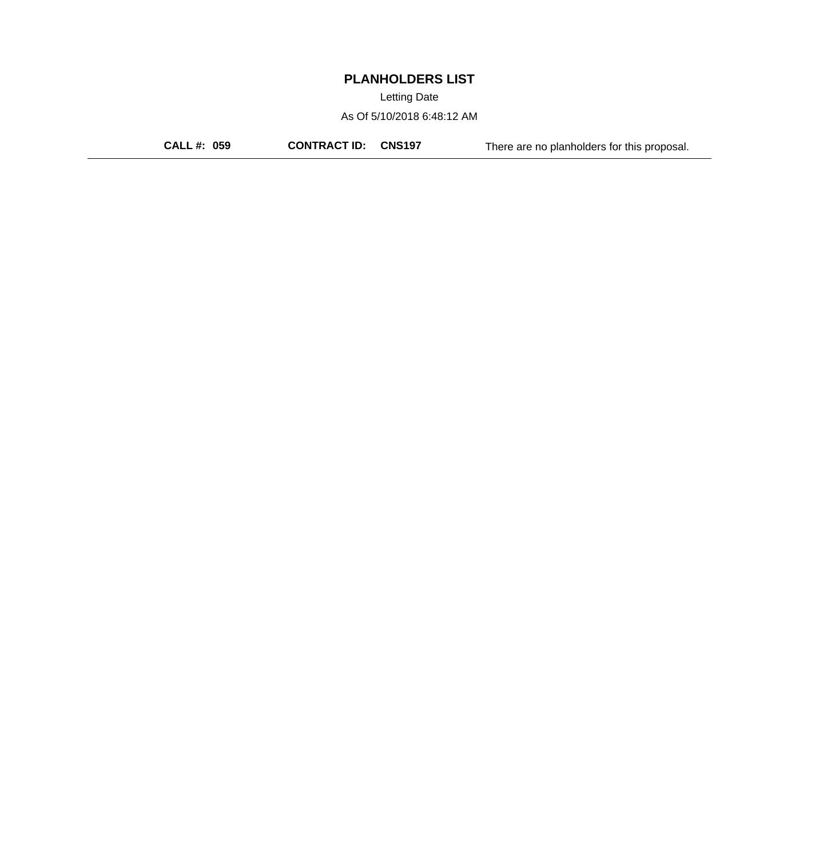Letting Date

As Of 5/10/2018 6:48:12 AM

**CALL #: 059 CONTRACT ID: CNS197** There are no planholders for this proposal.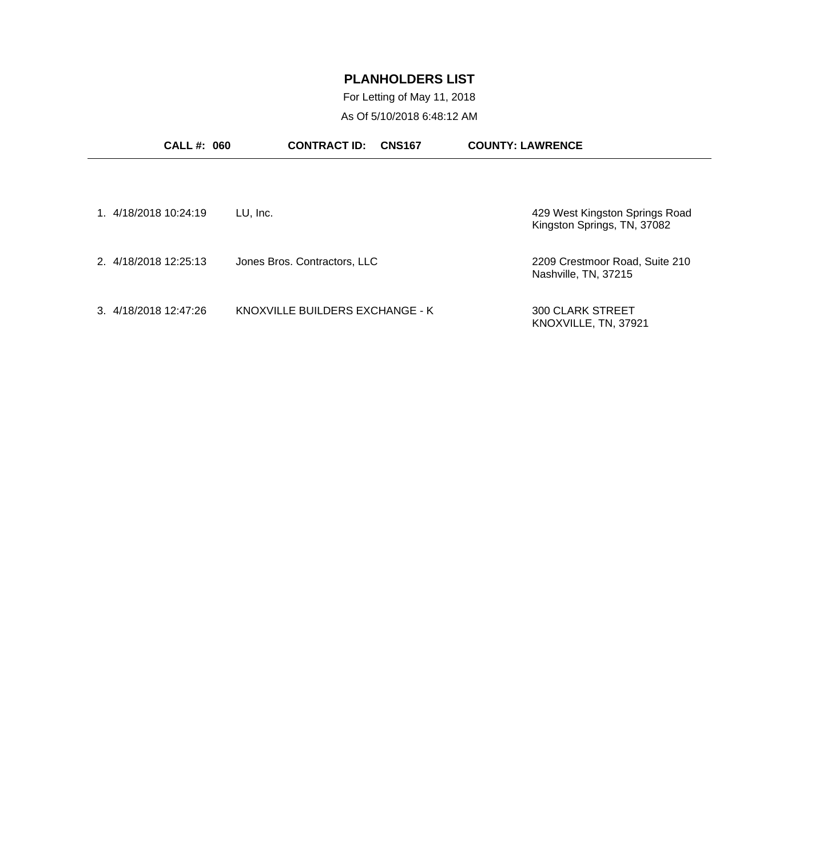For Letting of May 11, 2018 As Of 5/10/2018 6:48:12 AM

| <b>CALL#: 060</b>     | <b>CONTRACT ID:</b><br><b>CNS167</b> | <b>COUNTY: LAWRENCE</b>                                       |
|-----------------------|--------------------------------------|---------------------------------------------------------------|
|                       |                                      |                                                               |
| 1. 4/18/2018 10:24:19 | LU, Inc.                             | 429 West Kingston Springs Road<br>Kingston Springs, TN, 37082 |
| 2. 4/18/2018 12:25:13 | Jones Bros. Contractors, LLC         | 2209 Crestmoor Road, Suite 210<br>Nashville, TN, 37215        |
| 3 4/18/2018 12:47:26  | KNOXVILLE BUILDERS EXCHANGE - K      | <b>300 CLARK STREET</b><br>KNOXVILLE, TN, 37921               |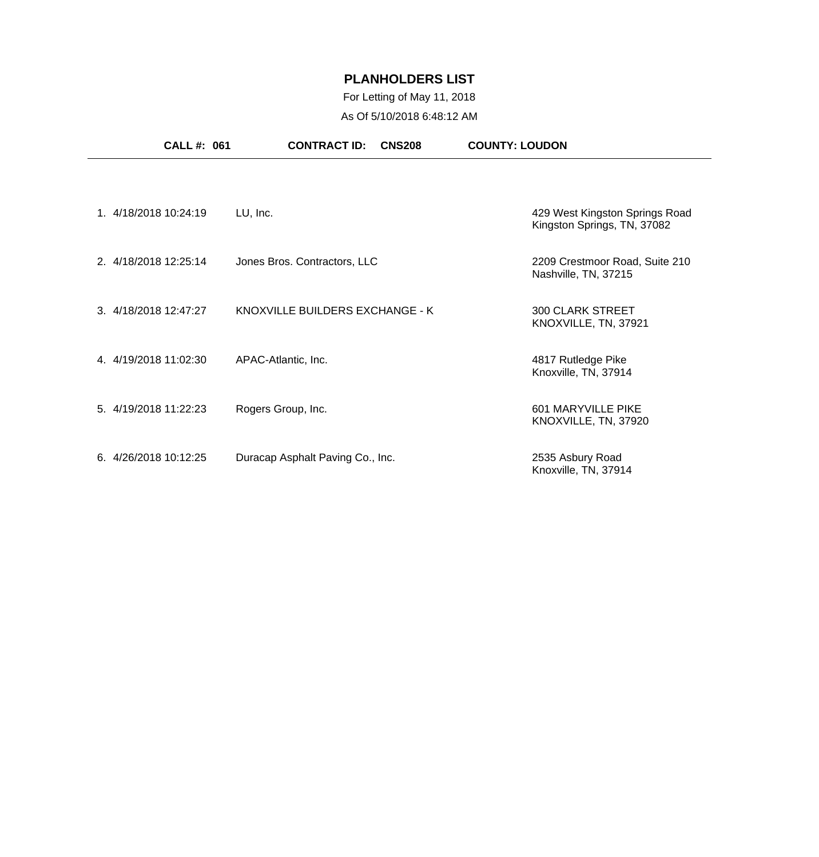## For Letting of May 11, 2018 As Of 5/10/2018 6:48:12 AM

|                       | <b>CALL#: 061</b>     | <b>CONTRACT ID:</b><br><b>CNS208</b> | <b>COUNTY: LOUDON</b>                                         |
|-----------------------|-----------------------|--------------------------------------|---------------------------------------------------------------|
|                       |                       |                                      |                                                               |
| 1. 4/18/2018 10:24:19 |                       | LU, Inc.                             | 429 West Kingston Springs Road<br>Kingston Springs, TN, 37082 |
|                       | 2. 4/18/2018 12:25:14 | Jones Bros. Contractors, LLC         | 2209 Crestmoor Road, Suite 210<br>Nashville, TN, 37215        |
|                       | 3. 4/18/2018 12:47:27 | KNOXVILLE BUILDERS EXCHANGE - K      | <b>300 CLARK STREET</b><br>KNOXVILLE, TN, 37921               |
|                       | 4. 4/19/2018 11:02:30 | APAC-Atlantic, Inc.                  | 4817 Rutledge Pike<br>Knoxville, TN, 37914                    |
|                       | 5. 4/19/2018 11:22:23 | Rogers Group, Inc.                   | 601 MARYVILLE PIKE<br>KNOXVILLE, TN, 37920                    |
|                       | 6. 4/26/2018 10:12:25 | Duracap Asphalt Paving Co., Inc.     | 2535 Asbury Road<br>Knoxville, TN, 37914                      |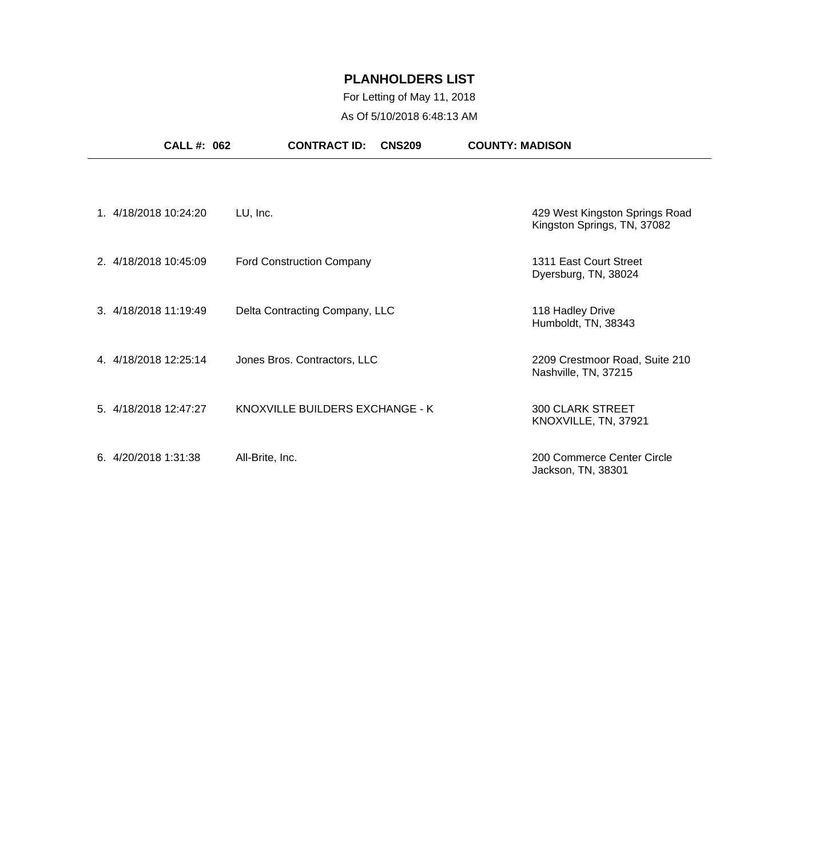## For Letting of May 11, 2018 As Of 5/10/2018 6:48:13 AM

| <b>CALL #: 062</b>     | <b>CONTRACT ID:</b><br><b>CNS209</b> | <b>COUNTY: MADISON</b>                                        |
|------------------------|--------------------------------------|---------------------------------------------------------------|
|                        |                                      |                                                               |
| 1. 4/18/2018 10:24:20  | LU, Inc.                             | 429 West Kingston Springs Road<br>Kingston Springs, TN, 37082 |
| 2. 4/18/2018 10:45:09  | <b>Ford Construction Company</b>     | 1311 East Court Street<br>Dyersburg, TN, 38024                |
| 3. 4/18/2018 11:19:49  | Delta Contracting Company, LLC       | 118 Hadley Drive<br>Humboldt, TN, 38343                       |
| 4. 4/18/2018 12:25:14  | Jones Bros. Contractors, LLC         | 2209 Crestmoor Road, Suite 210<br>Nashville, TN, 37215        |
| 5. 4/18/2018 12:47:27  | KNOXVILLE BUILDERS EXCHANGE - K      | <b>300 CLARK STREET</b><br>KNOXVILLE, TN, 37921               |
| 6. $4/20/2018$ 1:31:38 | All-Brite, Inc.                      | 200 Commerce Center Circle<br>Jackson, TN, 38301              |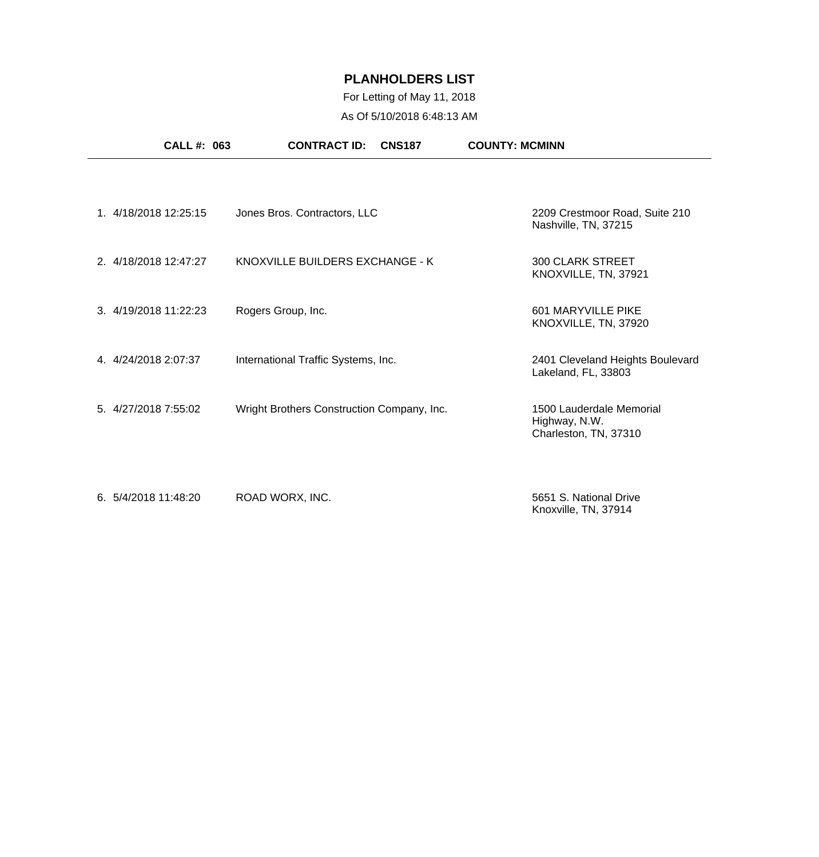## For Letting of May 11, 2018 As Of 5/10/2018 6:48:13 AM

|                       | CALL #: 063 | <b>CONTRACT ID:</b>                        | <b>CNS187</b> | <b>COUNTY: MCMINN</b>                                              |  |
|-----------------------|-------------|--------------------------------------------|---------------|--------------------------------------------------------------------|--|
|                       |             |                                            |               |                                                                    |  |
| 1. 4/18/2018 12:25:15 |             | Jones Bros. Contractors, LLC               |               | 2209 Crestmoor Road, Suite 210<br>Nashville, TN, 37215             |  |
| 2. 4/18/2018 12:47:27 |             | KNOXVILLE BUILDERS EXCHANGE - K            |               | <b>300 CLARK STREET</b><br>KNOXVILLE, TN, 37921                    |  |
| 3. 4/19/2018 11:22:23 |             | Rogers Group, Inc.                         |               | 601 MARYVILLE PIKE<br>KNOXVILLE, TN, 37920                         |  |
| 4. 4/24/2018 2:07:37  |             | International Traffic Systems, Inc.        |               | 2401 Cleveland Heights Boulevard<br>Lakeland, FL, 33803            |  |
| 5. 4/27/2018 7:55:02  |             | Wright Brothers Construction Company, Inc. |               | 1500 Lauderdale Memorial<br>Highway, N.W.<br>Charleston, TN, 37310 |  |
| 6. 5/4/2018 11:48:20  |             | ROAD WORX, INC.                            |               | 5651 S. National Drive                                             |  |

Knoxville, TN, 37914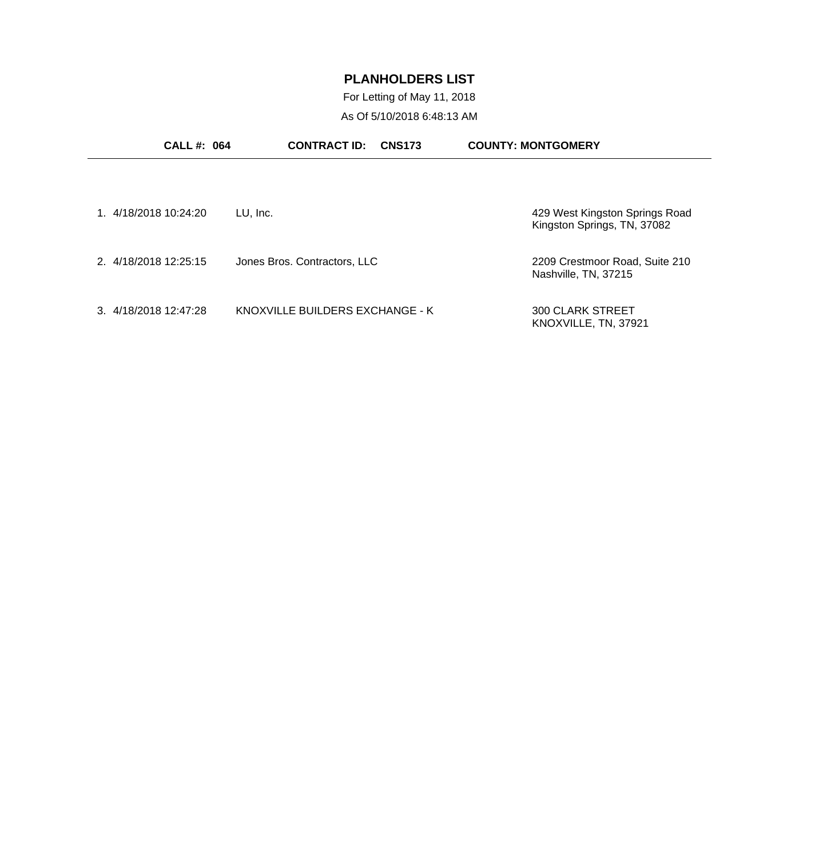For Letting of May 11, 2018 As Of 5/10/2018 6:48:13 AM

| <b>CALL #: 064</b>    | <b>CONTRACT ID:</b><br><b>CNS173</b> | <b>COUNTY: MONTGOMERY</b>                                     |
|-----------------------|--------------------------------------|---------------------------------------------------------------|
|                       |                                      |                                                               |
| 1. 4/18/2018 10:24:20 | LU, Inc.                             | 429 West Kingston Springs Road<br>Kingston Springs, TN, 37082 |
| 2. 4/18/2018 12:25:15 | Jones Bros. Contractors, LLC         | 2209 Crestmoor Road, Suite 210<br>Nashville, TN, 37215        |
| 3. 4/18/2018 12:47:28 | KNOXVILLE BUILDERS EXCHANGE - K      | 300 CLARK STREET<br>KNOXVILLE, TN, 37921                      |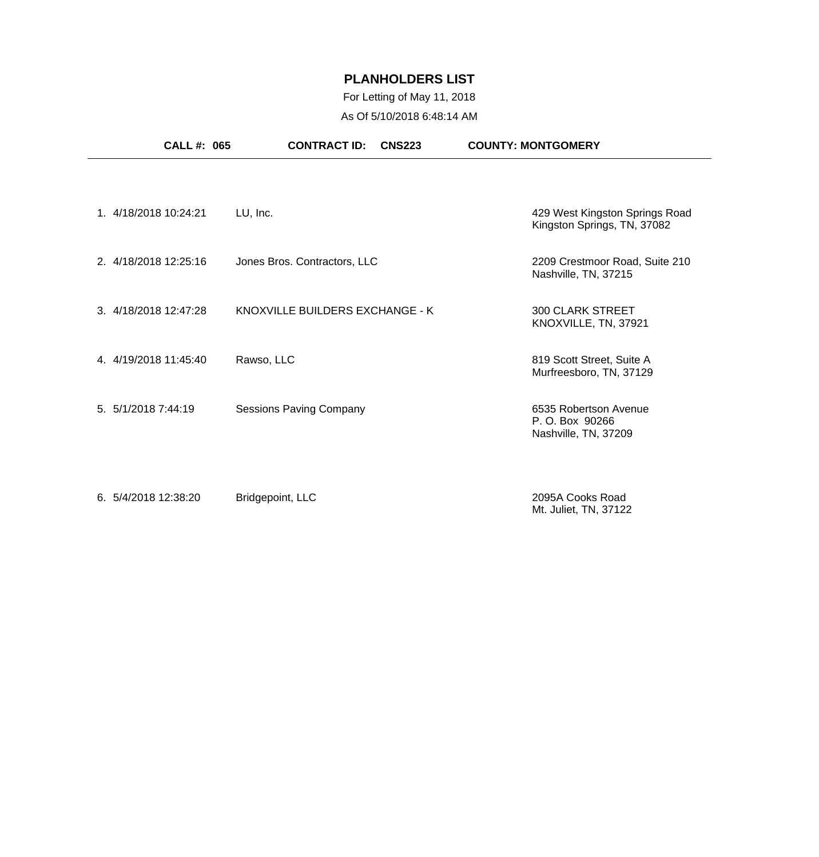## For Letting of May 11, 2018 As Of 5/10/2018 6:48:14 AM

| CALL #: 065           | <b>CONTRACT ID:</b><br><b>CNS223</b> | <b>COUNTY: MONTGOMERY</b>                                       |
|-----------------------|--------------------------------------|-----------------------------------------------------------------|
|                       |                                      |                                                                 |
| 1. 4/18/2018 10:24:21 | LU, Inc.                             | 429 West Kingston Springs Road<br>Kingston Springs, TN, 37082   |
| 2. 4/18/2018 12:25:16 | Jones Bros. Contractors, LLC         | 2209 Crestmoor Road, Suite 210<br>Nashville, TN, 37215          |
| 3. 4/18/2018 12:47:28 | KNOXVILLE BUILDERS EXCHANGE - K      | <b>300 CLARK STREET</b><br>KNOXVILLE, TN, 37921                 |
| 4. 4/19/2018 11:45:40 | Rawso, LLC                           | 819 Scott Street, Suite A<br>Murfreesboro, TN, 37129            |
| 5. 5/1/2018 7:44:19   | <b>Sessions Paving Company</b>       | 6535 Robertson Avenue<br>P.O. Box 90266<br>Nashville, TN, 37209 |
| 6. 5/4/2018 12:38:20  | Bridgepoint, LLC                     | 2095A Cooks Road                                                |

Mt. Juliet, TN, 37122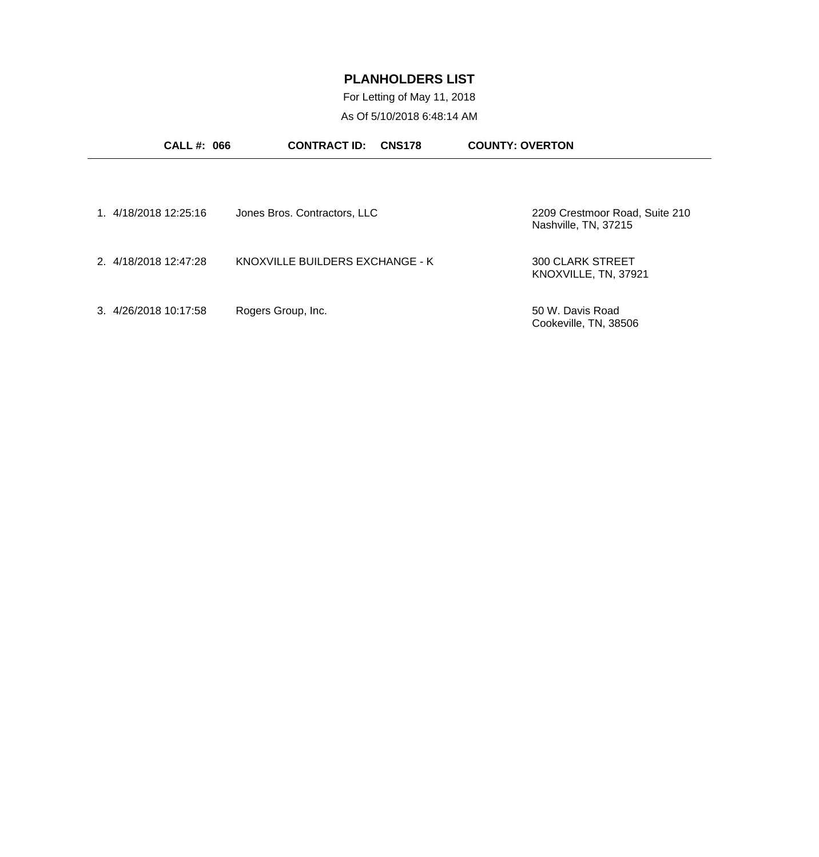For Letting of May 11, 2018 As Of 5/10/2018 6:48:14 AM

| <b>CALL#: 066</b>     | <b>CONTRACT ID:</b><br><b>CNS178</b> | <b>COUNTY: OVERTON</b>                                 |
|-----------------------|--------------------------------------|--------------------------------------------------------|
|                       |                                      |                                                        |
| 1 4/18/2018 12:25:16  | Jones Bros. Contractors, LLC         | 2209 Crestmoor Road, Suite 210<br>Nashville, TN, 37215 |
| 2. 4/18/2018 12:47:28 | KNOXVILLE BUILDERS EXCHANGE - K      | <b>300 CLARK STREET</b><br>KNOXVILLE, TN, 37921        |
| 3. 4/26/2018 10:17:58 | Rogers Group, Inc.                   | 50 W. Davis Road<br>Cookeville, TN, 38506              |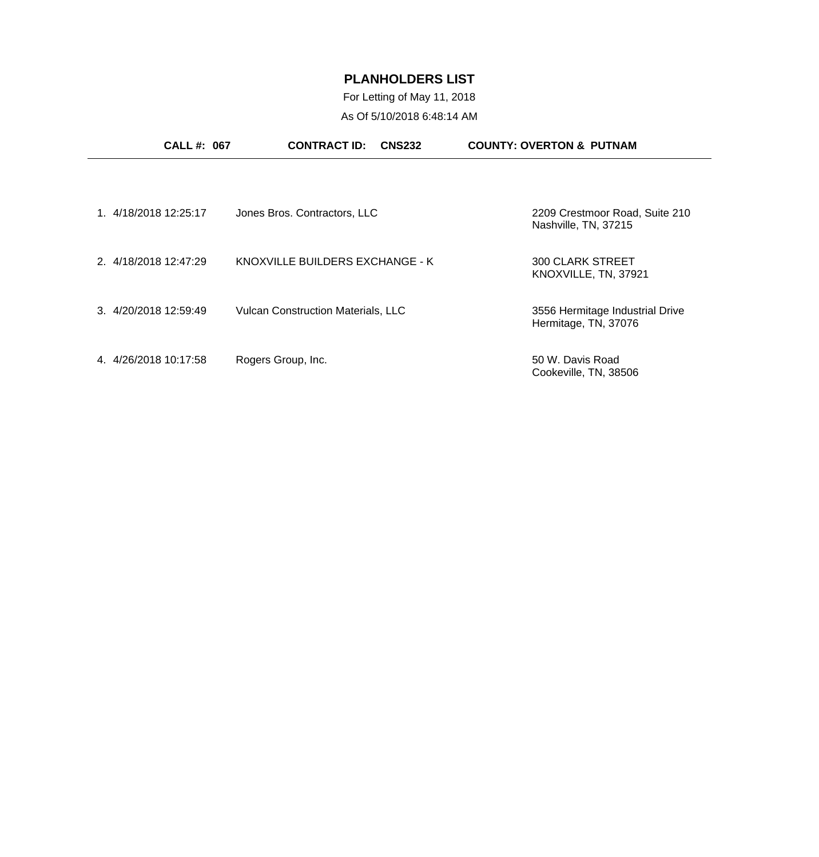For Letting of May 11, 2018 As Of 5/10/2018 6:48:14 AM

| <b>CALL #: 067</b>      | <b>CONTRACT ID:</b><br><b>CNS232</b>      | <b>COUNTY: OVERTON &amp; PUTNAM</b>                     |
|-------------------------|-------------------------------------------|---------------------------------------------------------|
|                         |                                           |                                                         |
| 1. 4/18/2018 12:25:17   | Jones Bros. Contractors, LLC              | 2209 Crestmoor Road, Suite 210<br>Nashville, TN, 37215  |
| 2. 4/18/2018 12:47:29   | KNOXVILLE BUILDERS EXCHANGE - K           | <b>300 CLARK STREET</b><br>KNOXVILLE, TN, 37921         |
| 3. 4/20/2018 12:59:49   | <b>Vulcan Construction Materials, LLC</b> | 3556 Hermitage Industrial Drive<br>Hermitage, TN, 37076 |
| 4/26/2018 10:17:58<br>4 | Rogers Group, Inc.                        | 50 W. Davis Road<br>Cookeville, TN, 38506               |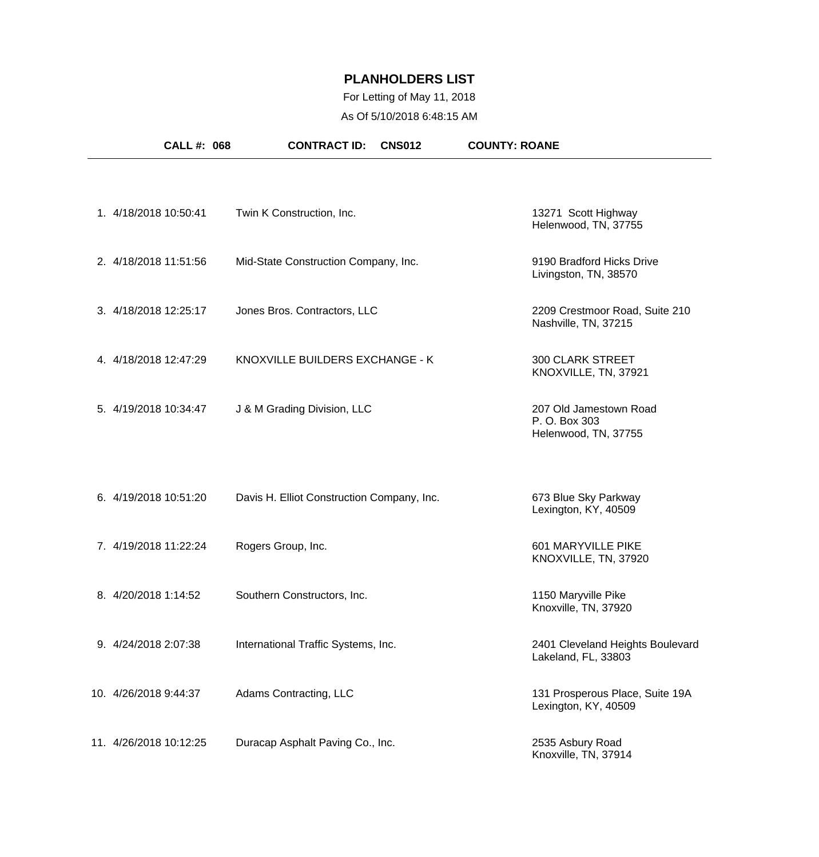## For Letting of May 11, 2018 As Of 5/10/2018 6:48:15 AM

| <b>CALL #: 068</b>     | <b>CNS012</b><br><b>CONTRACT ID:</b>       | <b>COUNTY: ROANE</b>                                            |
|------------------------|--------------------------------------------|-----------------------------------------------------------------|
|                        |                                            |                                                                 |
| 1. 4/18/2018 10:50:41  | Twin K Construction, Inc.                  | 13271 Scott Highway<br>Helenwood, TN, 37755                     |
| 2. 4/18/2018 11:51:56  | Mid-State Construction Company, Inc.       | 9190 Bradford Hicks Drive<br>Livingston, TN, 38570              |
| 3. 4/18/2018 12:25:17  | Jones Bros. Contractors, LLC               | 2209 Crestmoor Road, Suite 210<br>Nashville, TN, 37215          |
| 4. 4/18/2018 12:47:29  | KNOXVILLE BUILDERS EXCHANGE - K            | <b>300 CLARK STREET</b><br>KNOXVILLE, TN, 37921                 |
| 5. 4/19/2018 10:34:47  | J & M Grading Division, LLC                | 207 Old Jamestown Road<br>P. O. Box 303<br>Helenwood, TN, 37755 |
| 6. 4/19/2018 10:51:20  | Davis H. Elliot Construction Company, Inc. | 673 Blue Sky Parkway<br>Lexington, KY, 40509                    |
| 7. 4/19/2018 11:22:24  | Rogers Group, Inc.                         | 601 MARYVILLE PIKE<br>KNOXVILLE, TN, 37920                      |
| 8. 4/20/2018 1:14:52   | Southern Constructors, Inc.                | 1150 Maryville Pike<br>Knoxville, TN, 37920                     |
| 9. 4/24/2018 2:07:38   | International Traffic Systems, Inc.        | 2401 Cleveland Heights Boulevard<br>Lakeland, FL, 33803         |
| 10. 4/26/2018 9:44:37  | Adams Contracting, LLC                     | 131 Prosperous Place, Suite 19A<br>Lexington, KY, 40509         |
| 11. 4/26/2018 10:12:25 | Duracap Asphalt Paving Co., Inc.           | 2535 Asbury Road<br>Knoxville, TN, 37914                        |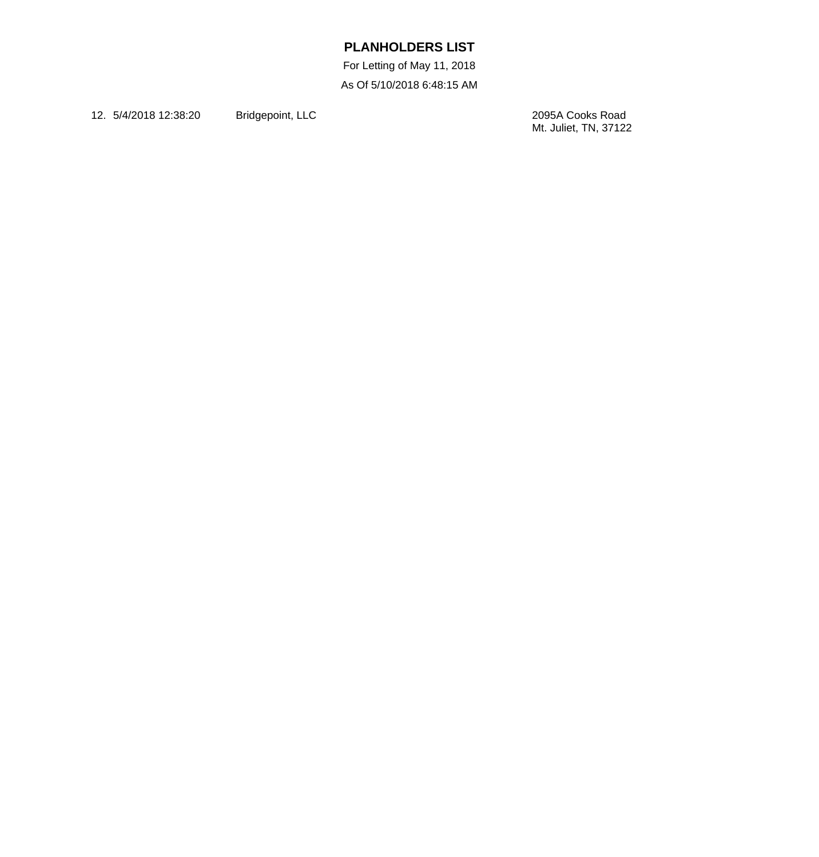For Letting of May 11, 2018 As Of 5/10/2018 6:48:15 AM

12. 5/4/2018 12:38:20 Bridgepoint, LLC

2095A Cooks Road<br>Mt. Juliet, TN, 37122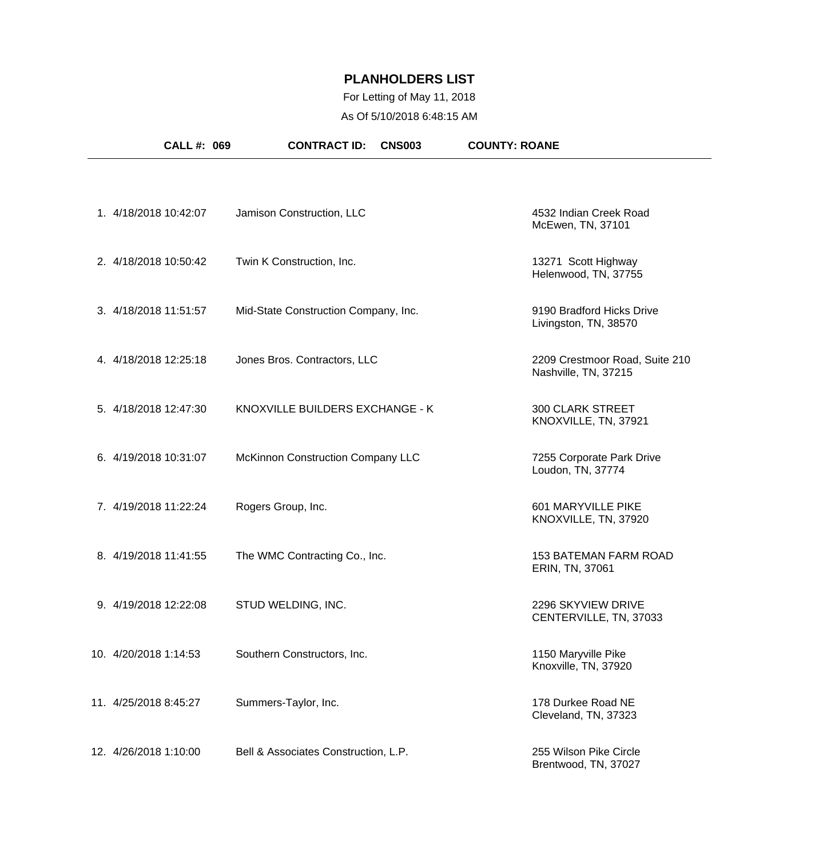## For Letting of May 11, 2018 As Of 5/10/2018 6:48:15 AM

| <b>CALL #: 069</b>    | <b>CONTRACT ID:</b><br><b>CNS003</b> | <b>COUNTY: ROANE</b>                                   |
|-----------------------|--------------------------------------|--------------------------------------------------------|
|                       |                                      |                                                        |
| 1. 4/18/2018 10:42:07 | Jamison Construction, LLC            | 4532 Indian Creek Road<br>McEwen, TN, 37101            |
| 2. 4/18/2018 10:50:42 | Twin K Construction, Inc.            | 13271 Scott Highway<br>Helenwood, TN, 37755            |
| 3. 4/18/2018 11:51:57 | Mid-State Construction Company, Inc. | 9190 Bradford Hicks Drive<br>Livingston, TN, 38570     |
| 4. 4/18/2018 12:25:18 | Jones Bros. Contractors, LLC         | 2209 Crestmoor Road, Suite 210<br>Nashville, TN, 37215 |
| 5. 4/18/2018 12:47:30 | KNOXVILLE BUILDERS EXCHANGE - K      | <b>300 CLARK STREET</b><br>KNOXVILLE, TN, 37921        |
| 6. 4/19/2018 10:31:07 | McKinnon Construction Company LLC    | 7255 Corporate Park Drive<br>Loudon, TN, 37774         |
| 7. 4/19/2018 11:22:24 | Rogers Group, Inc.                   | 601 MARYVILLE PIKE<br>KNOXVILLE, TN, 37920             |
| 8. 4/19/2018 11:41:55 | The WMC Contracting Co., Inc.        | <b>153 BATEMAN FARM ROAD</b><br>ERIN, TN, 37061        |
| 9. 4/19/2018 12:22:08 | STUD WELDING, INC.                   | 2296 SKYVIEW DRIVE<br>CENTERVILLE, TN, 37033           |
| 10. 4/20/2018 1:14:53 | Southern Constructors, Inc.          | 1150 Maryville Pike<br>Knoxville, TN, 37920            |
| 11. 4/25/2018 8:45:27 | Summers-Taylor, Inc.                 | 178 Durkee Road NE<br>Cleveland, TN, 37323             |
| 12. 4/26/2018 1:10:00 | Bell & Associates Construction, L.P. | 255 Wilson Pike Circle<br>Brentwood, TN, 37027         |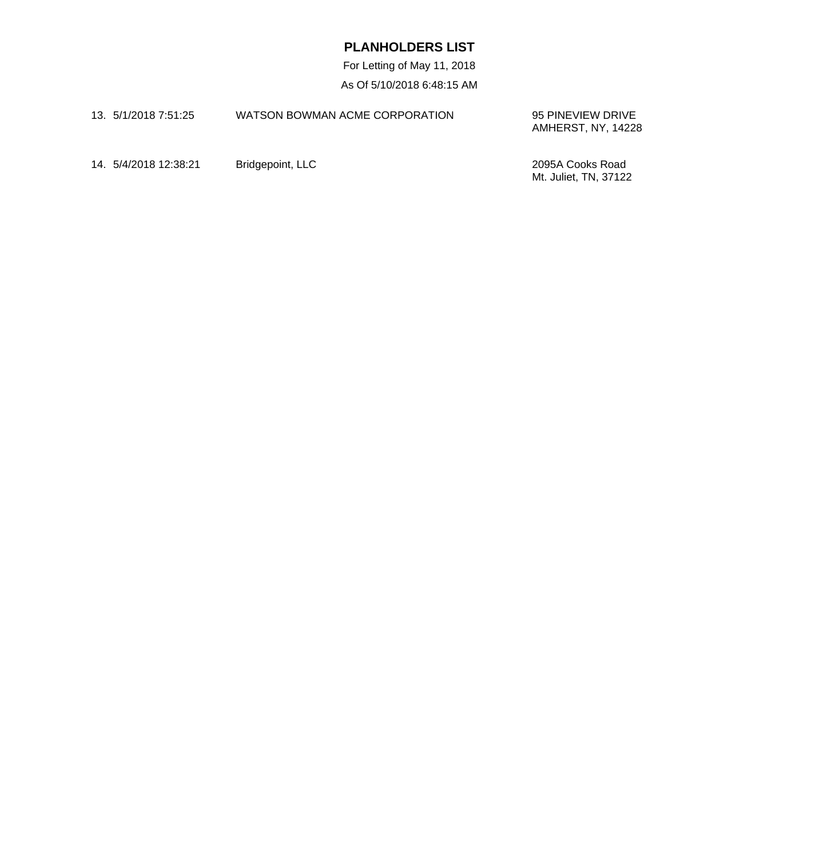For Letting of May 11, 2018 As Of 5/10/2018 6:48:15 AM

| 13. 5/1/2018 7:51:25 | WATSON BOWMAN ACME CORPORATION | 95 PINEVIEW DRIVE<br>AMHERST, NY, 14228 |
|----------------------|--------------------------------|-----------------------------------------|
|                      |                                |                                         |

14. 5/4/2018 12:38:21 Bridgepoint, LLC 2095A Cooks Road

Mt. Juliet, TN, 37122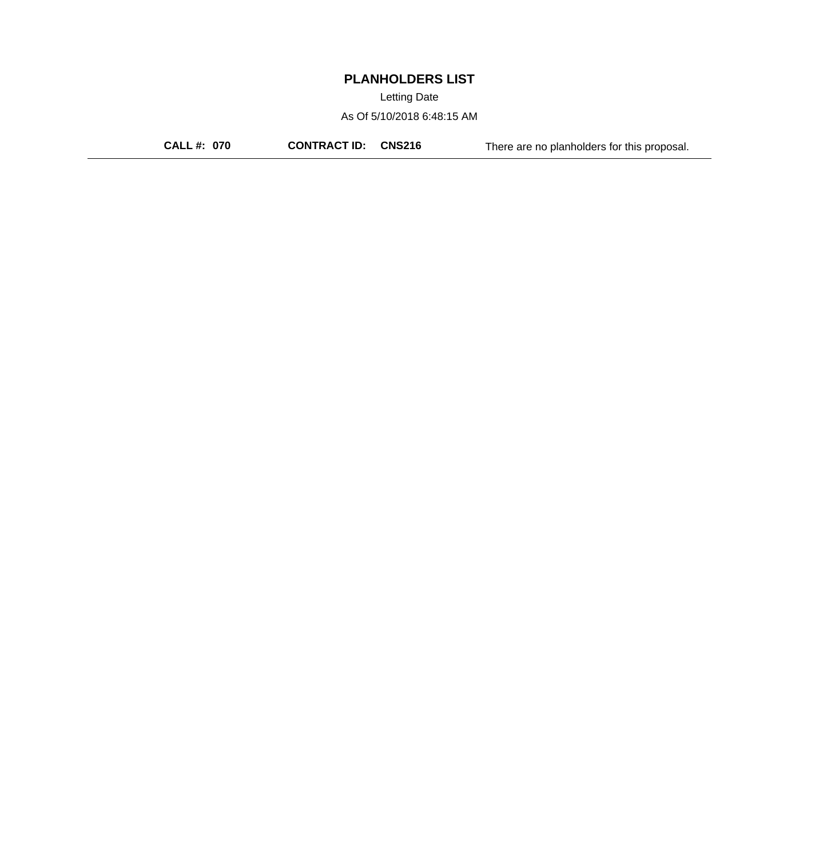Letting Date

As Of 5/10/2018 6:48:15 AM

**CALL #: 070 CONTRACT ID: CNS216** There are no planholders for this proposal.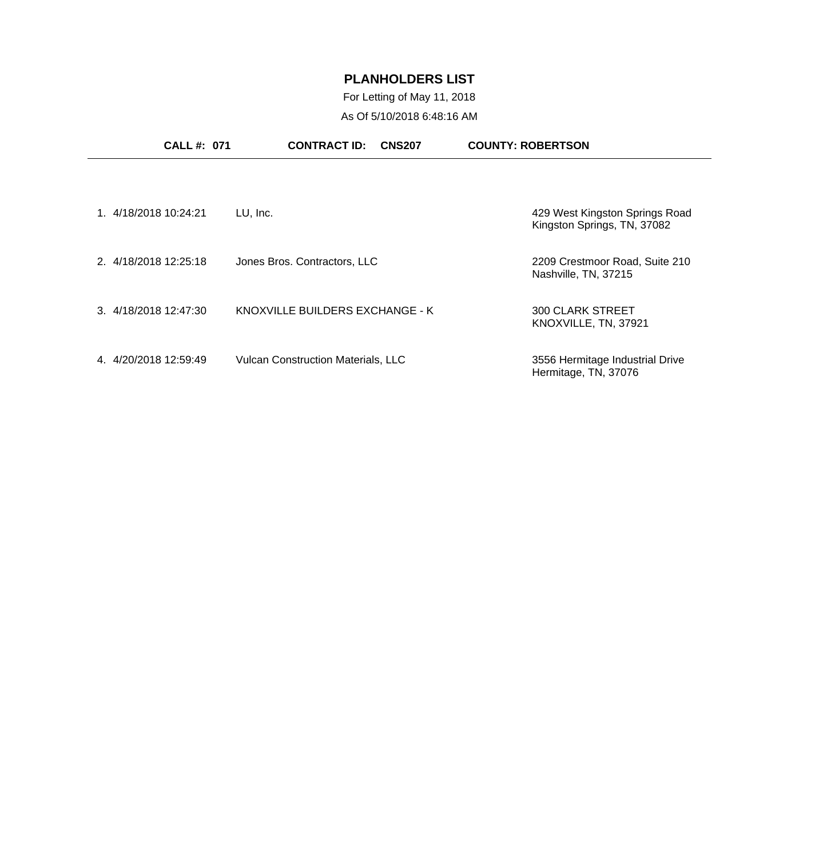# For Letting of May 11, 2018 As Of 5/10/2018 6:48:16 AM

| <b>CALL #: 071</b>      | <b>CONTRACT ID:</b><br><b>CNS207</b>      | <b>COUNTY: ROBERTSON</b>                                      |
|-------------------------|-------------------------------------------|---------------------------------------------------------------|
|                         |                                           |                                                               |
| 1. 4/18/2018 10:24:21   | LU, Inc.                                  | 429 West Kingston Springs Road<br>Kingston Springs, TN, 37082 |
| 2. 4/18/2018 12:25:18   | Jones Bros. Contractors, LLC              | 2209 Crestmoor Road, Suite 210<br>Nashville, TN, 37215        |
| 3. 4/18/2018 12:47:30   | KNOXVILLE BUILDERS EXCHANGE - K           | <b>300 CLARK STREET</b><br>KNOXVILLE, TN, 37921               |
| 4/20/2018 12:59:49<br>4 | <b>Vulcan Construction Materials, LLC</b> | 3556 Hermitage Industrial Drive<br>Hermitage, TN, 37076       |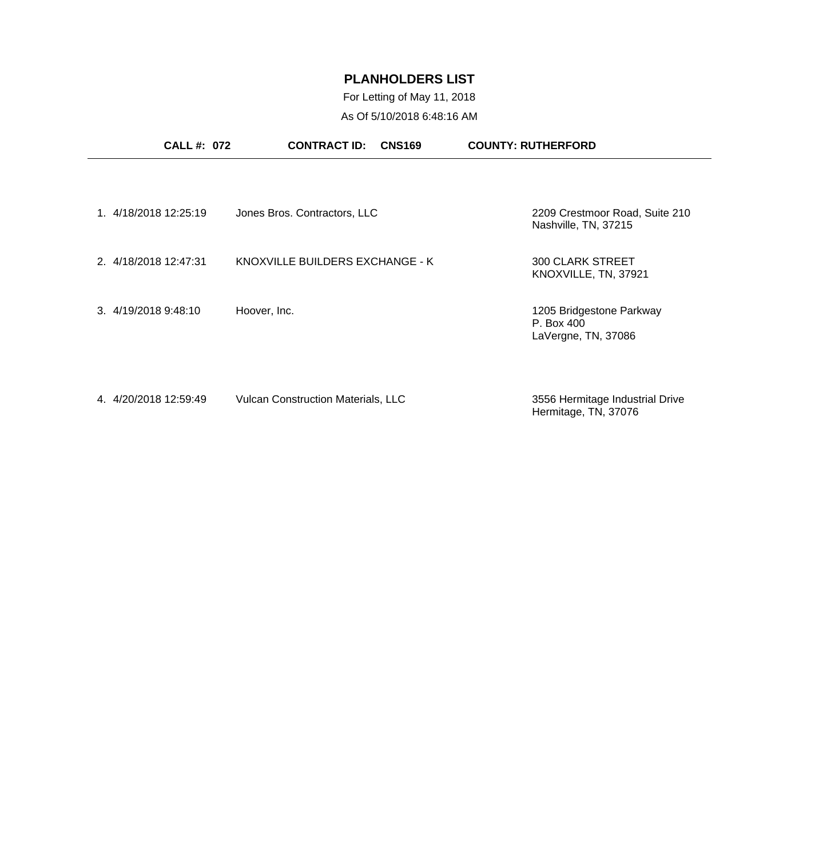# For Letting of May 11, 2018 As Of 5/10/2018 6:48:16 AM

| <b>CALL#: 072</b>     | <b>CONTRACT ID:</b><br><b>CNS169</b>      | <b>COUNTY: RUTHERFORD</b>                                     |
|-----------------------|-------------------------------------------|---------------------------------------------------------------|
|                       |                                           |                                                               |
| 1. 4/18/2018 12:25:19 | Jones Bros. Contractors, LLC              | 2209 Crestmoor Road, Suite 210<br>Nashville, TN, 37215        |
| 2. 4/18/2018 12:47:31 | KNOXVILLE BUILDERS EXCHANGE - K           | <b>300 CLARK STREET</b><br>KNOXVILLE, TN, 37921               |
| 3. 4/19/2018 9:48:10  | Hoover, Inc.                              | 1205 Bridgestone Parkway<br>P. Box 400<br>LaVergne, TN, 37086 |
| 4. 4/20/2018 12:59:49 | <b>Vulcan Construction Materials, LLC</b> | 3556 Hermitage Industrial Drive<br>Hermitage, TN, 37076       |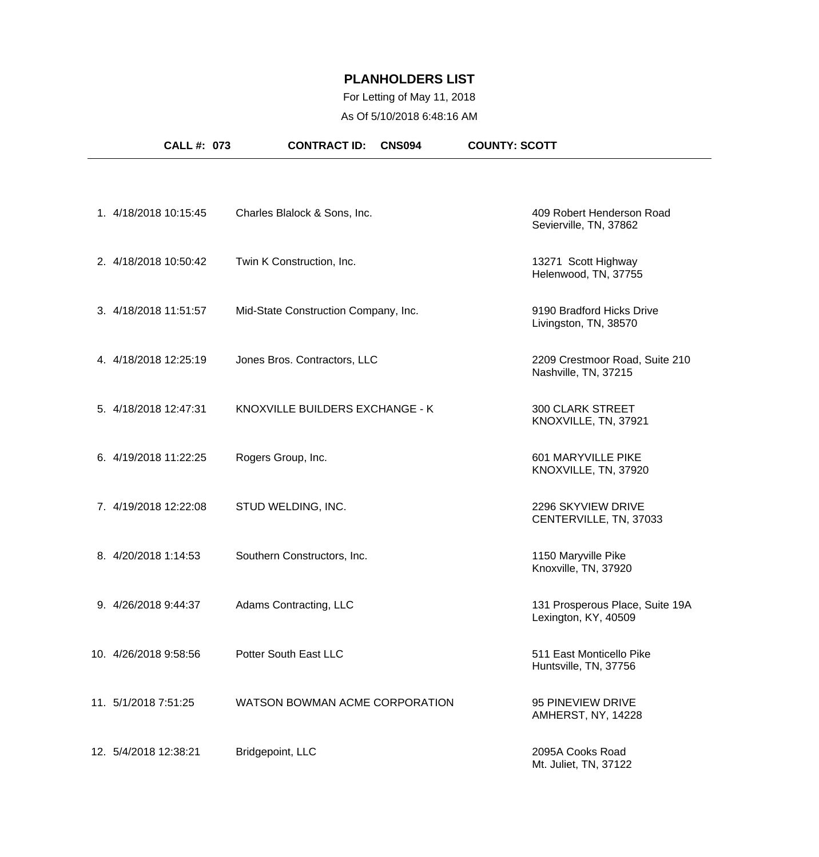# For Letting of May 11, 2018 As Of 5/10/2018 6:48:16 AM

| CALL #: 073           | <b>CONTRACT ID:</b><br><b>CNS094</b> | <b>COUNTY: SCOTT</b>                                    |
|-----------------------|--------------------------------------|---------------------------------------------------------|
|                       |                                      |                                                         |
| 1. 4/18/2018 10:15:45 | Charles Blalock & Sons, Inc.         | 409 Robert Henderson Road<br>Sevierville, TN, 37862     |
| 2. 4/18/2018 10:50:42 | Twin K Construction, Inc.            | 13271 Scott Highway<br>Helenwood, TN, 37755             |
| 3. 4/18/2018 11:51:57 | Mid-State Construction Company, Inc. | 9190 Bradford Hicks Drive<br>Livingston, TN, 38570      |
| 4. 4/18/2018 12:25:19 | Jones Bros. Contractors, LLC         | 2209 Crestmoor Road, Suite 210<br>Nashville, TN, 37215  |
| 5. 4/18/2018 12:47:31 | KNOXVILLE BUILDERS EXCHANGE - K      | <b>300 CLARK STREET</b><br>KNOXVILLE, TN, 37921         |
| 6. 4/19/2018 11:22:25 | Rogers Group, Inc.                   | 601 MARYVILLE PIKE<br>KNOXVILLE, TN, 37920              |
| 7. 4/19/2018 12:22:08 | STUD WELDING, INC.                   | 2296 SKYVIEW DRIVE<br>CENTERVILLE, TN, 37033            |
| 8. 4/20/2018 1:14:53  | Southern Constructors, Inc.          | 1150 Maryville Pike<br>Knoxville, TN, 37920             |
| 9. 4/26/2018 9:44:37  | Adams Contracting, LLC               | 131 Prosperous Place, Suite 19A<br>Lexington, KY, 40509 |
| 10. 4/26/2018 9:58:56 | Potter South East LLC                | 511 East Monticello Pike<br>Huntsville, TN, 37756       |
| 11. 5/1/2018 7:51:25  | WATSON BOWMAN ACME CORPORATION       | 95 PINEVIEW DRIVE<br>AMHERST, NY, 14228                 |
| 12. 5/4/2018 12:38:21 | Bridgepoint, LLC                     | 2095A Cooks Road<br>Mt. Juliet, TN, 37122               |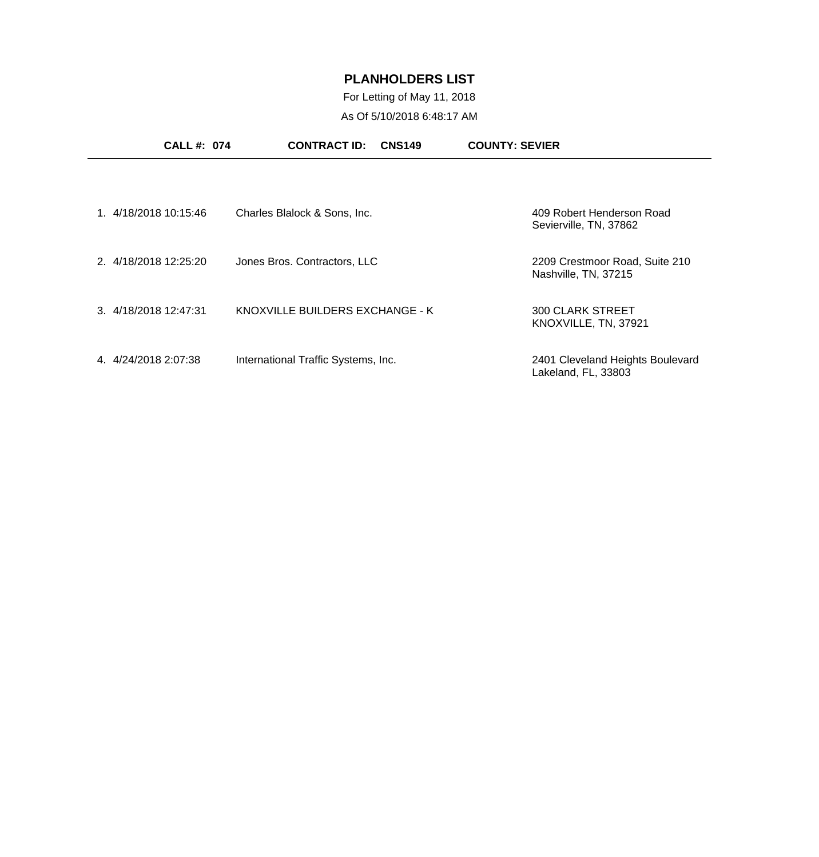For Letting of May 11, 2018 As Of 5/10/2018 6:48:17 AM

| <b>CALL#: 074</b>     | <b>CONTRACT ID:</b><br><b>CNS149</b> | <b>COUNTY: SEVIER</b>                                   |
|-----------------------|--------------------------------------|---------------------------------------------------------|
| 1. 4/18/2018 10:15:46 | Charles Blalock & Sons, Inc.         | 409 Robert Henderson Road<br>Sevierville, TN, 37862     |
| 2. 4/18/2018 12:25:20 | Jones Bros. Contractors, LLC         | 2209 Crestmoor Road, Suite 210<br>Nashville, TN, 37215  |
| 3. 4/18/2018 12:47:31 | KNOXVILLE BUILDERS EXCHANGE - K      | <b>300 CLARK STREET</b><br>KNOXVILLE, TN, 37921         |
| 4. 4/24/2018 2:07:38  | International Traffic Systems, Inc.  | 2401 Cleveland Heights Boulevard<br>Lakeland, FL, 33803 |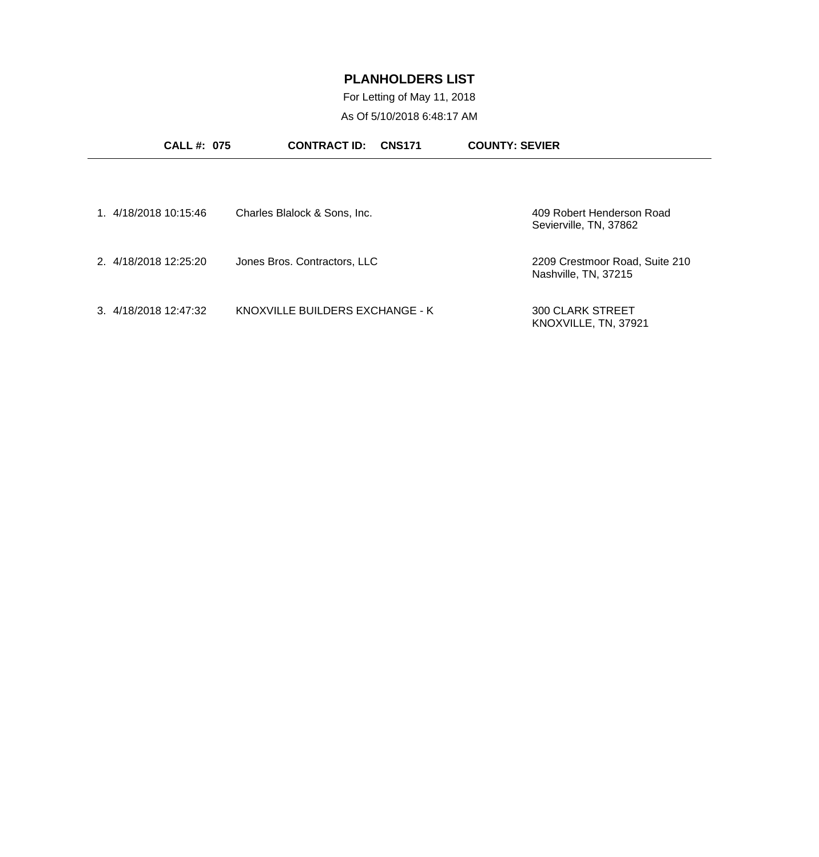For Letting of May 11, 2018 As Of 5/10/2018 6:48:17 AM

| <b>CALL #: 075</b>    | <b>CONTRACT ID:</b><br><b>CNS171</b> | <b>COUNTY: SEVIER</b>                                  |
|-----------------------|--------------------------------------|--------------------------------------------------------|
| 1. 4/18/2018 10:15:46 | Charles Blalock & Sons, Inc.         | 409 Robert Henderson Road<br>Sevierville, TN, 37862    |
| 2. 4/18/2018 12:25:20 | Jones Bros. Contractors, LLC         | 2209 Crestmoor Road, Suite 210<br>Nashville, TN, 37215 |
| 3. 4/18/2018 12:47:32 | KNOXVILLE BUILDERS EXCHANGE - K      | <b>300 CLARK STREET</b><br>KNOXVILLE, TN, 37921        |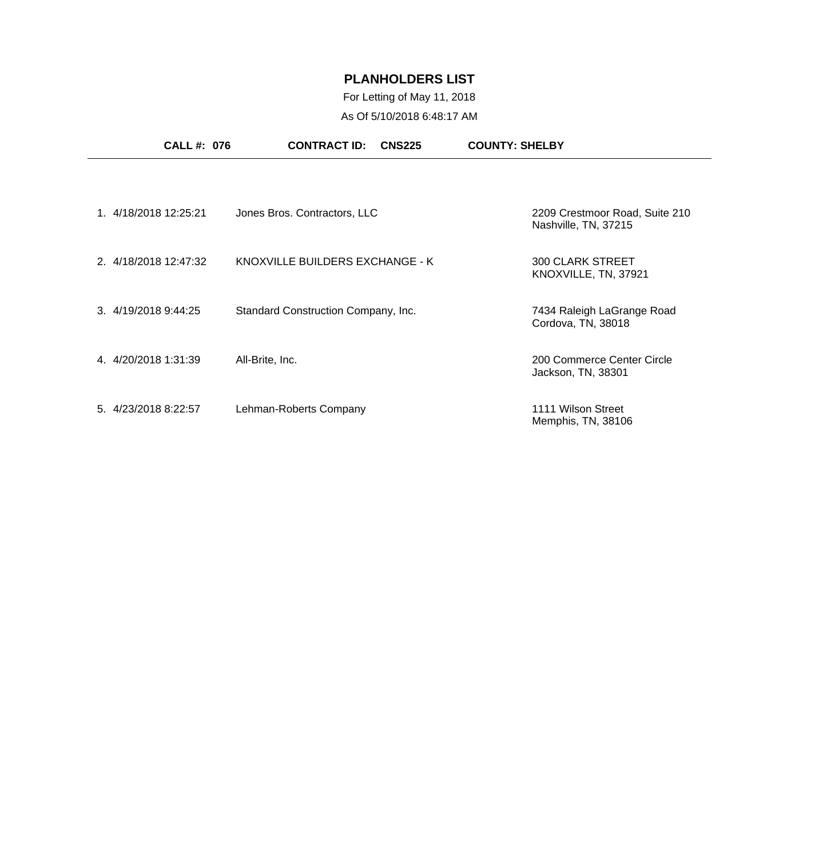# For Letting of May 11, 2018 As Of 5/10/2018 6:48:17 AM

|                       | <b>CALL #: 076</b> | <b>CONTRACT ID:</b><br><b>CNS225</b> | <b>COUNTY: SHELBY</b>                                  |
|-----------------------|--------------------|--------------------------------------|--------------------------------------------------------|
|                       |                    |                                      |                                                        |
| 1. 4/18/2018 12:25:21 |                    | Jones Bros. Contractors, LLC         | 2209 Crestmoor Road, Suite 210<br>Nashville, TN, 37215 |
| 2. 4/18/2018 12:47:32 |                    | KNOXVILLE BUILDERS EXCHANGE - K      | <b>300 CLARK STREET</b><br>KNOXVILLE, TN, 37921        |
| 3. 4/19/2018 9:44:25  |                    | Standard Construction Company, Inc.  | 7434 Raleigh LaGrange Road<br>Cordova, TN, 38018       |
| 4.4/20/2018 1:31:39   |                    | All-Brite, Inc.                      | 200 Commerce Center Circle<br>Jackson, TN, 38301       |
| 5. 4/23/2018 8:22:57  |                    | Lehman-Roberts Company               | 1111 Wilson Street<br>Memphis, TN, 38106               |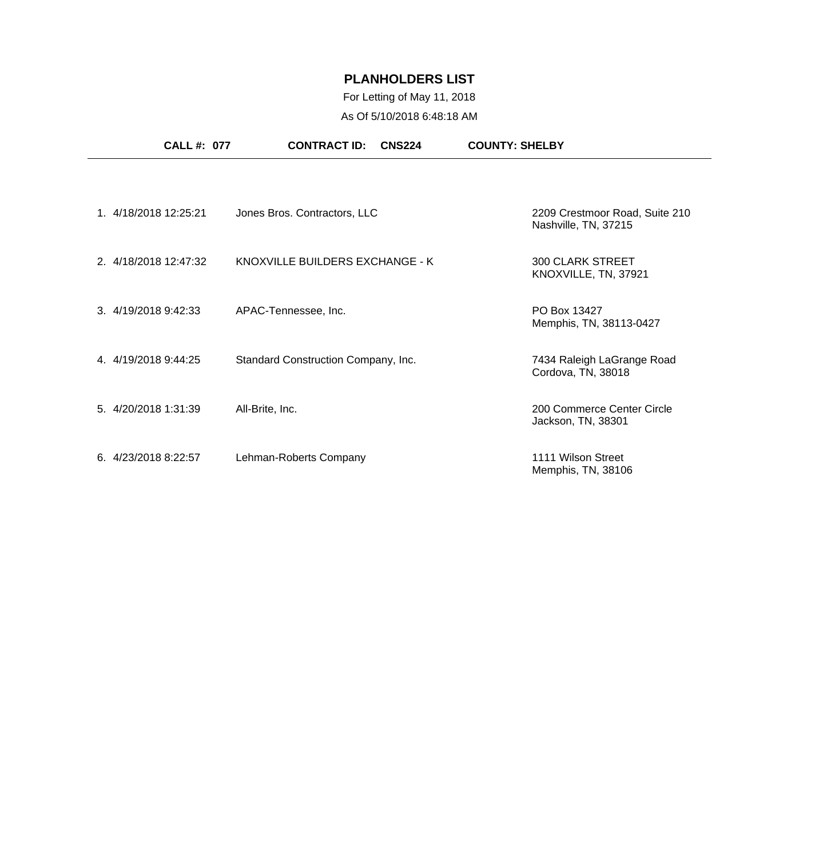# For Letting of May 11, 2018 As Of 5/10/2018 6:48:18 AM

|                      | <b>CALL #: 077</b>    | <b>CONTRACT ID:</b><br><b>CNS224</b> | <b>COUNTY: SHELBY</b>                                  |
|----------------------|-----------------------|--------------------------------------|--------------------------------------------------------|
|                      |                       |                                      |                                                        |
|                      | 1. 4/18/2018 12:25:21 | Jones Bros. Contractors, LLC         | 2209 Crestmoor Road, Suite 210<br>Nashville, TN, 37215 |
|                      | 2. 4/18/2018 12:47:32 | KNOXVILLE BUILDERS EXCHANGE - K      | <b>300 CLARK STREET</b><br>KNOXVILLE, TN, 37921        |
|                      | 3. 4/19/2018 9:42:33  | APAC-Tennessee, Inc.                 | PO Box 13427<br>Memphis, TN, 38113-0427                |
| 4. 4/19/2018 9:44:25 |                       | Standard Construction Company, Inc.  | 7434 Raleigh LaGrange Road<br>Cordova, TN, 38018       |
| 5. 4/20/2018 1:31:39 |                       | All-Brite, Inc.                      | 200 Commerce Center Circle<br>Jackson, TN, 38301       |
| 6. 4/23/2018 8:22:57 |                       | Lehman-Roberts Company               | 1111 Wilson Street<br>Memphis, TN, 38106               |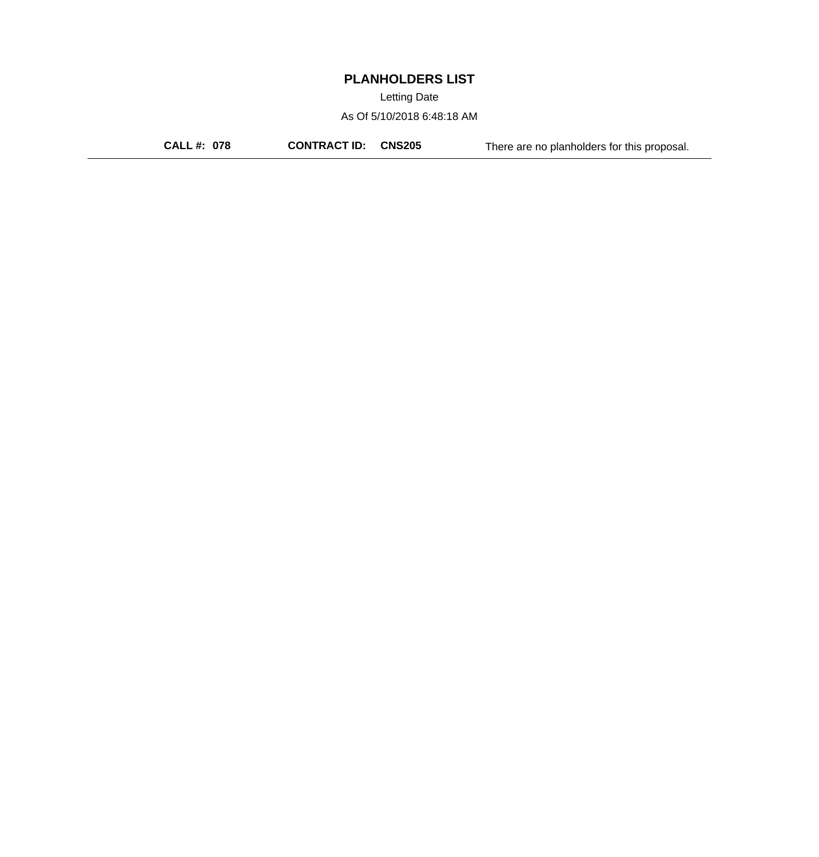Letting Date

As Of 5/10/2018 6:48:18 AM

**CALL #: 078 CONTRACT ID: CNS205** There are no planholders for this proposal.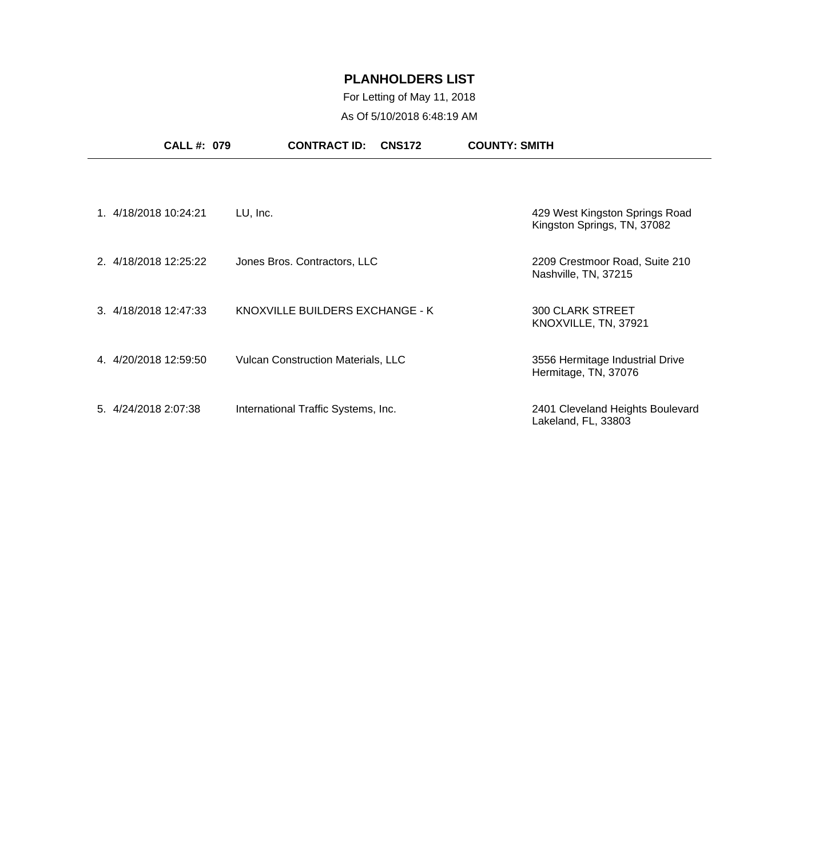# For Letting of May 11, 2018 As Of 5/10/2018 6:48:19 AM

| <b>CALL #: 079</b>    | <b>CONTRACT ID:</b><br><b>CNS172</b>      | <b>COUNTY: SMITH</b>                                          |
|-----------------------|-------------------------------------------|---------------------------------------------------------------|
|                       |                                           |                                                               |
| 1.4/18/2018 10:24:21  | LU, Inc.                                  | 429 West Kingston Springs Road<br>Kingston Springs, TN, 37082 |
| 2. 4/18/2018 12:25:22 | Jones Bros. Contractors, LLC              | 2209 Crestmoor Road, Suite 210<br>Nashville, TN, 37215        |
| 3. 4/18/2018 12:47:33 | KNOXVILLE BUILDERS EXCHANGE - K           | <b>300 CLARK STREET</b><br>KNOXVILLE, TN, 37921               |
| 4. 4/20/2018 12:59:50 | <b>Vulcan Construction Materials, LLC</b> | 3556 Hermitage Industrial Drive<br>Hermitage, TN, 37076       |
| 5. 4/24/2018 2:07:38  | International Traffic Systems, Inc.       | 2401 Cleveland Heights Boulevard<br>Lakeland, FL, 33803       |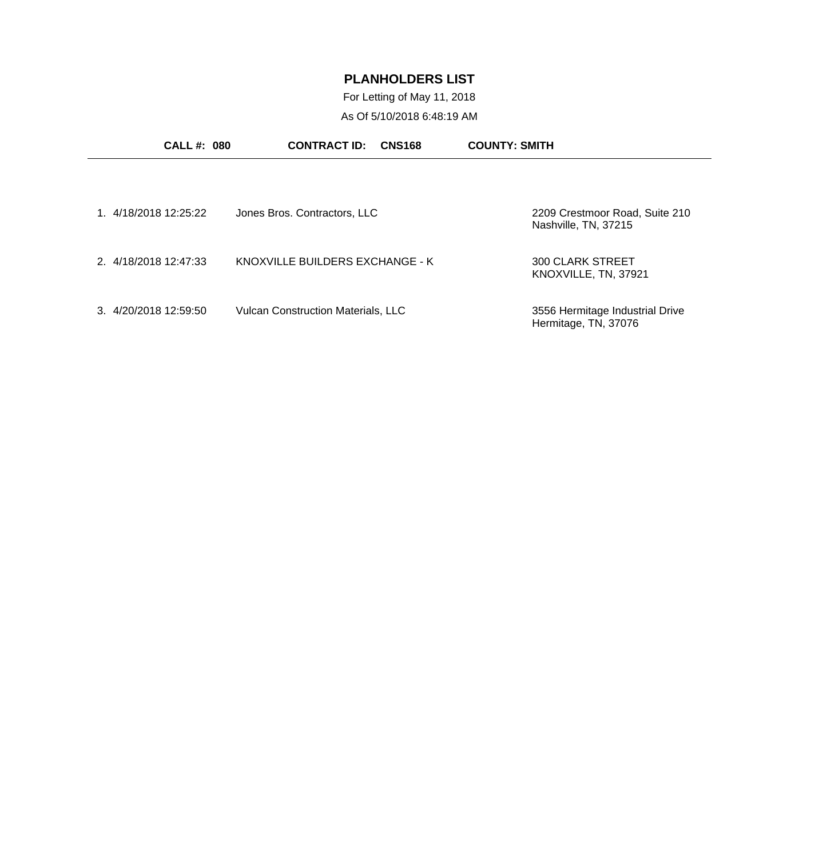For Letting of May 11, 2018 As Of 5/10/2018 6:48:19 AM

| <b>CALL#: 080</b>     | <b>CONTRACT ID:</b><br><b>CNS168</b>      | <b>COUNTY: SMITH</b>                                    |
|-----------------------|-------------------------------------------|---------------------------------------------------------|
| 1.4/18/2018 12:25:22  | Jones Bros. Contractors, LLC              | 2209 Crestmoor Road, Suite 210<br>Nashville, TN, 37215  |
| 2. 4/18/2018 12:47:33 | KNOXVILLE BUILDERS EXCHANGE - K           | <b>300 CLARK STREET</b><br>KNOXVILLE, TN, 37921         |
| 3. 4/20/2018 12:59:50 | <b>Vulcan Construction Materials, LLC</b> | 3556 Hermitage Industrial Drive<br>Hermitage, TN, 37076 |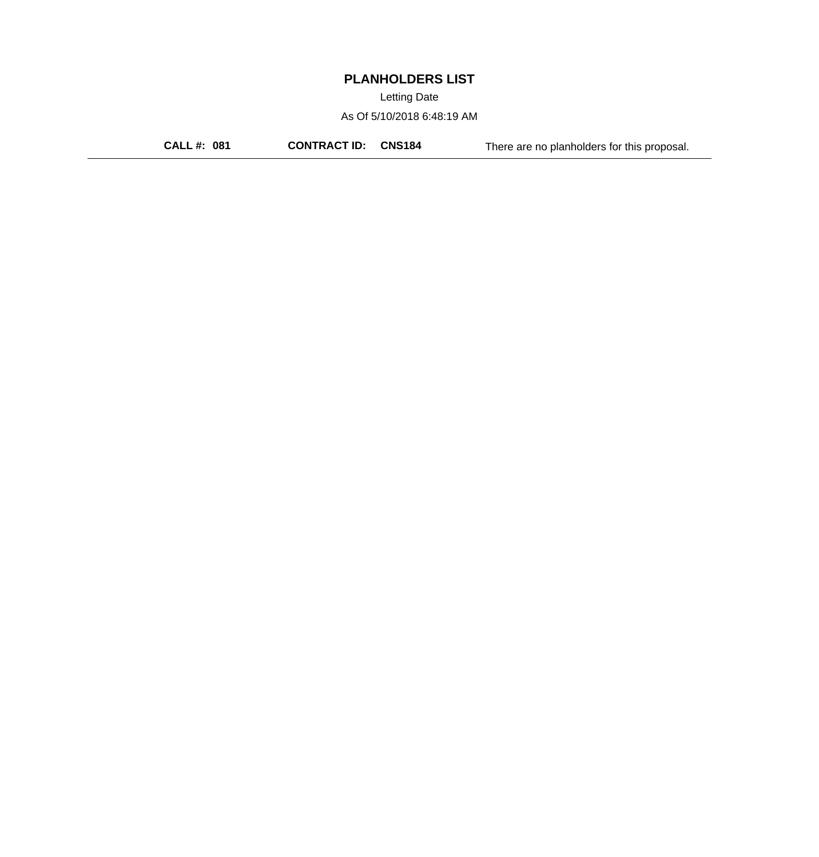Letting Date

As Of 5/10/2018 6:48:19 AM

**CALL #: 081 CONTRACT ID: CNS184** There are no planholders for this proposal.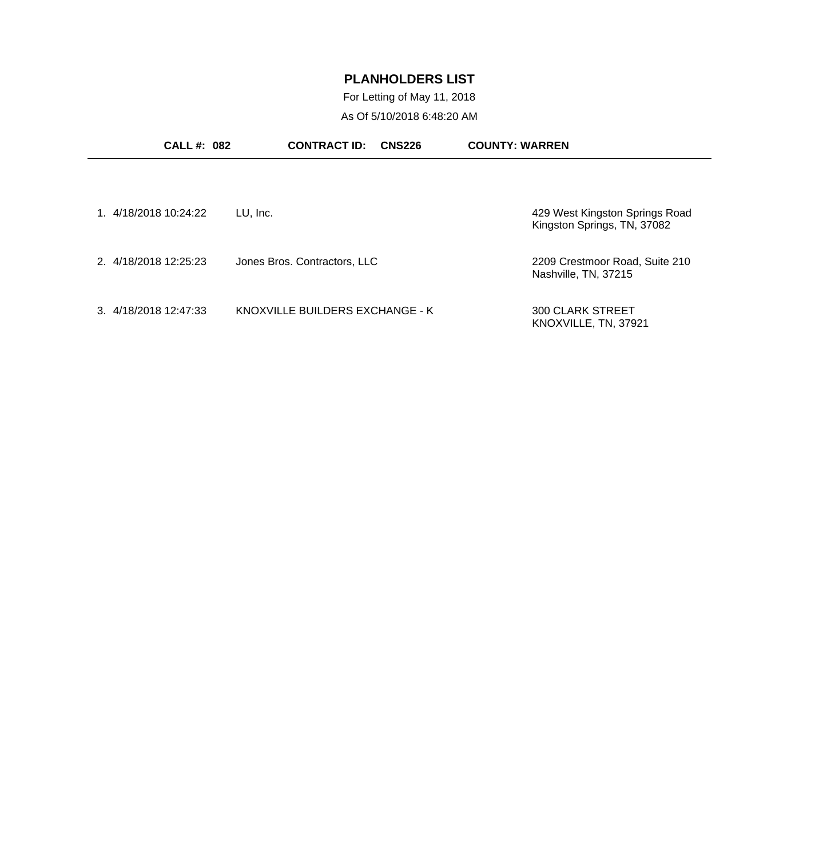For Letting of May 11, 2018 As Of 5/10/2018 6:48:20 AM

| <b>CALL #: 082</b>    | <b>CONTRACT ID:</b><br><b>CNS226</b> | <b>COUNTY: WARREN</b>                                         |
|-----------------------|--------------------------------------|---------------------------------------------------------------|
| 1. 4/18/2018 10:24:22 | LU, Inc.                             | 429 West Kingston Springs Road<br>Kingston Springs, TN, 37082 |
| 2. 4/18/2018 12:25:23 | Jones Bros. Contractors, LLC         | 2209 Crestmoor Road, Suite 210<br>Nashville, TN, 37215        |
| 3. 4/18/2018 12:47:33 | KNOXVILLE BUILDERS EXCHANGE - K      | <b>300 CLARK STREET</b><br>KNOXVILLE, TN, 37921               |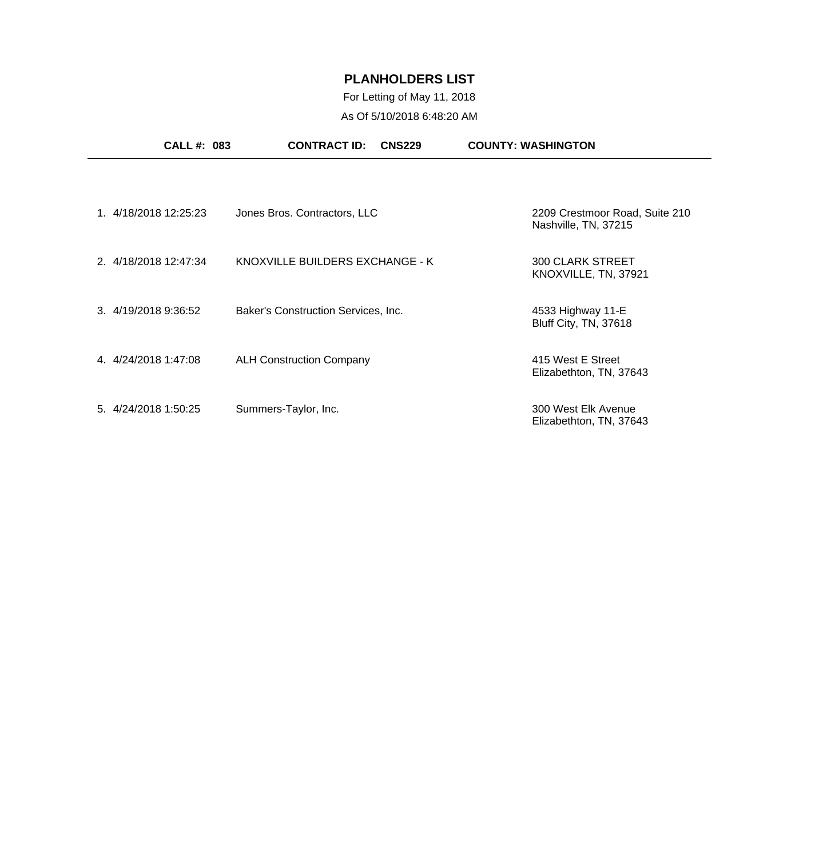# For Letting of May 11, 2018 As Of 5/10/2018 6:48:20 AM

|                      | <b>CALL #: 083</b>    | <b>CONTRACT ID:</b><br><b>CNS229</b> | <b>COUNTY: WASHINGTON</b>                              |
|----------------------|-----------------------|--------------------------------------|--------------------------------------------------------|
|                      |                       |                                      |                                                        |
|                      | 1. 4/18/2018 12:25:23 | Jones Bros. Contractors, LLC         | 2209 Crestmoor Road, Suite 210<br>Nashville, TN, 37215 |
|                      | 2. 4/18/2018 12:47:34 | KNOXVILLE BUILDERS EXCHANGE - K      | <b>300 CLARK STREET</b><br>KNOXVILLE, TN, 37921        |
| 3. 4/19/2018 9:36:52 |                       | Baker's Construction Services, Inc.  | 4533 Highway 11-E<br>Bluff City, TN, 37618             |
| 4. 4/24/2018 1:47:08 |                       | <b>ALH Construction Company</b>      | 415 West E Street<br>Elizabethton, TN, 37643           |
| 5. 4/24/2018 1:50:25 |                       | Summers-Taylor, Inc.                 | 300 West Elk Avenue<br>Elizabethton, TN, 37643         |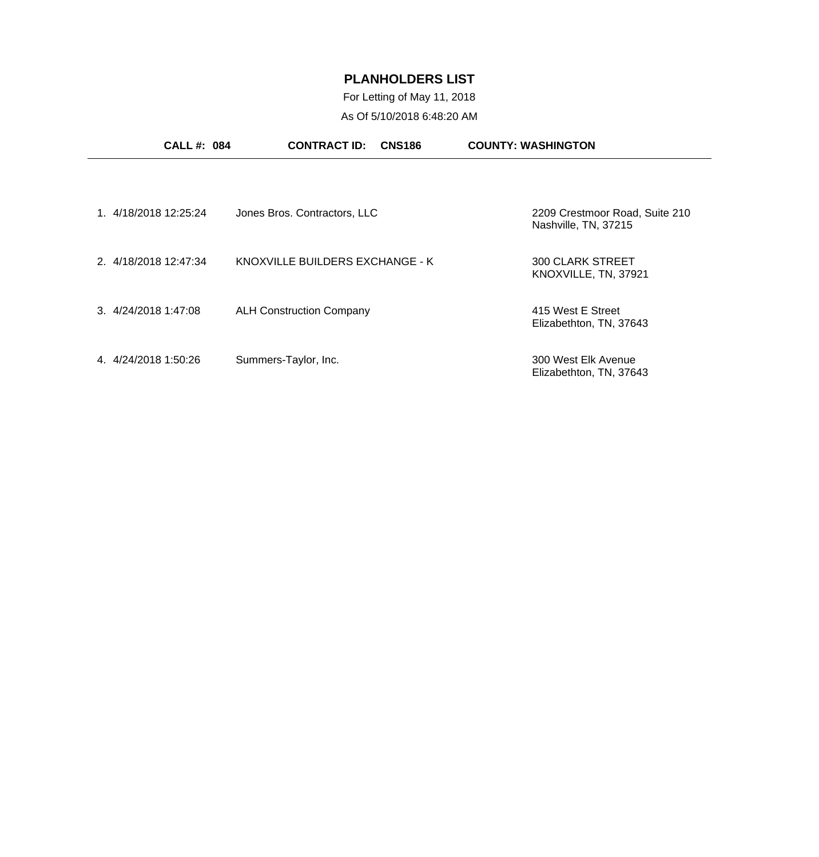For Letting of May 11, 2018 As Of 5/10/2018 6:48:20 AM

| <b>CALL#: 084</b>     | <b>CONTRACT ID:</b><br><b>CNS186</b> | <b>COUNTY: WASHINGTON</b>                              |
|-----------------------|--------------------------------------|--------------------------------------------------------|
| 1. 4/18/2018 12:25:24 | Jones Bros. Contractors, LLC         | 2209 Crestmoor Road, Suite 210<br>Nashville, TN, 37215 |
| 2. 4/18/2018 12:47:34 | KNOXVILLE BUILDERS EXCHANGE - K      | <b>300 CLARK STREET</b><br>KNOXVILLE, TN, 37921        |
| 3. 4/24/2018 1:47:08  | <b>ALH Construction Company</b>      | 415 West E Street<br>Elizabethton, TN, 37643           |
| 4.4/24/2018 1:50:26   | Summers-Taylor, Inc.                 | 300 West Elk Avenue<br>Elizabethton, TN, 37643         |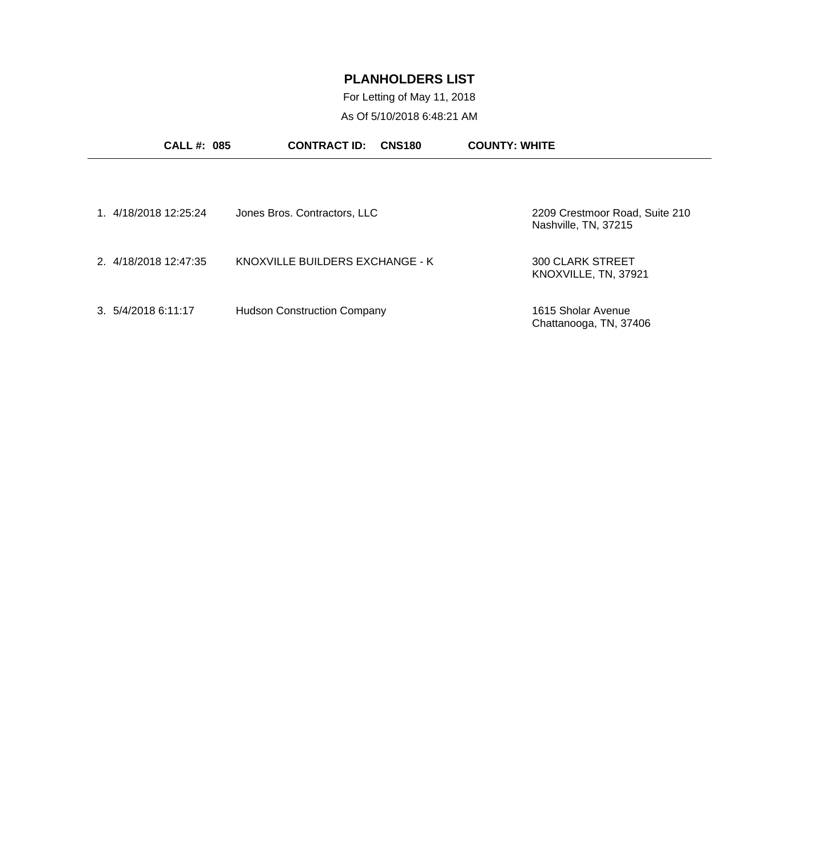For Letting of May 11, 2018 As Of 5/10/2018 6:48:21 AM

| <b>CALL#: 085</b>     | <b>CONTRACT ID:</b><br><b>CNS180</b> | <b>COUNTY: WHITE</b>                                   |
|-----------------------|--------------------------------------|--------------------------------------------------------|
|                       |                                      |                                                        |
| 1. 4/18/2018 12:25:24 | Jones Bros. Contractors, LLC         | 2209 Crestmoor Road, Suite 210<br>Nashville, TN, 37215 |
| 2. 4/18/2018 12:47:35 | KNOXVILLE BUILDERS EXCHANGE - K      | <b>300 CLARK STREET</b><br>KNOXVILLE, TN, 37921        |
| 3.5/4/20186:11:17     | <b>Hudson Construction Company</b>   | 1615 Sholar Avenue<br>Chattanooga, TN, 37406           |